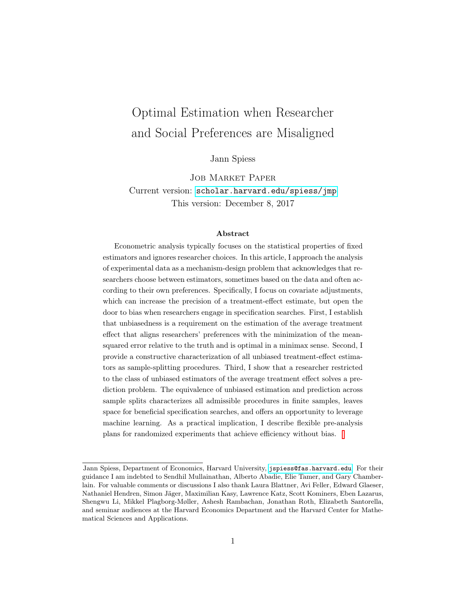# Optimal Estimation when Researcher and Social Preferences are Misaligned

Jann Spiess

Job Market Paper Current version: [scholar.harvard.edu/spiess/jmp](http://scholar.harvard.edu/spiess/jmp/) This version: December 8, 2017

#### Abstract

Econometric analysis typically focuses on the statistical properties of fixed estimators and ignores researcher choices. In this article, I approach the analysis of experimental data as a mechanism-design problem that acknowledges that researchers choose between estimators, sometimes based on the data and often according to their own preferences. Specifically, I focus on covariate adjustments, which can increase the precision of a treatment-effect estimate, but open the door to bias when researchers engage in specification searches. First, I establish that unbiasedness is a requirement on the estimation of the average treatment effect that aligns researchers' preferences with the minimization of the meansquared error relative to the truth and is optimal in a minimax sense. Second, I provide a constructive characterization of all unbiased treatment-effect estimators as sample-splitting procedures. Third, I show that a researcher restricted to the class of unbiased estimators of the average treatment effect solves a prediction problem. The equivalence of unbiased estimation and prediction across sample splits characterizes all admissible procedures in finite samples, leaves space for beneficial specification searches, and offers an opportunity to leverage machine learning. As a practical implication, I describe flexible pre-analysis plans for randomized experiments that achieve efficiency without bias.

Jann Spiess, Department of Economics, Harvard University, [jspiess@fas.harvard.edu](mailto:jspiess@fas.harvard.edu). For their guidance I am indebted to Sendhil Mullainathan, Alberto Abadie, Elie Tamer, and Gary Chamberlain. For valuable comments or discussions I also thank Laura Blattner, Avi Feller, Edward Glaeser, Nathaniel Hendren, Simon Jäger, Maximilian Kasy, Lawrence Katz, Scott Kominers, Eben Lazarus, Shengwu Li, Mikkel Plagborg-Møller, Ashesh Rambachan, Jonathan Roth, Elizabeth Santorella, and seminar audiences at the Harvard Economics Department and the Harvard Center for Mathematical Sciences and Applications.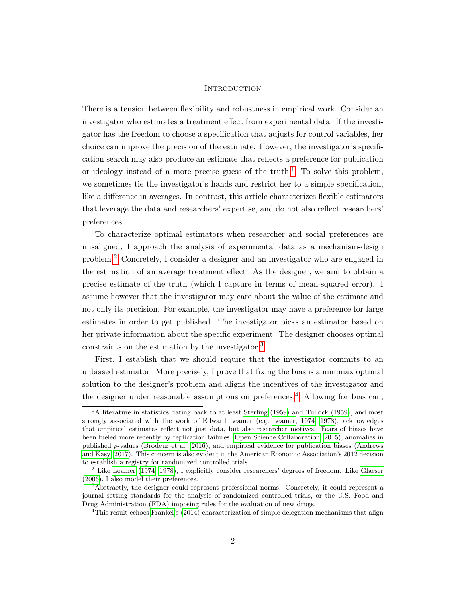#### **INTRODUCTION**

There is a tension between flexibility and robustness in empirical work. Consider an investigator who estimates a treatment effect from experimental data. If the investigator has the freedom to choose a specification that adjusts for control variables, her choice can improve the precision of the estimate. However, the investigator's specification search may also produce an estimate that reflects a preference for publication or ideology instead of a more precise guess of the truth.<sup>[1](#page-1-0)</sup> To solve this problem, we sometimes tie the investigator's hands and restrict her to a simple specification, like a difference in averages. In contrast, this article characterizes flexible estimators that leverage the data and researchers' expertise, and do not also reflect researchers' preferences.

To characterize optimal estimators when researcher and social preferences are misaligned, I approach the analysis of experimental data as a mechanism-design problem.[2](#page-1-1) Concretely, I consider a designer and an investigator who are engaged in the estimation of an average treatment effect. As the designer, we aim to obtain a precise estimate of the truth (which I capture in terms of mean-squared error). I assume however that the investigator may care about the value of the estimate and not only its precision. For example, the investigator may have a preference for large estimates in order to get published. The investigator picks an estimator based on her private information about the specific experiment. The designer chooses optimal constraints on the estimation by the investigator.<sup>[3](#page-1-2)</sup>

First, I establish that we should require that the investigator commits to an unbiased estimator. More precisely, I prove that fixing the bias is a minimax optimal solution to the designer's problem and aligns the incentives of the investigator and the designer under reasonable assumptions on preferences.<sup>[4](#page-1-3)</sup> Allowing for bias can,

<span id="page-1-0"></span> $1A$  literature in statistics dating back to at least [Sterling](#page-47-0) [\(1959\)](#page-47-1) and [Tullock](#page-47-1) (1959), and most strongly associated with the work of Edward Leamer (e.g. [Leamer, 1974,](#page-46-0) [1978\)](#page-46-1), acknowledges that empirical estimates reflect not just data, but also researcher motives. Fears of biases have been fueled more recently by replication failures [\(Open Science Collaboration, 2015\)](#page-46-2), anomalies in published p-values [\(Brodeur et al., 2016\)](#page-43-0), and empirical evidence for publication biases [\(Andrews](#page-43-1) [and Kasy, 2017\)](#page-43-1). This concern is also evident in the American Economic Association's 2012 decision to establish a registry for randomized controlled trials.

<span id="page-1-1"></span><sup>2</sup> Like [Leamer](#page-46-0) [\(1974,](#page-46-0) [1978\)](#page-46-1), I explicitly consider researchers' degrees of freedom. Like [Glaeser](#page-45-0) [\(2006\)](#page-45-0), I also model their preferences.

<span id="page-1-2"></span><sup>&</sup>lt;sup>3</sup>Abstractly, the designer could represent professional norms. Concretely, it could represent a journal setting standards for the analysis of randomized controlled trials, or the U.S. Food and Drug Administration (FDA) imposing rules for the evaluation of new drugs.

<span id="page-1-3"></span><sup>&</sup>lt;sup>4</sup>This result echoes [Frankel'](#page-44-0)s [\(2014\)](#page-44-0) characterization of simple delegation mechanisms that align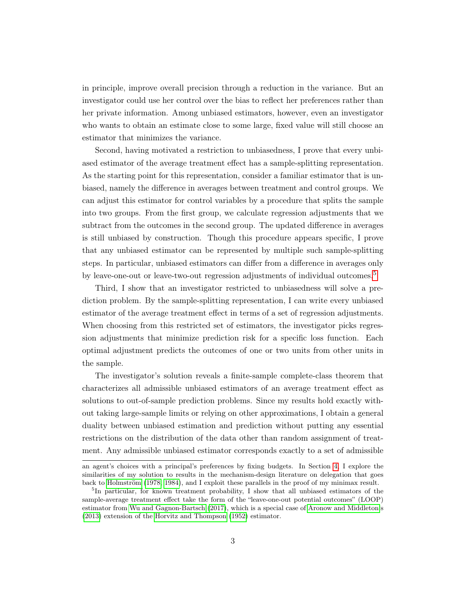in principle, improve overall precision through a reduction in the variance. But an investigator could use her control over the bias to reflect her preferences rather than her private information. Among unbiased estimators, however, even an investigator who wants to obtain an estimate close to some large, fixed value will still choose an estimator that minimizes the variance.

Second, having motivated a restriction to unbiasedness, I prove that every unbiased estimator of the average treatment effect has a sample-splitting representation. As the starting point for this representation, consider a familiar estimator that is unbiased, namely the difference in averages between treatment and control groups. We can adjust this estimator for control variables by a procedure that splits the sample into two groups. From the first group, we calculate regression adjustments that we subtract from the outcomes in the second group. The updated difference in averages is still unbiased by construction. Though this procedure appears specific, I prove that any unbiased estimator can be represented by multiple such sample-splitting steps. In particular, unbiased estimators can differ from a difference in averages only by leave-one-out or leave-two-out regression adjustments of individual outcomes.<sup>[5](#page-2-0)</sup>

Third, I show that an investigator restricted to unbiasedness will solve a prediction problem. By the sample-splitting representation, I can write every unbiased estimator of the average treatment effect in terms of a set of regression adjustments. When choosing from this restricted set of estimators, the investigator picks regression adjustments that minimize prediction risk for a specific loss function. Each optimal adjustment predicts the outcomes of one or two units from other units in the sample.

The investigator's solution reveals a finite-sample complete-class theorem that characterizes all admissible unbiased estimators of an average treatment effect as solutions to out-of-sample prediction problems. Since my results hold exactly without taking large-sample limits or relying on other approximations, I obtain a general duality between unbiased estimation and prediction without putting any essential restrictions on the distribution of the data other than random assignment of treatment. Any admissible unbiased estimator corresponds exactly to a set of admissible

an agent's choices with a principal's preferences by fixing budgets. In Section [4,](#page-22-0) I explore the similarities of my solution to results in the mechanism-design literature on delegation that goes back to [Holmström](#page-45-1) [\(1978,](#page-45-1) [1984\)](#page-45-2), and I exploit these parallels in the proof of my minimax result.

<span id="page-2-0"></span><sup>&</sup>lt;sup>5</sup>In particular, for known treatment probability, I show that all unbiased estimators of the sample-average treatment effect take the form of the "leave-one-out potential outcomes" (LOOP) estimator from [Wu and Gagnon-Bartsch](#page-47-2) [\(2017\)](#page-47-2), which is a special case of [Aronow and Middleton'](#page-43-2)s [\(2013\)](#page-43-2) extension of the [Horvitz and Thompson](#page-45-3) [\(1952\)](#page-45-3) estimator.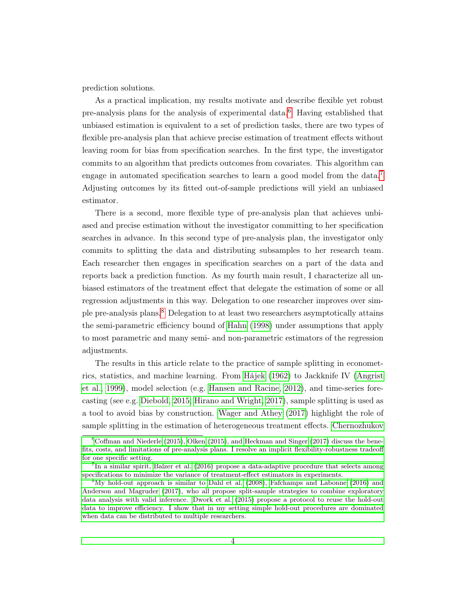prediction solutions.

As a practical implication, my results motivate and describe flexible yet robust pre-analysis plans for the analysis of experimental data.[6](#page-3-0) Having established that unbiased estimation is equivalent to a set of prediction tasks, there are two types of flexible pre-analysis plan that achieve precise estimation of treatment effects without leaving room for bias from specification searches. In the first type, the investigator commits to an algorithm that predicts outcomes from covariates. This algorithm can engage in automated specification searches to learn a good model from the data.<sup>[7](#page-3-1)</sup> Adjusting outcomes by its fitted out-of-sample predictions will yield an unbiased estimator.

There is a second, more flexible type of pre-analysis plan that achieves unbiased and precise estimation without the investigator committing to her specification searches in advance. In this second type of pre-analysis plan, the investigator only commits to splitting the data and distributing subsamples to her research team. Each researcher then engages in specification searches on a part of the data and reports back a prediction function. As my fourth main result, I characterize all unbiased estimators of the treatment effect that delegate the estimation of some or all regression adjustments in this way. Delegation to one researcher improves over simple pre-analysis plans.[8](#page-3-2) Delegation to at least two researchers asymptotically attains the semi-parametric efficiency bound of [Hahn](#page-45-4) [\(1998\)](#page-45-4) under assumptions that apply to most parametric and many semi- and non-parametric estimators of the regression adjustments.

The results in this article relate to the practice of sample splitting in econometrics, statistics, and machine learning. From [Hájek](#page-45-5) [\(1962\)](#page-45-5) to Jackknife IV [\(Angrist](#page-43-3) [et al., 1999\)](#page-43-3), model selection (e.g. [Hansen and Racine, 2012\)](#page-45-6), and time-series forecasting (see e.g. [Diebold, 2015;](#page-44-1) [Hirano and Wright, 2017\)](#page-45-7), sample splitting is used as a tool to avoid bias by construction. [Wager and Athey](#page-47-3) [\(2017\)](#page-47-3) highlight the role of sample splitting in the estimation of heterogeneous treatment effects. [Chernozhukov](#page-44-2)

<span id="page-3-0"></span> $6C$ offman and Niederle (2015), Olken (2015), and Heckman and Singer (2017) discuss the bene[fits, costs, and limitations of pre-analysis plans. I resolve an implicit flexibility-robustness tradeoff](#page-44-2) [for one specific setting.](#page-44-2)

<span id="page-3-1"></span><sup>&</sup>lt;sup>7</sup>[In a similar spirit, Balzer et al. \(2016\) propose a data-adaptive procedure that selects among](#page-44-2) [specifications to minimize the variance of treatment-effect estimators in experiments.](#page-44-2)

<span id="page-3-2"></span><sup>8</sup>[My hold-out approach is similar to Dahl et al. \(2008\), Fafchamps and Labonne \(2016\) and](#page-44-2) [Anderson and Magruder \(2017\), who all propose split-sample strategies to combine exploratory](#page-44-2) [data analysis with valid inference. Dwork et al. \(2015\) propose a protocol to reuse the hold-out](#page-44-2) [data to improve efficiency. I show that in my setting simple hold-out procedures are dominated](#page-44-2) [when data can be distributed to multiple researchers.](#page-44-2)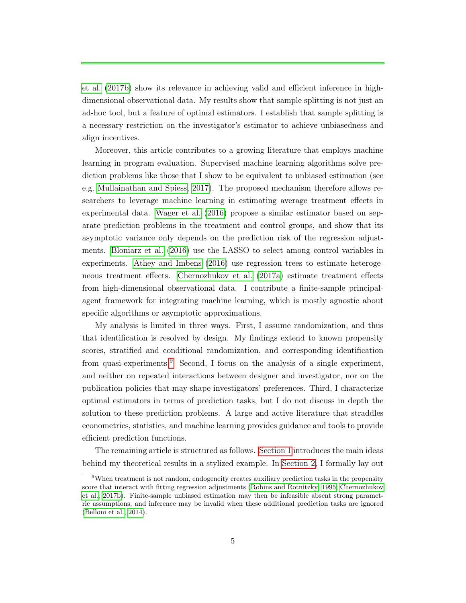[et al.](#page-44-2) [\(2017b\)](#page-44-2) show its relevance in achieving valid and efficient inference in highdimensional observational data. My results show that sample splitting is not just an ad-hoc tool, but a feature of optimal estimators. I establish that sample splitting is a necessary restriction on the investigator's estimator to achieve unbiasedness and align incentives.

Moreover, this article contributes to a growing literature that employs machine learning in program evaluation. Supervised machine learning algorithms solve prediction problems like those that I show to be equivalent to unbiased estimation (see e.g. [Mullainathan and Spiess, 2017\)](#page-46-4). The proposed mechanism therefore allows researchers to leverage machine learning in estimating average treatment effects in experimental data. [Wager et al.](#page-47-4) [\(2016\)](#page-47-4) propose a similar estimator based on separate prediction problems in the treatment and control groups, and show that its asymptotic variance only depends on the prediction risk of the regression adjustments. [Bloniarz et al.](#page-43-6) [\(2016\)](#page-43-6) use the LASSO to select among control variables in experiments. [Athey and Imbens](#page-43-7) [\(2016\)](#page-43-7) use regression trees to estimate heterogeneous treatment effects. [Chernozhukov et al.](#page-44-7) [\(2017a\)](#page-44-7) estimate treatment effects from high-dimensional observational data. I contribute a finite-sample principalagent framework for integrating machine learning, which is mostly agnostic about specific algorithms or asymptotic approximations.

My analysis is limited in three ways. First, I assume randomization, and thus that identification is resolved by design. My findings extend to known propensity scores, stratified and conditional randomization, and corresponding identification from quasi-experiments.<sup>[9](#page-4-0)</sup> Second, I focus on the analysis of a single experiment, and neither on repeated interactions between designer and investigator, nor on the publication policies that may shape investigators' preferences. Third, I characterize optimal estimators in terms of prediction tasks, but I do not discuss in depth the solution to these prediction problems. A large and active literature that straddles econometrics, statistics, and machine learning provides guidance and tools to provide efficient prediction functions.

The remaining article is structured as follows. [Section 1](#page-5-0) introduces the main ideas behind my theoretical results in a stylized example. In [Section 2,](#page-11-0) I formally lay out

<span id="page-4-0"></span><sup>&</sup>lt;sup>9</sup>When treatment is not random, endogeneity creates auxiliary prediction tasks in the propensity score that interact with fitting regression adjustments [\(Robins and Rotnitzky, 1995;](#page-46-5) [Chernozhukov](#page-44-2) [et al., 2017b\)](#page-44-2). Finite-sample unbiased estimation may then be infeasible absent strong parametric assumptions, and inference may be invalid when these additional prediction tasks are ignored [\(Belloni et al., 2014\)](#page-43-8).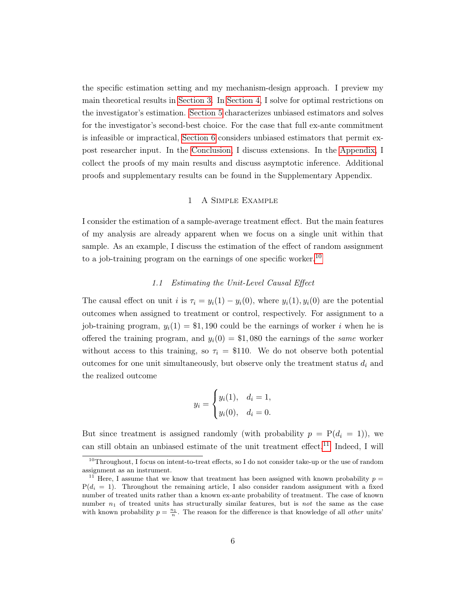the specific estimation setting and my mechanism-design approach. I preview my main theoretical results in [Section 3.](#page-17-0) In [Section 4,](#page-22-0) I solve for optimal restrictions on the investigator's estimation. [Section 5](#page-26-0) characterizes unbiased estimators and solves for the investigator's second-best choice. For the case that full ex-ante commitment is infeasible or impractical, [Section 6](#page-34-0) considers unbiased estimators that permit expost researcher input. In the [Conclusion,](#page-41-0) I discuss extensions. In the [Appendix,](#page-48-0) I collect the proofs of my main results and discuss asymptotic inference. Additional proofs and supplementary results can be found in the Supplementary Appendix.

# 1 A Simple Example

<span id="page-5-0"></span>I consider the estimation of a sample-average treatment effect. But the main features of my analysis are already apparent when we focus on a single unit within that sample. As an example, I discuss the estimation of the effect of random assignment to a job-training program on the earnings of one specific worker.<sup>[10](#page-5-1)</sup>

## 1.1 Estimating the Unit-Level Causal Effect

The causal effect on unit i is  $\tau_i = y_i(1) - y_i(0)$ , where  $y_i(1), y_i(0)$  are the potential outcomes when assigned to treatment or control, respectively. For assignment to a job-training program,  $y_i(1) = $1,190$  could be the earnings of worker i when he is offered the training program, and  $y_i(0) = $1,080$  the earnings of the same worker without access to this training, so  $\tau_i = \$110$ . We do not observe both potential outcomes for one unit simultaneously, but observe only the treatment status  $d_i$  and the realized outcome

$$
y_i = \begin{cases} y_i(1), & d_i = 1, \\ y_i(0), & d_i = 0. \end{cases}
$$

But since treatment is assigned randomly (with probability  $p = P(d_i = 1)$ ), we can still obtain an unbiased estimate of the unit treatment effect.<sup>[11](#page-5-2)</sup> Indeed, I will

<span id="page-5-1"></span> $10$ Throughout, I focus on intent-to-treat effects, so I do not consider take-up or the use of random assignment as an instrument.

<span id="page-5-2"></span><sup>&</sup>lt;sup>11</sup> Here, I assume that we know that treatment has been assigned with known probability  $p =$  $P(d_i = 1)$ . Throughout the remaining article, I also consider random assignment with a fixed number of treated units rather than a known ex-ante probability of treatment. The case of known number  $n_1$  of treated units has structurally similar features, but is not the same as the case with known probability  $p = \frac{n_1}{n}$ . The reason for the difference is that knowledge of all *other* units'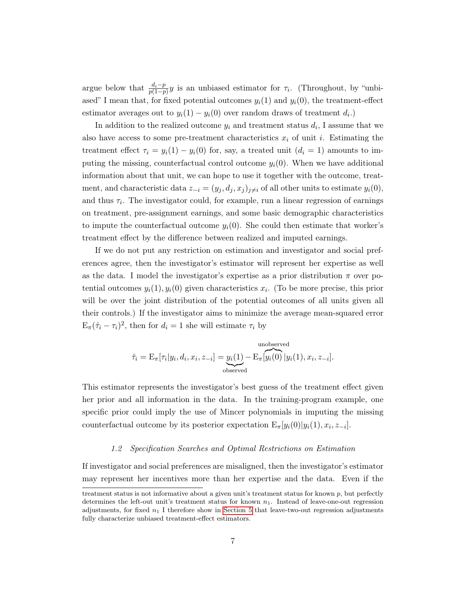argue below that  $\frac{d_i-p}{p(1-p)}y$  is an unbiased estimator for  $\tau_i$ . (Throughout, by "unbiased" I mean that, for fixed potential outcomes  $y_i(1)$  and  $y_i(0)$ , the treatment-effect estimator averages out to  $y_i(1) - y_i(0)$  over random draws of treatment  $d_i$ .

In addition to the realized outcome  $y_i$  and treatment status  $d_i$ , I assume that we also have access to some pre-treatment characteristics  $x_i$  of unit i. Estimating the treatment effect  $\tau_i = y_i(1) - y_i(0)$  for, say, a treated unit  $(d_i = 1)$  amounts to imputing the missing, counterfactual control outcome  $y_i(0)$ . When we have additional information about that unit, we can hope to use it together with the outcome, treatment, and characteristic data  $z_{-i} = (y_i, d_i, x_j)_{i \neq i}$  of all other units to estimate  $y_i(0)$ , and thus  $\tau_i$ . The investigator could, for example, run a linear regression of earnings on treatment, pre-assignment earnings, and some basic demographic characteristics to impute the counterfactual outcome  $y_i(0)$ . She could then estimate that worker's treatment effect by the difference between realized and imputed earnings.

If we do not put any restriction on estimation and investigator and social preferences agree, then the investigator's estimator will represent her expertise as well as the data. I model the investigator's expertise as a prior distribution  $\pi$  over potential outcomes  $y_i(1), y_i(0)$  given characteristics  $x_i$ . (To be more precise, this prior will be over the joint distribution of the potential outcomes of all units given all their controls.) If the investigator aims to minimize the average mean-squared error  $E_{\pi}(\hat{\tau}_i - \tau_i)^2$ , then for  $d_i = 1$  she will estimate  $\tau_i$  by

unobserved  
\n
$$
\hat{\tau}_i = \mathcal{E}_{\pi}[\tau_i|y_i, d_i, x_i, z_{-i}] = \underbrace{y_i(1)}_{\text{observed}} - \mathcal{E}_{\pi}[y_i(0)|y_i(1), x_i, z_{-i}].
$$

This estimator represents the investigator's best guess of the treatment effect given her prior and all information in the data. In the training-program example, one specific prior could imply the use of Mincer polynomials in imputing the missing counterfactual outcome by its posterior expectation  $E_{\pi}[y_i(0)|y_i(1), x_i, z_{-i}]$ .

#### 1.2 Specification Searches and Optimal Restrictions on Estimation

If investigator and social preferences are misaligned, then the investigator's estimator may represent her incentives more than her expertise and the data. Even if the

treatment status is not informative about a given unit's treatment status for known  $p$ , but perfectly determines the left-out unit's treatment status for known  $n_1$ . Instead of leave-one-out regression adjustments, for fixed  $n_1$  I therefore show in [Section 5](#page-26-0) that leave-two-out regression adjustments fully characterize unbiased treatment-effect estimators.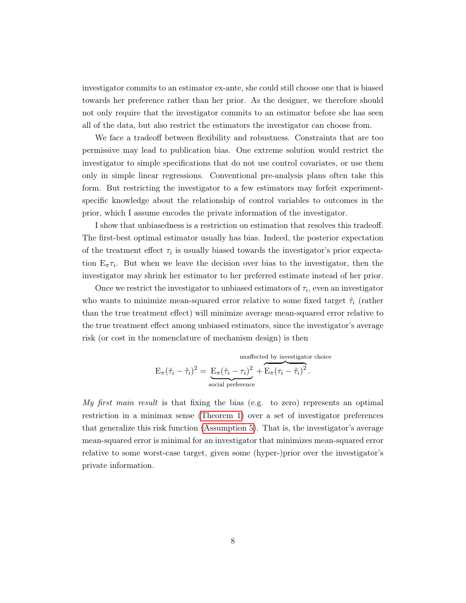investigator commits to an estimator ex-ante, she could still choose one that is biased towards her preference rather than her prior. As the designer, we therefore should not only require that the investigator commits to an estimator before she has seen all of the data, but also restrict the estimators the investigator can choose from.

We face a tradeoff between flexibility and robustness. Constraints that are too permissive may lead to publication bias. One extreme solution would restrict the investigator to simple specifications that do not use control covariates, or use them only in simple linear regressions. Conventional pre-analysis plans often take this form. But restricting the investigator to a few estimators may forfeit experimentspecific knowledge about the relationship of control variables to outcomes in the prior, which I assume encodes the private information of the investigator.

I show that unbiasedness is a restriction on estimation that resolves this tradeoff. The first-best optimal estimator usually has bias. Indeed, the posterior expectation of the treatment effect  $\tau_i$  is usually biased towards the investigator's prior expectation  $E_{\pi} \tau_i$ . But when we leave the decision over bias to the investigator, then the investigator may shrink her estimator to her preferred estimate instead of her prior.

Once we restrict the investigator to unbiased estimators of  $\tau_i$ , even an investigator who wants to minimize mean-squared error relative to some fixed target  $\tilde{\tau}_i$  (rather than the true treatment effect) will minimize average mean-squared error relative to the true treatment effect among unbiased estimators, since the investigator's average risk (or cost in the nomenclature of mechanism design) is then

unaffected by investigation choice  
\n
$$
E_{\pi}(\hat{\tau}_i - \tilde{\tau}_i)^2 = E_{\pi}(\hat{\tau}_i - \tau_i)^2 + E_{\pi}(\tau_i - \tilde{\tau}_i)^2.
$$
\nsocial preference

My first main result is that fixing the bias (e.g. to zero) represents an optimal restriction in a minimax sense [\(Theorem 1\)](#page-18-0) over a set of investigator preferences that generalize this risk function [\(Assumption 5\)](#page-18-1). That is, the investigator's average mean-squared error is minimal for an investigator that minimizes mean-squared error relative to some worst-case target, given some (hyper-)prior over the investigator's private information.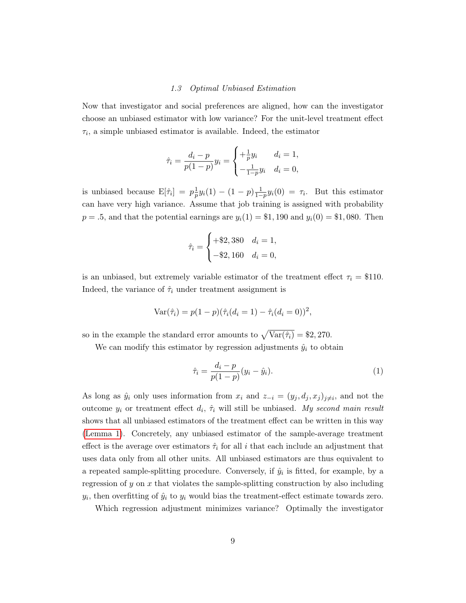#### 1.3 Optimal Unbiased Estimation

Now that investigator and social preferences are aligned, how can the investigator choose an unbiased estimator with low variance? For the unit-level treatment effect  $\tau_i$ , a simple unbiased estimator is available. Indeed, the estimator

$$
\hat{\tau}_i = \frac{d_i - p}{p(1 - p)} y_i = \begin{cases} +\frac{1}{p} y_i & d_i = 1, \\ -\frac{1}{1 - p} y_i & d_i = 0, \end{cases}
$$

is unbiased because  $E[\hat{\tau}_i] = p\frac{1}{n}$  $\frac{1}{p}y_i(1) - (1-p)\frac{1}{1-p}y_i(0) = \tau_i$ . But this estimator can have very high variance. Assume that job training is assigned with probability  $p = .5$ , and that the potential earnings are  $y_i(1) = $1,190$  and  $y_i(0) = $1,080$ . Then

$$
\hat{\tau}_i = \begin{cases} +\$2,380 & d_i = 1, \\ -\$2,160 & d_i = 0, \end{cases}
$$

is an unbiased, but extremely variable estimator of the treatment effect  $\tau_i = \$110$ . Indeed, the variance of  $\hat{\tau}_i$  under treatment assignment is

$$
Var(\hat{\tau}_i) = p(1-p)(\hat{\tau}_i(d_i = 1) - \hat{\tau}_i(d_i = 0))^2,
$$

so in the example the standard error amounts to  $\sqrt{\text{Var}(\hat{\tau}_i)} = \$2,270$ .

We can modify this estimator by regression adjustments  $\hat{y}_i$  to obtain

<span id="page-8-0"></span>
$$
\hat{\tau}_i = \frac{d_i - p}{p(1 - p)} (y_i - \hat{y}_i).
$$
\n(1)

As long as  $\hat{y}_i$  only uses information from  $x_i$  and  $z_{-i} = (y_j, d_j, x_j)_{j \neq i}$ , and not the outcome  $y_i$  or treatment effect  $d_i$ ,  $\hat{\tau}_i$  will still be unbiased. My second main result shows that all unbiased estimators of the treatment effect can be written in this way [\(Lemma 1\)](#page-19-0). Concretely, any unbiased estimator of the sample-average treatment effect is the average over estimators  $\hat{\tau}_i$  for all i that each include an adjustment that uses data only from all other units. All unbiased estimators are thus equivalent to a repeated sample-splitting procedure. Conversely, if  $\hat{y}_i$  is fitted, for example, by a regression of y on x that violates the sample-splitting construction by also including  $y_i$ , then overfitting of  $\hat{y}_i$  to  $y_i$  would bias the treatment-effect estimate towards zero.

Which regression adjustment minimizes variance? Optimally the investigator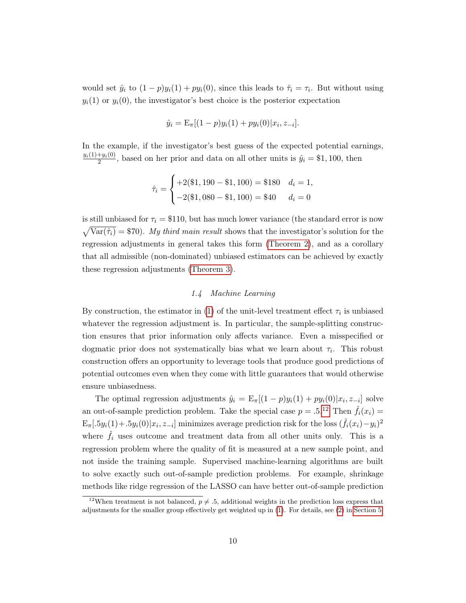would set  $\hat{y}_i$  to  $(1-p)y_i(1) + py_i(0)$ , since this leads to  $\hat{\tau}_i = \tau_i$ . But without using  $y_i(1)$  or  $y_i(0)$ , the investigator's best choice is the posterior expectation

$$
\hat{y}_i = \mathcal{E}_{\pi}[(1-p)y_i(1) + py_i(0)|x_i, z_{-i}].
$$

In the example, if the investigator's best guess of the expected potential earnings,  $y_i(1)+y_i(0)$  $\frac{y_i(0)}{2}$ , based on her prior and data on all other units is  $\hat{y}_i = \$1,100$ , then

$$
\hat{\tau}_i = \begin{cases}\n+2(\$1, 190 - \$1, 100) = \$180 & d_i = 1, \\
-2(\$1, 080 - \$1, 100) = \$40 & d_i = 0\n\end{cases}
$$

is still unbiased for  $\tau_i = \$110$ , but has much lower variance (the standard error is now  $\sqrt{\text{Var}(\hat{\tau}_i)} = \$70$ . My third main result shows that the investigator's solution for the regression adjustments in general takes this form [\(Theorem 2\)](#page-19-1), and as a corollary that all admissible (non-dominated) unbiased estimators can be achieved by exactly these regression adjustments [\(Theorem 3\)](#page-20-0).

# 1.4 Machine Learning

By construction, the estimator in [\(1\)](#page-8-0) of the unit-level treatment effect  $\tau_i$  is unbiased whatever the regression adjustment is. In particular, the sample-splitting construction ensures that prior information only affects variance. Even a misspecified or dogmatic prior does not systematically bias what we learn about  $\tau_i$ . This robust construction offers an opportunity to leverage tools that produce good predictions of potential outcomes even when they come with little guarantees that would otherwise ensure unbiasedness.

The optimal regression adjustments  $\hat{y}_i = \mathbb{E}_{\pi}[(1-p)y_i(1) + py_i(0)|x_i, z_{-i}]$  solve an out-of-sample prediction problem. Take the special case  $p = .5.^{12}$  $p = .5.^{12}$  $p = .5.^{12}$  Then  $\hat{f}_i(x_i) =$  $\mathbb{E}_{\pi} [ .5y_i(1) + .5y_i(0)|x_i, z_{-i}]$  minimizes average prediction risk for the loss  $(\hat{f}_i(x_i) - y_i)^2$ where  $\hat{f}_i$  uses outcome and treatment data from all other units only. This is a regression problem where the quality of fit is measured at a new sample point, and not inside the training sample. Supervised machine-learning algorithms are built to solve exactly such out-of-sample prediction problems. For example, shrinkage methods like ridge regression of the LASSO can have better out-of-sample prediction

<span id="page-9-0"></span><sup>&</sup>lt;sup>12</sup>When treatment is not balanced,  $p \neq 0.5$ , additional weights in the prediction loss express that adjustments for the smaller group effectively get weighted up in [\(1\)](#page-8-0). For details, see [\(2\)](#page-31-0) in [Section 5.](#page-26-0)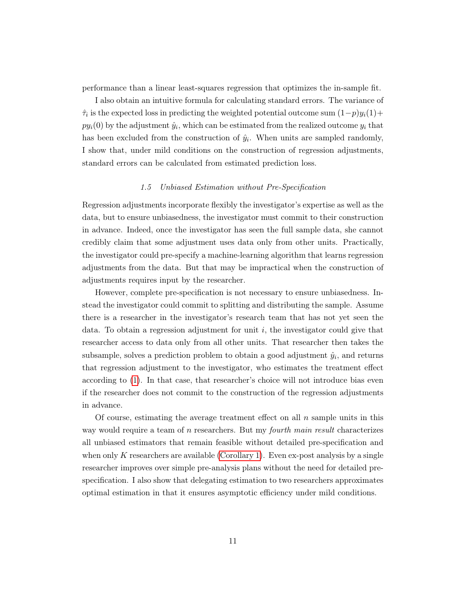performance than a linear least-squares regression that optimizes the in-sample fit.

I also obtain an intuitive formula for calculating standard errors. The variance of  $\hat{\tau}_i$  is the expected loss in predicting the weighted potential outcome sum  $(1-p)y_i(1) +$  $py_i(0)$  by the adjustment  $\hat{y}_i$ , which can be estimated from the realized outcome  $y_i$  that has been excluded from the construction of  $\hat{y}_i$ . When units are sampled randomly, I show that, under mild conditions on the construction of regression adjustments, standard errors can be calculated from estimated prediction loss.

#### 1.5 Unbiased Estimation without Pre-Specification

Regression adjustments incorporate flexibly the investigator's expertise as well as the data, but to ensure unbiasedness, the investigator must commit to their construction in advance. Indeed, once the investigator has seen the full sample data, she cannot credibly claim that some adjustment uses data only from other units. Practically, the investigator could pre-specify a machine-learning algorithm that learns regression adjustments from the data. But that may be impractical when the construction of adjustments requires input by the researcher.

However, complete pre-specification is not necessary to ensure unbiasedness. Instead the investigator could commit to splitting and distributing the sample. Assume there is a researcher in the investigator's research team that has not yet seen the data. To obtain a regression adjustment for unit  $i$ , the investigator could give that researcher access to data only from all other units. That researcher then takes the subsample, solves a prediction problem to obtain a good adjustment  $\hat{y}_i$ , and returns that regression adjustment to the investigator, who estimates the treatment effect according to [\(1\)](#page-8-0). In that case, that researcher's choice will not introduce bias even if the researcher does not commit to the construction of the regression adjustments in advance.

Of course, estimating the average treatment effect on all  $n$  sample units in this way would require a team of  $n$  researchers. But my *fourth main result* characterizes all unbiased estimators that remain feasible without detailed pre-specification and when only K researchers are available [\(Corollary 1\)](#page-21-0). Even ex-post analysis by a single researcher improves over simple pre-analysis plans without the need for detailed prespecification. I also show that delegating estimation to two researchers approximates optimal estimation in that it ensures asymptotic efficiency under mild conditions.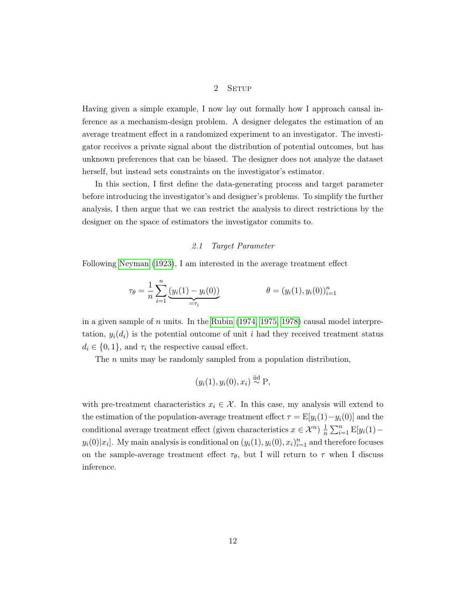## 2 SETUP

<span id="page-11-0"></span>Having given a simple example, I now lay out formally how I approach causal inference as a mechanism-design problem. A designer delegates the estimation of an average treatment effect in a randomized experiment to an investigator. The investigator receives a private signal about the distribution of potential outcomes, but has unknown preferences that can be biased. The designer does not analyze the dataset herself, but instead sets constraints on the investigator's estimator.

In this section, I first define the data-generating process and target parameter before introducing the investigator's and designer's problems. To simplify the further analysis, I then argue that we can restrict the analysis to direct restrictions by the designer on the space of estimators the investigator commits to.

## 2.1 Target Parameter

Following [Neyman](#page-46-6) [\(1923\)](#page-46-6), I am interested in the average treatment effect

$$
\tau_{\theta} = \frac{1}{n} \sum_{i=1}^{n} \underbrace{(y_i(1) - y_i(0))}_{= \tau_i} \qquad \theta = (y_i(1), y_i(0))_{i=1}^{n}
$$

in a given sample of  $n$  units. In the [Rubin](#page-46-7)  $(1974, 1975, 1978)$  $(1974, 1975, 1978)$  $(1974, 1975, 1978)$  causal model interpretation,  $y_i(d_i)$  is the potential outcome of unit i had they received treatment status  $d_i \in \{0, 1\}$ , and  $\tau_i$  the respective causal effect.

The *n* units may be randomly sampled from a population distribution,

$$
(y_i(1), y_i(0), x_i) \stackrel{\text{iid}}{\sim} P,
$$

with pre-treatment characteristics  $x_i \in \mathcal{X}$ . In this case, my analysis will extend to the estimation of the population-average treatment effect  $\tau = \mathbb{E}[y_i(1) - y_i(0)]$  and the conditional average treatment effect (given characteristics  $x \in \mathcal{X}^n$ )  $\frac{1}{n}$  $\frac{1}{n} \sum_{i=1}^{n} \mathbb{E}[y_i(1)$  $y_i(0)|x_i]$ . My main analysis is conditional on  $(y_i(1), y_i(0), x_i)_{i=1}^n$  and therefore focuses on the sample-average treatment effect  $\tau_{\theta}$ , but I will return to  $\tau$  when I discuss inference.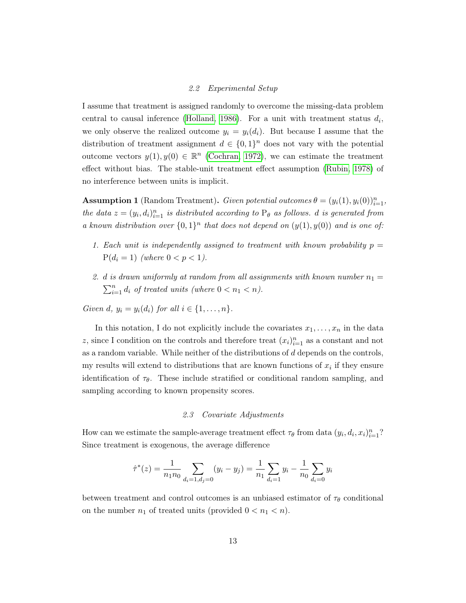## 2.2 Experimental Setup

I assume that treatment is assigned randomly to overcome the missing-data problem central to causal inference [\(Holland, 1986\)](#page-45-9). For a unit with treatment status  $d_i$ , we only observe the realized outcome  $y_i = y_i(d_i)$ . But because I assume that the distribution of treatment assignment  $d \in \{0,1\}^n$  does not vary with the potential outcome vectors  $y(1), y(0) \in \mathbb{R}^n$  [\(Cochran, 1972\)](#page-44-8), we can estimate the treatment effect without bias. The stable-unit treatment effect assumption [\(Rubin, 1978\)](#page-47-5) of no interference between units is implicit.

**Assumption 1** (Random Treatment). Given potential outcomes  $\theta = (y_i(1), y_i(0))_{i=1}^n$ , the data  $z = (y_i, d_i)_{i=1}^n$  is distributed according to  $P_\theta$  as follows. d is generated from a known distribution over  $\{0,1\}^n$  that does not depend on  $(y(1), y(0))$  and is one of:

- 1. Each unit is independently assigned to treatment with known probability  $p =$  $P(d_i = 1)$  (where  $0 < p < 1$ ).
- 2. d is drawn uniformly at random from all assignments with known number  $n_1 =$  $\sum_{i=1}^{n} d_i$  of treated units (where  $0 < n_1 < n$ ).

Given d,  $y_i = y_i(d_i)$  for all  $i \in \{1, \ldots, n\}$ .

In this notation, I do not explicitly include the covariates  $x_1, \ldots, x_n$  in the data z, since I condition on the controls and therefore treat  $(x_i)_{i=1}^n$  as a constant and not as a random variable. While neither of the distributions of  $d$  depends on the controls, my results will extend to distributions that are known functions of  $x_i$  if they ensure identification of  $\tau_{\theta}$ . These include stratified or conditional random sampling, and sampling according to known propensity scores.

#### 2.3 Covariate Adjustments

How can we estimate the sample-average treatment effect  $\tau_{\theta}$  from data  $(y_i, d_i, x_i)_{i=1}^n$ ? Since treatment is exogenous, the average difference

$$
\hat{\tau}^*(z) = \frac{1}{n_1 n_0} \sum_{d_i = 1, d_j = 0} (y_i - y_j) = \frac{1}{n_1} \sum_{d_i = 1} y_i - \frac{1}{n_0} \sum_{d_i = 0} y_i
$$

between treatment and control outcomes is an unbiased estimator of  $\tau_{\theta}$  conditional on the number  $n_1$  of treated units (provided  $0 < n_1 < n$ ).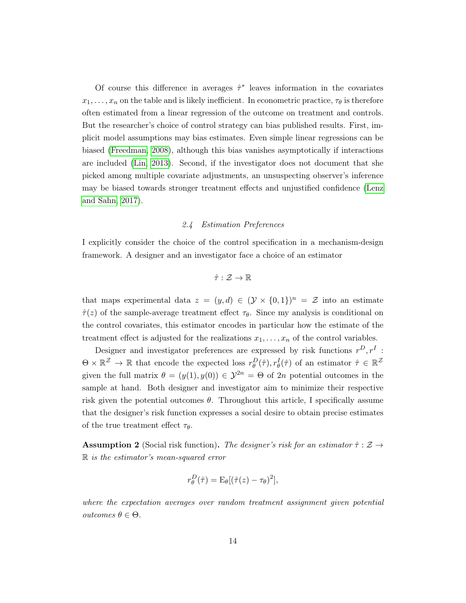Of course this difference in averages  $\hat{\tau}^*$  leaves information in the covariates  $x_1, \ldots, x_n$  on the table and is likely inefficient. In econometric practice,  $\tau_{\theta}$  is therefore often estimated from a linear regression of the outcome on treatment and controls. But the researcher's choice of control strategy can bias published results. First, implicit model assumptions may bias estimates. Even simple linear regressions can be biased [\(Freedman, 2008\)](#page-44-9), although this bias vanishes asymptotically if interactions are included [\(Lin, 2013\)](#page-46-9). Second, if the investigator does not document that she picked among multiple covariate adjustments, an unsuspecting observer's inference may be biased towards stronger treatment effects and unjustified confidence [\(Lenz](#page-46-10) [and Sahn, 2017\)](#page-46-10).

#### 2.4 Estimation Preferences

I explicitly consider the choice of the control specification in a mechanism-design framework. A designer and an investigator face a choice of an estimator

$$
\hat{\tau}:\mathcal{Z}\to\mathbb{R}
$$

that maps experimental data  $z = (y, d) \in (\mathcal{Y} \times \{0, 1\})^n = \mathcal{Z}$  into an estimate  $\hat{\tau}(z)$  of the sample-average treatment effect  $\tau_{\theta}$ . Since my analysis is conditional on the control covariates, this estimator encodes in particular how the estimate of the treatment effect is adjusted for the realizations  $x_1, \ldots, x_n$  of the control variables.

Designer and investigator preferences are expressed by risk functions  $r^D, r^I$ :  $\Theta \times \mathbb{R}^{\mathcal{Z}} \to \mathbb{R}$  that encode the expected loss  $r_{\theta}^D(\hat{\tau}), r_{\theta}^I(\hat{\tau})$  of an estimator  $\hat{\tau} \in \mathbb{R}^{\mathcal{Z}}$ given the full matrix  $\theta = (y(1), y(0)) \in \mathcal{Y}^{2n} = \Theta$  of  $2n$  potential outcomes in the sample at hand. Both designer and investigator aim to minimize their respective risk given the potential outcomes  $\theta$ . Throughout this article, I specifically assume that the designer's risk function expresses a social desire to obtain precise estimates of the true treatment effect  $\tau_{\theta}$ .

**Assumption 2** (Social risk function). The designer's risk for an estimator  $\hat{\tau}$  :  $\mathcal{Z} \rightarrow$ R is the estimator's mean-squared error

$$
r_{\theta}^{D}(\hat{\tau}) = \mathcal{E}_{\theta}[(\hat{\tau}(z) - \tau_{\theta})^{2}],
$$

where the expectation averages over random treatment assignment given potential outcomes θ ∈ Θ.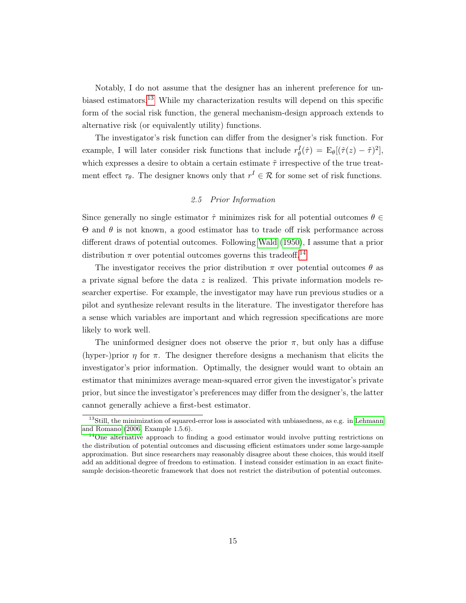Notably, I do not assume that the designer has an inherent preference for unbiased estimators.[13](#page-14-0) While my characterization results will depend on this specific form of the social risk function, the general mechanism-design approach extends to alternative risk (or equivalently utility) functions.

The investigator's risk function can differ from the designer's risk function. For example, I will later consider risk functions that include  $r_{\theta}^{I}(\hat{\tau}) = \mathbb{E}_{\theta}[(\hat{\tau}(z) - \tilde{\tau})^{2}],$ which expresses a desire to obtain a certain estimate  $\tilde{\tau}$  irrespective of the true treatment effect  $\tau_{\theta}$ . The designer knows only that  $r^I \in \mathcal{R}$  for some set of risk functions.

## 2.5 Prior Information

Since generally no single estimator  $\hat{\tau}$  minimizes risk for all potential outcomes  $\theta \in$  $\Theta$  and  $\theta$  is not known, a good estimator has to trade off risk performance across different draws of potential outcomes. Following [Wald](#page-47-6) [\(1950\)](#page-47-6), I assume that a prior distribution  $\pi$  over potential outcomes governs this tradeoff.<sup>[14](#page-14-1)</sup>

The investigator receives the prior distribution  $\pi$  over potential outcomes  $\theta$  as a private signal before the data  $z$  is realized. This private information models researcher expertise. For example, the investigator may have run previous studies or a pilot and synthesize relevant results in the literature. The investigator therefore has a sense which variables are important and which regression specifications are more likely to work well.

The uninformed designer does not observe the prior  $\pi$ , but only has a diffuse (hyper-)prior  $\eta$  for  $\pi$ . The designer therefore designs a mechanism that elicits the investigator's prior information. Optimally, the designer would want to obtain an estimator that minimizes average mean-squared error given the investigator's private prior, but since the investigator's preferences may differ from the designer's, the latter cannot generally achieve a first-best estimator.

<span id="page-14-0"></span> $13\text{Still}$ , the minimization of squared-error loss is associated with unbiasedness, as e.g. in [Lehmann](#page-46-11) [and Romano](#page-46-11) [\(2006,](#page-46-11) Example 1.5.6).

<span id="page-14-1"></span><sup>&</sup>lt;sup>14</sup>One alternative approach to finding a good estimator would involve putting restrictions on the distribution of potential outcomes and discussing efficient estimators under some large-sample approximation. But since researchers may reasonably disagree about these choices, this would itself add an additional degree of freedom to estimation. I instead consider estimation in an exact finitesample decision-theoretic framework that does not restrict the distribution of potential outcomes.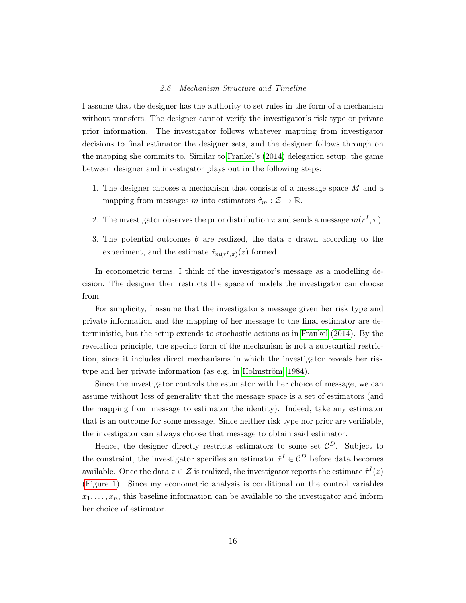#### 2.6 Mechanism Structure and Timeline

I assume that the designer has the authority to set rules in the form of a mechanism without transfers. The designer cannot verify the investigator's risk type or private prior information. The investigator follows whatever mapping from investigator decisions to final estimator the designer sets, and the designer follows through on the mapping she commits to. Similar to [Frankel'](#page-44-0)s [\(2014\)](#page-44-0) delegation setup, the game between designer and investigator plays out in the following steps:

- 1. The designer chooses a mechanism that consists of a message space M and a mapping from messages m into estimators  $\hat{\tau}_m : \mathcal{Z} \to \mathbb{R}$ .
- 2. The investigator observes the prior distribution  $\pi$  and sends a message  $m(r^I, \pi)$ .
- 3. The potential outcomes  $\theta$  are realized, the data z drawn according to the experiment, and the estimate  $\hat{\tau}_{m(r^I,\pi)}(z)$  formed.

In econometric terms, I think of the investigator's message as a modelling decision. The designer then restricts the space of models the investigator can choose from.

For simplicity, I assume that the investigator's message given her risk type and private information and the mapping of her message to the final estimator are deterministic, but the setup extends to stochastic actions as in [Frankel](#page-44-0) [\(2014\)](#page-44-0). By the revelation principle, the specific form of the mechanism is not a substantial restriction, since it includes direct mechanisms in which the investigator reveals her risk type and her private information (as e.g. in [Holmström, 1984\)](#page-45-2).

Since the investigator controls the estimator with her choice of message, we can assume without loss of generality that the message space is a set of estimators (and the mapping from message to estimator the identity). Indeed, take any estimator that is an outcome for some message. Since neither risk type nor prior are verifiable, the investigator can always choose that message to obtain said estimator.

Hence, the designer directly restricts estimators to some set  $\mathcal{C}^D$ . Subject to the constraint, the investigator specifies an estimator  $\hat{\tau}^I \in \mathcal{C}^D$  before data becomes available. Once the data  $z \in \mathcal{Z}$  is realized, the investigator reports the estimate  $\hat{\tau}^{I}(z)$ [\(Figure 1\)](#page-16-0). Since my econometric analysis is conditional on the control variables  $x_1, \ldots, x_n$ , this baseline information can be available to the investigator and inform her choice of estimator.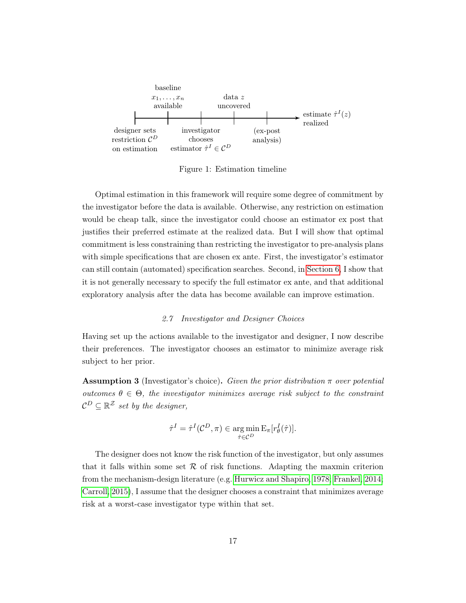

<span id="page-16-0"></span>Figure 1: Estimation timeline

Optimal estimation in this framework will require some degree of commitment by the investigator before the data is available. Otherwise, any restriction on estimation would be cheap talk, since the investigator could choose an estimator ex post that justifies their preferred estimate at the realized data. But I will show that optimal commitment is less constraining than restricting the investigator to pre-analysis plans with simple specifications that are chosen ex ante. First, the investigator's estimator can still contain (automated) specification searches. Second, in [Section 6,](#page-34-0) I show that it is not generally necessary to specify the full estimator ex ante, and that additional exploratory analysis after the data has become available can improve estimation.

#### 2.7 Investigator and Designer Choices

Having set up the actions available to the investigator and designer, I now describe their preferences. The investigator chooses an estimator to minimize average risk subject to her prior.

**Assumption 3** (Investigator's choice). Given the prior distribution  $\pi$  over potential outcomes  $\theta \in \Theta$ , the investigator minimizes average risk subject to the constraint  $\mathcal{C}^D \subseteq \mathbb{R}^{\mathcal{Z}}$  set by the designer,

$$
\hat{\tau}^I = \hat{\tau}^I(\mathcal{C}^D, \pi) \in \operatorname*{arg\,min}_{\hat{\tau} \in \mathcal{C}^D} E_{\pi}[r_{\theta}^I(\hat{\tau})].
$$

<span id="page-16-1"></span>The designer does not know the risk function of the investigator, but only assumes that it falls within some set  $R$  of risk functions. Adapting the maxmin criterion from the mechanism-design literature (e.g. [Hurwicz and Shapiro, 1978;](#page-45-10) [Frankel, 2014;](#page-44-0) [Carroll, 2015\)](#page-44-10), I assume that the designer chooses a constraint that minimizes average risk at a worst-case investigator type within that set.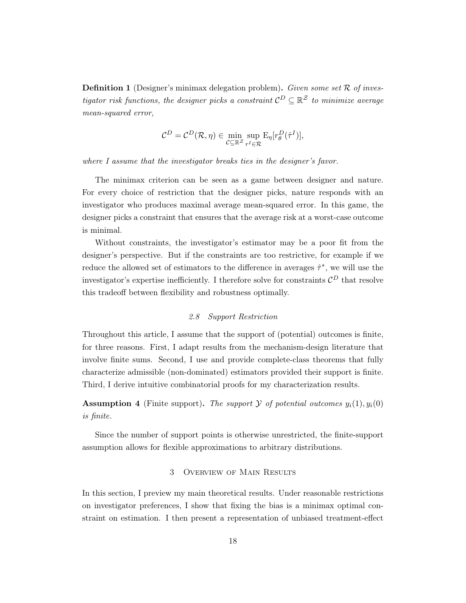**Definition 1** (Designer's minimax delegation problem). Given some set  $\mathcal{R}$  of investigator risk functions, the designer picks a constraint  $C^D \subseteq \mathbb{R}^{\mathcal{Z}}$  to minimize average mean-squared error,

$$
\mathcal{C}^D = \mathcal{C}^D(\mathcal{R}, \eta) \in \min_{\mathcal{C} \subseteq \mathbb{R}^{\mathcal{Z}}} \sup_{r^I \in \mathcal{R}} \mathcal{E}_{\eta}[r^D_{\theta}(\hat{\tau}^I)],
$$

where I assume that the investigator breaks ties in the designer's favor.

The minimax criterion can be seen as a game between designer and nature. For every choice of restriction that the designer picks, nature responds with an investigator who produces maximal average mean-squared error. In this game, the designer picks a constraint that ensures that the average risk at a worst-case outcome is minimal.

Without constraints, the investigator's estimator may be a poor fit from the designer's perspective. But if the constraints are too restrictive, for example if we reduce the allowed set of estimators to the difference in averages  $\hat{\tau}^*$ , we will use the investigator's expertise inefficiently. I therefore solve for constraints  $\mathcal{C}^D$  that resolve this tradeoff between flexibility and robustness optimally.

## 2.8 Support Restriction

Throughout this article, I assume that the support of (potential) outcomes is finite, for three reasons. First, I adapt results from the mechanism-design literature that involve finite sums. Second, I use and provide complete-class theorems that fully characterize admissible (non-dominated) estimators provided their support is finite. Third, I derive intuitive combinatorial proofs for my characterization results.

**Assumption 4** (Finite support). The support  $\mathcal{Y}$  of potential outcomes  $y_i(1), y_i(0)$ is finite.

Since the number of support points is otherwise unrestricted, the finite-support assumption allows for flexible approximations to arbitrary distributions.

## 3 Overview of Main Results

<span id="page-17-0"></span>In this section, I preview my main theoretical results. Under reasonable restrictions on investigator preferences, I show that fixing the bias is a minimax optimal constraint on estimation. I then present a representation of unbiased treatment-effect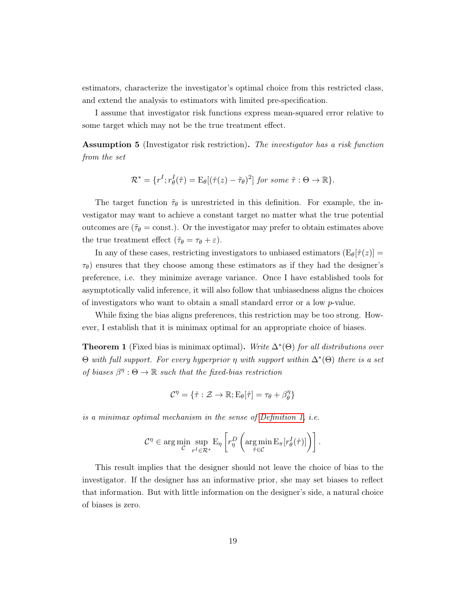estimators, characterize the investigator's optimal choice from this restricted class, and extend the analysis to estimators with limited pre-specification.

I assume that investigator risk functions express mean-squared error relative to some target which may not be the true treatment effect.

<span id="page-18-1"></span>Assumption 5 (Investigator risk restriction). The investigator has a risk function from the set

$$
\mathcal{R}^* = \{r^I; r^I_\theta(\hat{\tau}) = \mathbb{E}_\theta[(\hat{\tau}(z) - \tilde{\tau}_\theta)^2] \text{ for some } \tilde{\tau} : \Theta \to \mathbb{R}\}.
$$

The target function  $\tilde{\tau}_{\theta}$  is unrestricted in this definition. For example, the investigator may want to achieve a constant target no matter what the true potential outcomes are  $(\tilde{\tau}_{\theta} = \text{const.})$ . Or the investigator may prefer to obtain estimates above the true treatment effect  $(\tilde{\tau}_{\theta} = \tau_{\theta} + \varepsilon)$ .

In any of these cases, restricting investigators to unbiased estimators  $(E_{\theta}|\hat{\tau}(z))$  =  $\tau_{\theta}$ ) ensures that they choose among these estimators as if they had the designer's preference, i.e. they minimize average variance. Once I have established tools for asymptotically valid inference, it will also follow that unbiasedness aligns the choices of investigators who want to obtain a small standard error or a low p-value.

While fixing the bias aligns preferences, this restriction may be too strong. However, I establish that it is minimax optimal for an appropriate choice of biases.

<span id="page-18-0"></span>**Theorem 1** (Fixed bias is minimax optimal). Write  $\Delta^*(\Theta)$  for all distributions over  $\Theta$  with full support. For every hyperprior  $\eta$  with support within  $\Delta^*(\Theta)$  there is a set of biases  $\beta^{\eta}$ :  $\Theta \to \mathbb{R}$  such that the fixed-bias restriction

$$
\mathcal{C}^{\eta} = \{ \hat{\tau} : \mathcal{Z} \to \mathbb{R}; \mathrm{E}_{\theta}[\hat{\tau}] = \tau_{\theta} + \beta^{\eta}_{\theta} \}
$$

is a minimax optimal mechanism in the sense of [Definition 1,](#page-16-1) i.e.

$$
\mathcal{C}^{\eta} \in \arg\min_{\mathcal{C}} \sup_{r^I \in \mathcal{R}^*} \mathcal{E}_{\eta} \left[ r_{\eta}^D \left( \arg\min_{\hat{\tau} \in \mathcal{C}} \mathcal{E}_{\pi} [r_{\theta}^I(\hat{\tau})] \right) \right].
$$

This result implies that the designer should not leave the choice of bias to the investigator. If the designer has an informative prior, she may set biases to reflect that information. But with little information on the designer's side, a natural choice of biases is zero.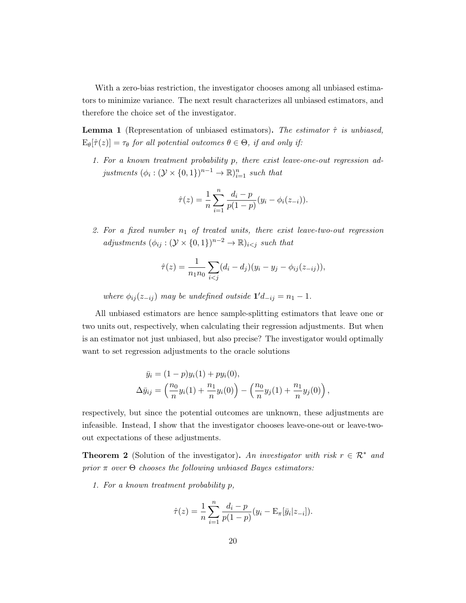With a zero-bias restriction, the investigator chooses among all unbiased estimators to minimize variance. The next result characterizes all unbiased estimators, and therefore the choice set of the investigator.

<span id="page-19-0"></span>**Lemma 1** (Representation of unbiased estimators). The estimator  $\hat{\tau}$  is unbiased,  $E_{\theta}[\hat{\tau}(z)] = \tau_{\theta}$  for all potential outcomes  $\theta \in \Theta$ , if and only if:

1. For a known treatment probability p, there exist leave-one-out regression adjustments  $(\phi_i : (\mathcal{Y} \times \{0,1\})^{n-1} \to \mathbb{R})_{i=1}^n$  such that

$$
\hat{\tau}(z) = \frac{1}{n} \sum_{i=1}^{n} \frac{d_i - p}{p(1-p)} (y_i - \phi_i(z_{-i})).
$$

2. For a fixed number  $n_1$  of treated units, there exist leave-two-out regression adjustments  $(\phi_{ij} : (\mathcal{Y} \times \{0,1\})^{n-2} \to \mathbb{R})_{i < j}$  such that

$$
\hat{\tau}(z) = \frac{1}{n_1 n_0} \sum_{i < j} (d_i - d_j)(y_i - y_j - \phi_{ij}(z_{-ij})),
$$

where  $\phi_{ij}(z_{-ij})$  may be undefined outside  $\mathbf{1}'d_{-ij} = n_1 - 1$ .

All unbiased estimators are hence sample-splitting estimators that leave one or two units out, respectively, when calculating their regression adjustments. But when is an estimator not just unbiased, but also precise? The investigator would optimally want to set regression adjustments to the oracle solutions

$$
\bar{y}_i = (1-p)y_i(1) + py_i(0),
$$
  
\n
$$
\Delta \bar{y}_{ij} = \left(\frac{n_0}{n}y_i(1) + \frac{n_1}{n}y_i(0)\right) - \left(\frac{n_0}{n}y_j(1) + \frac{n_1}{n}y_j(0)\right),
$$

respectively, but since the potential outcomes are unknown, these adjustments are infeasible. Instead, I show that the investigator chooses leave-one-out or leave-twoout expectations of these adjustments.

<span id="page-19-1"></span>**Theorem 2** (Solution of the investigator). An investigator with risk  $r \in \mathbb{R}^*$  and prior  $\pi$  over  $\Theta$  chooses the following unbiased Bayes estimators:

1. For a known treatment probability p,

$$
\hat{\tau}(z) = \frac{1}{n} \sum_{i=1}^{n} \frac{d_i - p}{p(1-p)} (y_i - \mathbf{E}_{\pi}[\bar{y}_i | z_{-i}]).
$$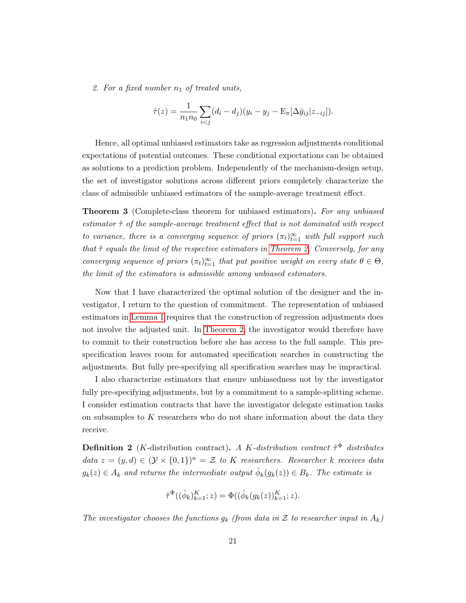2. For a fixed number  $n_1$  of treated units,

$$
\hat{\tau}(z) = \frac{1}{n_1 n_0} \sum_{i < j} (d_i - d_j)(y_i - y_j - \mathbf{E}_{\pi}[\Delta \bar{y}_{ij} | z_{-ij}]).
$$

Hence, all optimal unbiased estimators take as regression adjustments conditional expectations of potential outcomes. These conditional expectations can be obtained as solutions to a prediction problem. Independently of the mechanism-design setup, the set of investigator solutions across different priors completely characterize the class of admissible unbiased estimators of the sample-average treatment effect.

<span id="page-20-0"></span>**Theorem 3** (Complete-class theorem for unbiased estimators). For any unbiased estimator  $\hat{\tau}$  of the sample-average treatment effect that is not dominated with respect to variance, there is a converging sequence of priors  $(\pi_t)_{t=1}^{\infty}$  with full support such that  $\hat{\tau}$  equals the limit of the respective estimators in [Theorem 2.](#page-19-1) Conversely, for any converging sequence of priors  $(\pi_t)_{t=1}^{\infty}$  that put positive weight on every state  $\theta \in \Theta$ , the limit of the estimators is admissible among unbiased estimators.

Now that I have characterized the optimal solution of the designer and the investigator, I return to the question of commitment. The representation of unbiased estimators in [Lemma 1](#page-19-0) requires that the construction of regression adjustments does not involve the adjusted unit. In [Theorem 2,](#page-19-1) the investigator would therefore have to commit to their construction before she has access to the full sample. This prespecification leaves room for automated specification searches in constructing the adjustments. But fully pre-specifying all specification searches may be impractical.

I also characterize estimators that ensure unbiasedness not by the investigator fully pre-specifying adjustments, but by a commitment to a sample-splitting scheme. I consider estimation contracts that have the investigator delegate estimation tasks on subsamples to  $K$  researchers who do not share information about the data they receive.

**Definition 2** (*K*-distribution contract). A *K*-distribution contract  $\hat{\tau}^{\Phi}$  distributes data  $z = (y, d) \in (\mathcal{Y} \times \{0, 1\})^n = \mathcal{Z}$  to K researchers. Researcher k receives data  $g_k(z) \in A_k$  and returns the intermediate output  $\hat{\phi}_k(g_k(z)) \in B_k$ . The estimate is

$$
\hat{\tau}^{\Phi}((\hat{\phi}_k)_{k=1}^K; z) = \Phi((\hat{\phi}_k(g_k(z))_{k=1}^K; z).
$$

The investigator chooses the functions  $g_k$  (from data in Z to researcher input in  $A_k$ )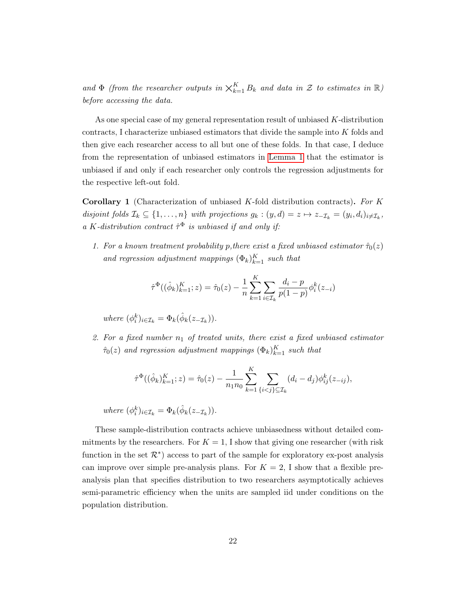and  $\Phi$  (from the researcher outputs in  $\chi_{k=1}^K B_k$  and data in  $\mathcal Z$  to estimates in  $\mathbb R$ ) before accessing the data.

As one special case of my general representation result of unbiased K-distribution contracts, I characterize unbiased estimators that divide the sample into K folds and then give each researcher access to all but one of these folds. In that case, I deduce from the representation of unbiased estimators in [Lemma 1](#page-19-0) that the estimator is unbiased if and only if each researcher only controls the regression adjustments for the respective left-out fold.

<span id="page-21-0"></span>**Corollary 1** (Characterization of unbiased  $K$ -fold distribution contracts). For  $K$ disjoint folds  $\mathcal{I}_k \subseteq \{1,\ldots,n\}$  with projections  $g_k : (y,d) = z \mapsto z_{-\mathcal{I}_k} = (y_i,d_i)_{i \neq \mathcal{I}_k}$ , a K-distribution contract  $\hat{\tau}^{\Phi}$  is unbiased if and only if:

1. For a known treatment probability p, there exist a fixed unbiased estimator  $\hat{\tau}_0(z)$ and regression adjustment mappings  $(\Phi_k)_{k=1}^K$  such that

$$
\hat{\tau}^{\Phi}((\hat{\phi}_k)_{k=1}^K; z) = \hat{\tau}_0(z) - \frac{1}{n} \sum_{k=1}^K \sum_{i \in \mathcal{I}_k} \frac{d_i - p}{p(1 - p)} \phi_i^k(z_{-i})
$$

where  $(\phi_i^k)_{i \in \mathcal{I}_k} = \Phi_k(\hat{\phi}_k(z_{-\mathcal{I}_k}))$ .

2. For a fixed number  $n_1$  of treated units, there exist a fixed unbiased estimator  $\hat{\tau}_0(z)$  and regression adjustment mappings  $(\Phi_k)_{k=1}^K$  such that

$$
\hat{\tau}^{\Phi}((\hat{\phi}_k)_{k=1}^K; z) = \hat{\tau}_0(z) - \frac{1}{n_1 n_0} \sum_{k=1}^K \sum_{\{i < j\} \subseteq \mathcal{I}_k} (d_i - d_j) \phi_{ij}^k(z_{-ij}),
$$

where  $(\phi_i^k)_{i \in \mathcal{I}_k} = \Phi_k(\hat{\phi}_k(z_{-\mathcal{I}_k}))$ .

These sample-distribution contracts achieve unbiasedness without detailed commitments by the researchers. For  $K = 1$ , I show that giving one researcher (with risk function in the set  $\mathcal{R}^*$ ) access to part of the sample for exploratory ex-post analysis can improve over simple pre-analysis plans. For  $K = 2$ , I show that a flexible preanalysis plan that specifies distribution to two researchers asymptotically achieves semi-parametric efficiency when the units are sampled iid under conditions on the population distribution.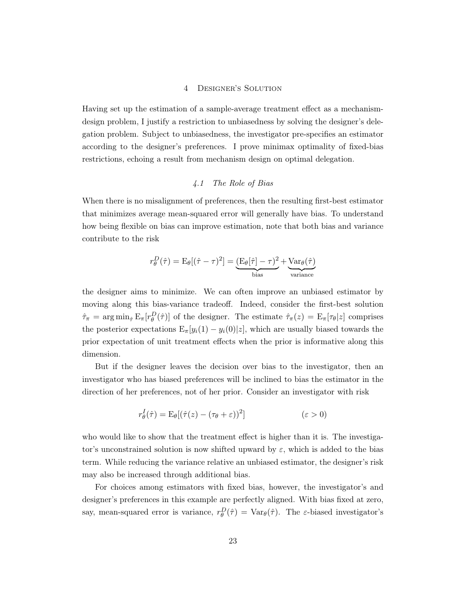#### 4 Designer's Solution

<span id="page-22-0"></span>Having set up the estimation of a sample-average treatment effect as a mechanismdesign problem, I justify a restriction to unbiasedness by solving the designer's delegation problem. Subject to unbiasedness, the investigator pre-specifies an estimator according to the designer's preferences. I prove minimax optimality of fixed-bias restrictions, echoing a result from mechanism design on optimal delegation.

## 4.1 The Role of Bias

When there is no misalignment of preferences, then the resulting first-best estimator that minimizes average mean-squared error will generally have bias. To understand how being flexible on bias can improve estimation, note that both bias and variance contribute to the risk

$$
r_{\theta}^{D}(\hat{\tau}) = \mathcal{E}_{\theta}[(\hat{\tau} - \tau)^{2}] = \underbrace{(\mathcal{E}_{\theta}[\hat{\tau}] - \tau)^{2}}_{\text{bias}} + \underbrace{\text{Var}_{\theta}(\hat{\tau})}_{\text{variance}}
$$

the designer aims to minimize. We can often improve an unbiased estimator by moving along this bias-variance tradeoff. Indeed, consider the first-best solution  $\hat{\tau}_{\pi} = \arg \min_{\hat{\tau}} \mathbb{E}_{\pi} [r_{\theta}^D(\hat{\tau})]$  of the designer. The estimate  $\hat{\tau}_{\pi}(z) = \mathbb{E}_{\pi} [\tau_{\theta}|z]$  comprises the posterior expectations  $E_{\pi}[y_i(1) - y_i(0)|z]$ , which are usually biased towards the prior expectation of unit treatment effects when the prior is informative along this dimension.

But if the designer leaves the decision over bias to the investigator, then an investigator who has biased preferences will be inclined to bias the estimator in the direction of her preferences, not of her prior. Consider an investigator with risk

$$
r_{\theta}^{I}(\hat{\tau}) = \mathcal{E}_{\theta}[(\hat{\tau}(z) - (\tau_{\theta} + \varepsilon))^{2}] \qquad (\varepsilon > 0)
$$

who would like to show that the treatment effect is higher than it is. The investigator's unconstrained solution is now shifted upward by  $\varepsilon$ , which is added to the bias term. While reducing the variance relative an unbiased estimator, the designer's risk may also be increased through additional bias.

For choices among estimators with fixed bias, however, the investigator's and designer's preferences in this example are perfectly aligned. With bias fixed at zero, say, mean-squared error is variance,  $r_{\theta}^{D}(\hat{\tau}) = \text{Var}_{\theta}(\hat{\tau})$ . The  $\varepsilon$ -biased investigator's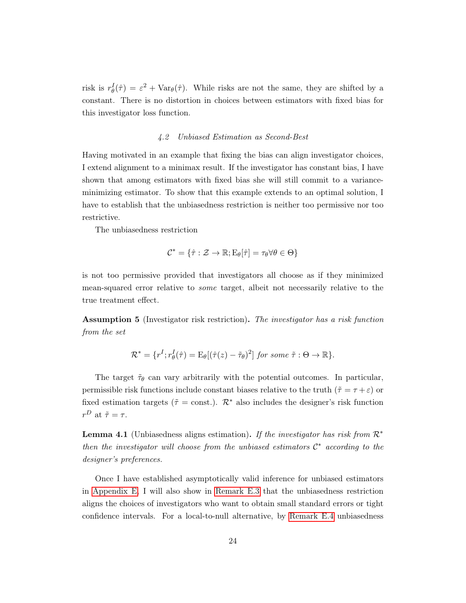risk is  $r_{\theta}^{I}(\hat{\tau}) = \varepsilon^{2} + \text{Var}_{\theta}(\hat{\tau})$ . While risks are not the same, they are shifted by a constant. There is no distortion in choices between estimators with fixed bias for this investigator loss function.

#### 4.2 Unbiased Estimation as Second-Best

Having motivated in an example that fixing the bias can align investigator choices, I extend alignment to a minimax result. If the investigator has constant bias, I have shown that among estimators with fixed bias she will still commit to a varianceminimizing estimator. To show that this example extends to an optimal solution, I have to establish that the unbiasedness restriction is neither too permissive nor too restrictive.

The unbiasedness restriction

$$
\mathcal{C}^* = \{ \hat{\tau} : \mathcal{Z} \to \mathbb{R}; E_{\theta}[\hat{\tau}] = \tau_{\theta} \forall \theta \in \Theta \}
$$

is not too permissive provided that investigators all choose as if they minimized mean-squared error relative to some target, albeit not necessarily relative to the true treatment effect.

Assumption 5 (Investigator risk restriction). The investigator has a risk function from the set

$$
\mathcal{R}^* = \{r^I; r^I_\theta(\hat{\tau}) = \mathbb{E}_\theta[(\hat{\tau}(z) - \tilde{\tau}_\theta)^2] \text{ for some } \tilde{\tau} : \Theta \to \mathbb{R}\}.
$$

The target  $\tilde{\tau}_{\theta}$  can vary arbitrarily with the potential outcomes. In particular, permissible risk functions include constant biases relative to the truth  $(\tilde{\tau} = \tau + \varepsilon)$  or fixed estimation targets ( $\tilde{\tau} = \text{const.}$ ).  $\mathcal{R}^*$  also includes the designer's risk function  $r^D$  at  $\tilde{\tau} = \tau$ .

**Lemma 4.1** (Unbiasedness aligns estimation). If the investigator has risk from  $\mathcal{R}^*$ then the investigator will choose from the unbiased estimators  $\mathcal{C}^*$  according to the designer's preferences.

Once I have established asymptotically valid inference for unbiased estimators in [Appendix E,](#page-69-0) I will also show in [Remark E.3](#page-41-0) that the unbiasedness restriction aligns the choices of investigators who want to obtain small standard errors or tight confidence intervals. For a local-to-null alternative, by [Remark E.4](#page-74-0) unbiasedness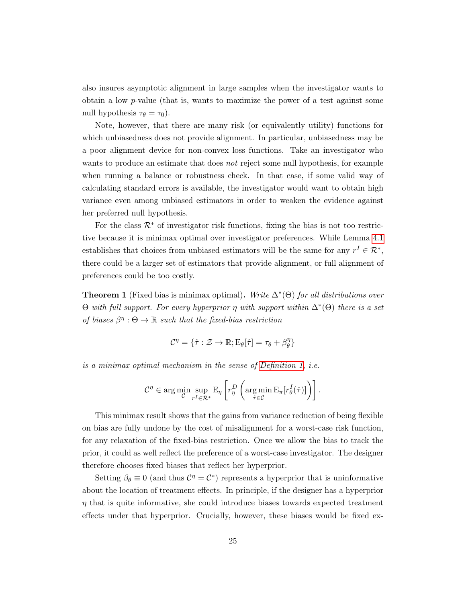also insures asymptotic alignment in large samples when the investigator wants to obtain a low p-value (that is, wants to maximize the power of a test against some null hypothesis  $\tau_{\theta} = \tau_0$ ).

Note, however, that there are many risk (or equivalently utility) functions for which unbiasedness does not provide alignment. In particular, unbiasedness may be a poor alignment device for non-convex loss functions. Take an investigator who wants to produce an estimate that does *not* reject some null hypothesis, for example when running a balance or robustness check. In that case, if some valid way of calculating standard errors is available, the investigator would want to obtain high variance even among unbiased estimators in order to weaken the evidence against her preferred null hypothesis.

For the class  $\mathcal{R}^*$  of investigator risk functions, fixing the bias is not too restrictive because it is minimax optimal over investigator preferences. While Lemma [4.1](#page-19-0) establishes that choices from unbiased estimators will be the same for any  $r^I \in \mathcal{R}^*$ , there could be a larger set of estimators that provide alignment, or full alignment of preferences could be too costly.

**Theorem 1** (Fixed bias is minimax optimal). Write  $\Delta^*(\Theta)$  for all distributions over  $\Theta$  with full support. For every hyperprior  $\eta$  with support within  $\Delta^*(\Theta)$  there is a set of biases  $\beta^{\eta}: \Theta \to \mathbb{R}$  such that the fixed-bias restriction

$$
\mathcal{C}^{\eta} = \{ \hat{\tau} : \mathcal{Z} \to \mathbb{R}; E_{\theta}[\hat{\tau}] = \tau_{\theta} + \beta^{\eta}_{\theta} \}
$$

is a minimax optimal mechanism in the sense of [Definition 1,](#page-16-1) i.e.

$$
\mathcal{C}^{\eta} \in \arg\min_{\mathcal{C}} \sup_{r^I \in \mathcal{R}^*} \mathcal{E}_{\eta} \left[ r_{\eta}^D \left( \arg\min_{\hat{\tau} \in \mathcal{C}} \mathcal{E}_{\pi} [r_{\theta}^I(\hat{\tau})] \right) \right].
$$

This minimax result shows that the gains from variance reduction of being flexible on bias are fully undone by the cost of misalignment for a worst-case risk function, for any relaxation of the fixed-bias restriction. Once we allow the bias to track the prior, it could as well reflect the preference of a worst-case investigator. The designer therefore chooses fixed biases that reflect her hyperprior.

Setting  $\beta_{\theta} \equiv 0$  (and thus  $\mathcal{C}^{\eta} = \mathcal{C}^*$ ) represents a hyperprior that is uninformative about the location of treatment effects. In principle, if the designer has a hyperprior  $\eta$  that is quite informative, she could introduce biases towards expected treatment effects under that hyperprior. Crucially, however, these biases would be fixed ex-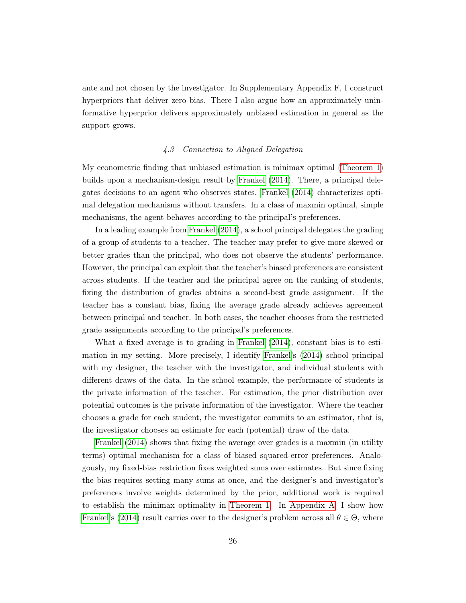ante and not chosen by the investigator. In Supplementary Appendix F, I construct hyperpriors that deliver zero bias. There I also argue how an approximately uninformative hyperprior delivers approximately unbiased estimation in general as the support grows.

## 4.3 Connection to Aligned Delegation

My econometric finding that unbiased estimation is minimax optimal [\(Theorem 1\)](#page-18-0) builds upon a mechanism-design result by [Frankel](#page-44-0) [\(2014\)](#page-44-0). There, a principal delegates decisions to an agent who observes states. [Frankel](#page-44-0) [\(2014\)](#page-44-0) characterizes optimal delegation mechanisms without transfers. In a class of maxmin optimal, simple mechanisms, the agent behaves according to the principal's preferences.

In a leading example from [Frankel](#page-44-0) [\(2014\)](#page-44-0), a school principal delegates the grading of a group of students to a teacher. The teacher may prefer to give more skewed or better grades than the principal, who does not observe the students' performance. However, the principal can exploit that the teacher's biased preferences are consistent across students. If the teacher and the principal agree on the ranking of students, fixing the distribution of grades obtains a second-best grade assignment. If the teacher has a constant bias, fixing the average grade already achieves agreement between principal and teacher. In both cases, the teacher chooses from the restricted grade assignments according to the principal's preferences.

What a fixed average is to grading in [Frankel](#page-44-0) [\(2014\)](#page-44-0), constant bias is to estimation in my setting. More precisely, I identify [Frankel'](#page-44-0)s [\(2014\)](#page-44-0) school principal with my designer, the teacher with the investigator, and individual students with different draws of the data. In the school example, the performance of students is the private information of the teacher. For estimation, the prior distribution over potential outcomes is the private information of the investigator. Where the teacher chooses a grade for each student, the investigator commits to an estimator, that is, the investigator chooses an estimate for each (potential) draw of the data.

[Frankel](#page-44-0) [\(2014\)](#page-44-0) shows that fixing the average over grades is a maxmin (in utility terms) optimal mechanism for a class of biased squared-error preferences. Analogously, my fixed-bias restriction fixes weighted sums over estimates. But since fixing the bias requires setting many sums at once, and the designer's and investigator's preferences involve weights determined by the prior, additional work is required to establish the minimax optimality in [Theorem 1.](#page-18-0) In [Appendix A,](#page-48-1) I show how [Frankel'](#page-44-0)s [\(2014\)](#page-44-0) result carries over to the designer's problem across all  $\theta \in \Theta$ , where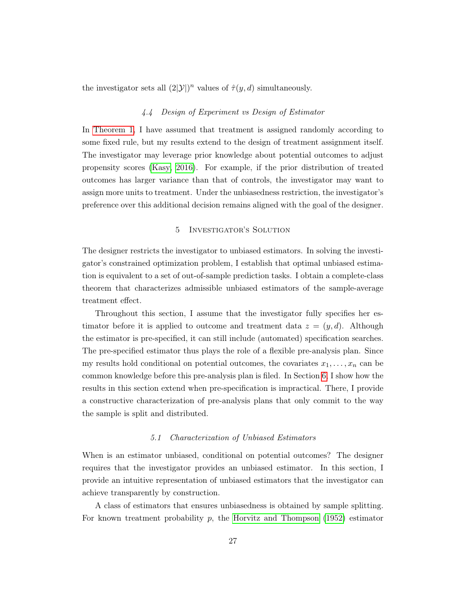the investigator sets all  $(2|\mathcal{Y}|)^n$  values of  $\hat{\tau}(y, d)$  simultaneously.

#### 4.4 Design of Experiment vs Design of Estimator

In [Theorem 1,](#page-18-0) I have assumed that treatment is assigned randomly according to some fixed rule, but my results extend to the design of treatment assignment itself. The investigator may leverage prior knowledge about potential outcomes to adjust propensity scores [\(Kasy, 2016\)](#page-46-12). For example, if the prior distribution of treated outcomes has larger variance than that of controls, the investigator may want to assign more units to treatment. Under the unbiasedness restriction, the investigator's preference over this additional decision remains aligned with the goal of the designer.

## 5 Investigator's Solution

<span id="page-26-0"></span>The designer restricts the investigator to unbiased estimators. In solving the investigator's constrained optimization problem, I establish that optimal unbiased estimation is equivalent to a set of out-of-sample prediction tasks. I obtain a complete-class theorem that characterizes admissible unbiased estimators of the sample-average treatment effect.

Throughout this section, I assume that the investigator fully specifies her estimator before it is applied to outcome and treatment data  $z = (y, d)$ . Although the estimator is pre-specified, it can still include (automated) specification searches. The pre-specified estimator thus plays the role of a flexible pre-analysis plan. Since my results hold conditional on potential outcomes, the covariates  $x_1, \ldots, x_n$  can be common knowledge before this pre-analysis plan is filed. In Section [6,](#page-34-0) I show how the results in this section extend when pre-specification is impractical. There, I provide a constructive characterization of pre-analysis plans that only commit to the way the sample is split and distributed.

#### 5.1 Characterization of Unbiased Estimators

When is an estimator unbiased, conditional on potential outcomes? The designer requires that the investigator provides an unbiased estimator. In this section, I provide an intuitive representation of unbiased estimators that the investigator can achieve transparently by construction.

A class of estimators that ensures unbiasedness is obtained by sample splitting. For known treatment probability  $p$ , the [Horvitz and Thompson](#page-45-3) [\(1952\)](#page-45-3) estimator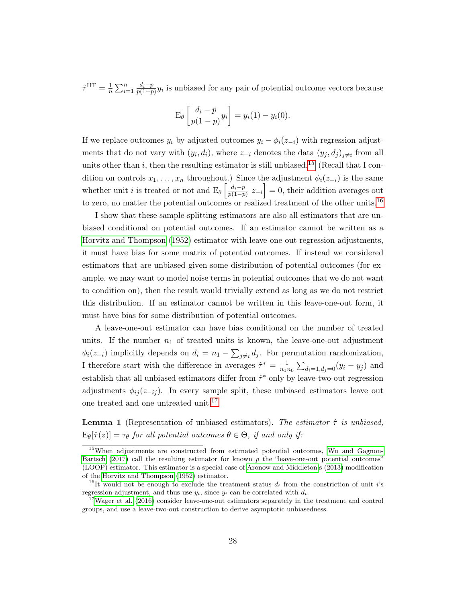$\hat{\tau}^{\text{HT}} = \frac{1}{n}$  $\frac{1}{n}\sum_{i=1}^n \frac{d_i-p}{p(1-p)}$  $\frac{a_i-p}{p(1-p)}y_i$  is unbiased for any pair of potential outcome vectors because

$$
\mathrm{E}_{\theta}\left[\frac{d_i-p}{p(1-p)}y_i\right] = y_i(1) - y_i(0).
$$

If we replace outcomes  $y_i$  by adjusted outcomes  $y_i - \phi_i(z_{-i})$  with regression adjustments that do not vary with  $(y_i, d_i)$ , where  $z_{-i}$  denotes the data  $(y_j, d_j)_{j \neq i}$  from all units other than i, then the resulting estimator is still unbiased.<sup>[15](#page-27-0)</sup> (Recall that I condition on controls  $x_1, \ldots, x_n$  throughout.) Since the adjustment  $\phi_i(z_{-i})$  is the same whether unit *i* is treated or not and  $E_{\theta} \left[ \frac{d_i - p}{p(1 - n)} \right]$  $\left\lfloor \frac{d_i-p}{p(1-p)} \Big| z_{-i} \right\rfloor = 0$ , their addition averages out to zero, no matter the potential outcomes or realized treatment of the other units.<sup>[16](#page-27-1)</sup>

I show that these sample-splitting estimators are also all estimators that are unbiased conditional on potential outcomes. If an estimator cannot be written as a [Horvitz and Thompson](#page-45-3) [\(1952\)](#page-45-3) estimator with leave-one-out regression adjustments, it must have bias for some matrix of potential outcomes. If instead we considered estimators that are unbiased given some distribution of potential outcomes (for example, we may want to model noise terms in potential outcomes that we do not want to condition on), then the result would trivially extend as long as we do not restrict this distribution. If an estimator cannot be written in this leave-one-out form, it must have bias for some distribution of potential outcomes.

A leave-one-out estimator can have bias conditional on the number of treated units. If the number  $n_1$  of treated units is known, the leave-one-out adjustment  $\phi_i(z_{-i})$  implicitly depends on  $d_i = n_1 - \sum_{j \neq i} d_j$ . For permutation randomization, I therefore start with the difference in averages  $\hat{\tau}^* = \frac{1}{n_1 n_2}$  $\frac{1}{n_1 n_0} \sum_{d_i=1, d_j=0} (y_i - y_j)$  and establish that all unbiased estimators differ from  $\hat{\tau}^*$  only by leave-two-out regression adjustments  $\phi_{ij}(z_{-ij})$ . In every sample split, these unbiased estimators leave out one treated and one untreated unit.<sup>[17](#page-27-2)</sup>

**Lemma 1** (Representation of unbiased estimators). The estimator  $\hat{\tau}$  is unbiased,  $E_{\theta}[\hat{\tau}(z)] = \tau_{\theta}$  for all potential outcomes  $\theta \in \Theta$ , if and only if:

<span id="page-27-0"></span><sup>15</sup>When adjustments are constructed from estimated potential outcomes, [Wu and Gagnon-](#page-47-2)[Bartsch](#page-47-2) [\(2017\)](#page-47-2) call the resulting estimator for known  $p$  the "leave-one-out potential outcomes" (LOOP) estimator. This estimator is a special case of [Aronow and Middleton'](#page-43-2)s [\(2013\)](#page-43-2) modification of the [Horvitz and Thompson](#page-45-3) [\(1952\)](#page-45-3) estimator.

<span id="page-27-1"></span><sup>&</sup>lt;sup>16</sup>It would not be enough to exclude the treatment status  $d_i$  from the constriction of unit i's regression adjustment, and thus use  $y_i$ , since  $y_i$  can be correlated with  $d_i$ .

<span id="page-27-2"></span> $17$ [Wager et al.](#page-47-4) [\(2016\)](#page-47-4) consider leave-one-out estimators separately in the treatment and control groups, and use a leave-two-out construction to derive asymptotic unbiasedness.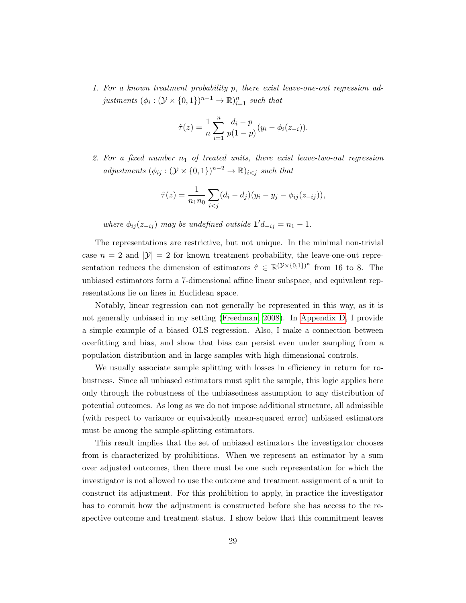1. For a known treatment probability p, there exist leave-one-out regression adjustments  $(\phi_i : (\mathcal{Y} \times \{0,1\})^{n-1} \to \mathbb{R})_{i=1}^n$  such that

$$
\hat{\tau}(z) = \frac{1}{n} \sum_{i=1}^{n} \frac{d_i - p}{p(1-p)} (y_i - \phi_i(z_{-i})).
$$

2. For a fixed number  $n_1$  of treated units, there exist leave-two-out regression adjustments  $(\phi_{ij} : (\mathcal{Y} \times \{0,1\})^{n-2} \to \mathbb{R})_{i < j}$  such that

$$
\hat{\tau}(z) = \frac{1}{n_1 n_0} \sum_{i < j} (d_i - d_j)(y_i - y_j - \phi_{ij}(z_{-ij})),
$$

where  $\phi_{ij}(z_{-ij})$  may be undefined outside  $1'd_{-ij} = n_1 - 1$ .

The representations are restrictive, but not unique. In the minimal non-trivial case  $n = 2$  and  $|\mathcal{Y}| = 2$  for known treatment probability, the leave-one-out representation reduces the dimension of estimators  $\hat{\tau} \in \mathbb{R}^{(\mathcal{Y}\times\{0,1\})^n}$  from 16 to 8. The unbiased estimators form a 7-dimensional affine linear subspace, and equivalent representations lie on lines in Euclidean space.

Notably, linear regression can not generally be represented in this way, as it is not generally unbiased in my setting [\(Freedman, 2008\)](#page-44-9). In [Appendix D,](#page-68-0) I provide a simple example of a biased OLS regression. Also, I make a connection between overfitting and bias, and show that bias can persist even under sampling from a population distribution and in large samples with high-dimensional controls.

We usually associate sample splitting with losses in efficiency in return for robustness. Since all unbiased estimators must split the sample, this logic applies here only through the robustness of the unbiasedness assumption to any distribution of potential outcomes. As long as we do not impose additional structure, all admissible (with respect to variance or equivalently mean-squared error) unbiased estimators must be among the sample-splitting estimators.

This result implies that the set of unbiased estimators the investigator chooses from is characterized by prohibitions. When we represent an estimator by a sum over adjusted outcomes, then there must be one such representation for which the investigator is not allowed to use the outcome and treatment assignment of a unit to construct its adjustment. For this prohibition to apply, in practice the investigator has to commit how the adjustment is constructed before she has access to the respective outcome and treatment status. I show below that this commitment leaves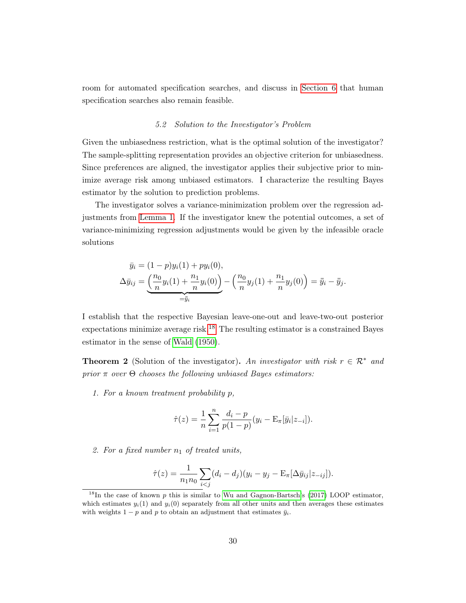room for automated specification searches, and discuss in [Section 6](#page-34-0) that human specification searches also remain feasible.

#### 5.2 Solution to the Investigator's Problem

Given the unbiasedness restriction, what is the optimal solution of the investigator? The sample-splitting representation provides an objective criterion for unbiasedness. Since preferences are aligned, the investigator applies their subjective prior to minimize average risk among unbiased estimators. I characterize the resulting Bayes estimator by the solution to prediction problems.

The investigator solves a variance-minimization problem over the regression adjustments from [Lemma 1.](#page-19-0) If the investigator knew the potential outcomes, a set of variance-minimizing regression adjustments would be given by the infeasible oracle solutions

$$
\bar{y}_i = (1-p)y_i(1) + py_i(0),
$$
  
\n
$$
\Delta \bar{y}_{ij} = \underbrace{\left(\frac{n_0}{n}y_i(1) + \frac{n_1}{n}y_i(0)\right)}_{=\bar{y}_i} - \left(\frac{n_0}{n}y_j(1) + \frac{n_1}{n}y_j(0)\right) = \bar{y}_i - \bar{y}_j.
$$

I establish that the respective Bayesian leave-one-out and leave-two-out posterior expectations minimize average risk.<sup>[18](#page-29-0)</sup> The resulting estimator is a constrained Bayes estimator in the sense of [Wald](#page-47-6) [\(1950\)](#page-47-6).

**Theorem 2** (Solution of the investigator). An investigator with risk  $r \in \mathbb{R}^*$  and prior  $\pi$  over  $\Theta$  chooses the following unbiased Bayes estimators:

1. For a known treatment probability p,

$$
\hat{\tau}(z) = \frac{1}{n} \sum_{i=1}^{n} \frac{d_i - p}{p(1-p)} (y_i - \mathbf{E}_{\pi}[\bar{y}_i | z_{-i}]).
$$

2. For a fixed number  $n_1$  of treated units,

$$
\hat{\tau}(z) = \frac{1}{n_1 n_0} \sum_{i < j} (d_i - d_j)(y_i - y_j - \mathbf{E}_{\pi}[\Delta \bar{y}_{ij} | z_{-ij}]).
$$

<span id="page-29-0"></span><sup>&</sup>lt;sup>18</sup>In the case of known p this is similar to [Wu and Gagnon-Bartsch'](#page-47-2)s [\(2017\)](#page-47-2) LOOP estimator, which estimates  $y_i(1)$  and  $y_i(0)$  separately from all other units and then averages these estimates with weights 1 − p and p to obtain an adjustment that estimates  $\bar{y}_i$ .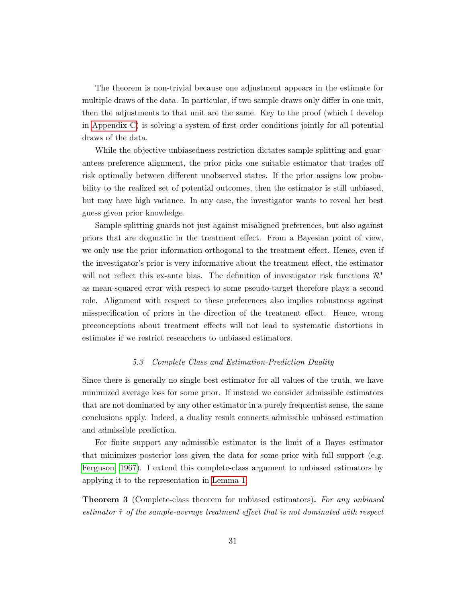The theorem is non-trivial because one adjustment appears in the estimate for multiple draws of the data. In particular, if two sample draws only differ in one unit, then the adjustments to that unit are the same. Key to the proof (which I develop in [Appendix C\)](#page-65-0) is solving a system of first-order conditions jointly for all potential draws of the data.

While the objective unbiasedness restriction dictates sample splitting and guarantees preference alignment, the prior picks one suitable estimator that trades off risk optimally between different unobserved states. If the prior assigns low probability to the realized set of potential outcomes, then the estimator is still unbiased, but may have high variance. In any case, the investigator wants to reveal her best guess given prior knowledge.

Sample splitting guards not just against misaligned preferences, but also against priors that are dogmatic in the treatment effect. From a Bayesian point of view, we only use the prior information orthogonal to the treatment effect. Hence, even if the investigator's prior is very informative about the treatment effect, the estimator will not reflect this ex-ante bias. The definition of investigator risk functions  $\mathcal{R}^*$ as mean-squared error with respect to some pseudo-target therefore plays a second role. Alignment with respect to these preferences also implies robustness against misspecification of priors in the direction of the treatment effect. Hence, wrong preconceptions about treatment effects will not lead to systematic distortions in estimates if we restrict researchers to unbiased estimators.

#### 5.3 Complete Class and Estimation-Prediction Duality

Since there is generally no single best estimator for all values of the truth, we have minimized average loss for some prior. If instead we consider admissible estimators that are not dominated by any other estimator in a purely frequentist sense, the same conclusions apply. Indeed, a duality result connects admissible unbiased estimation and admissible prediction.

For finite support any admissible estimator is the limit of a Bayes estimator that minimizes posterior loss given the data for some prior with full support (e.g. [Ferguson, 1967\)](#page-44-11). I extend this complete-class argument to unbiased estimators by applying it to the representation in [Lemma 1.](#page-19-0)

**Theorem 3** (Complete-class theorem for unbiased estimators). For any unbiased estimator  $\hat{\tau}$  of the sample-average treatment effect that is not dominated with respect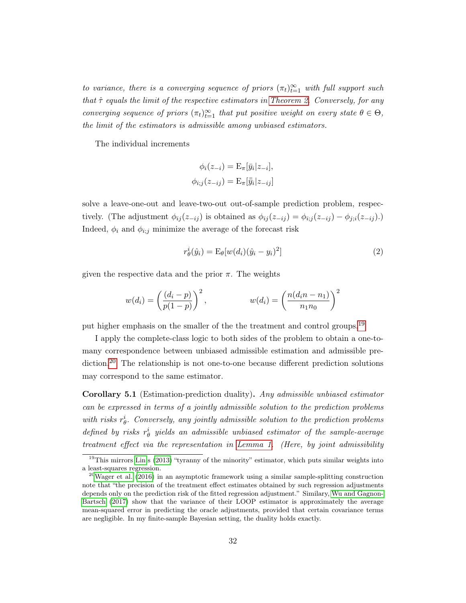to variance, there is a converging sequence of priors  $(\pi_t)_{t=1}^{\infty}$  with full support such that  $\hat{\tau}$  equals the limit of the respective estimators in [Theorem 2.](#page-19-1) Conversely, for any converging sequence of priors  $(\pi_t)_{t=1}^{\infty}$  that put positive weight on every state  $\theta \in \Theta$ , the limit of the estimators is admissible among unbiased estimators.

The individual increments

$$
\phi_i(z_{-i}) = \mathcal{E}_{\pi}[\bar{y}_i|z_{-i}],
$$
  

$$
\phi_{i;j}(z_{-ij}) = \mathcal{E}_{\pi}[\bar{y}_i|z_{-ij}]
$$

solve a leave-one-out and leave-two-out out-of-sample prediction problem, respectively. (The adjustment  $\phi_{ij}(z_{-ij})$  is obtained as  $\phi_{ij}(z_{-ij}) = \phi_{i;j}(z_{-ij}) - \phi_{j;i}(z_{-ij}).$ ) Indeed,  $\phi_i$  and  $\phi_{i,j}$  minimize the average of the forecast risk

<span id="page-31-0"></span>
$$
r_{\theta}^{i}(\hat{y}_{i}) = \mathcal{E}_{\theta}[w(d_{i})(\hat{y}_{i} - y_{i})^{2}] \tag{2}
$$

given the respective data and the prior  $\pi$ . The weights

$$
w(d_i) = \left(\frac{(d_i - p)}{p(1 - p)}\right)^2, \qquad w(d_i) = \left(\frac{n(d_i n - n_1)}{n_1 n_0}\right)^2
$$

put higher emphasis on the smaller of the the treatment and control groups.<sup>[19](#page-31-1)</sup>

I apply the complete-class logic to both sides of the problem to obtain a one-tomany correspondence between unbiased admissible estimation and admissible pre-diction.<sup>[20](#page-31-2)</sup> The relationship is not one-to-one because different prediction solutions may correspond to the same estimator.

Corollary 5.1 (Estimation-prediction duality). Any admissible unbiased estimator can be expressed in terms of a jointly admissible solution to the prediction problems with risks  $r_{\theta}^{i}$ . Conversely, any jointly admissible solution to the prediction problems defined by risks  $r_{\theta}^{i}$  yields an admissible unbiased estimator of the sample-average treatment effect via the representation in [Lemma 1.](#page-19-0) (Here, by joint admissibility

<span id="page-31-1"></span><sup>&</sup>lt;sup>19</sup>This mirrors [Lin'](#page-46-9)s [\(2013\)](#page-46-9) "tyranny of the minority" estimator, which puts similar weights into a least-squares regression.

<span id="page-31-2"></span><sup>&</sup>lt;sup>20</sup>[Wager et al.](#page-47-4) [\(2016\)](#page-47-4) in an asymptotic framework using a similar sample-splitting construction note that "the precision of the treatment effect estimates obtained by such regression adjustments depends only on the prediction risk of the fitted regression adjustment." Similary, [Wu and Gagnon-](#page-47-2)[Bartsch](#page-47-2) [\(2017\)](#page-47-2) show that the variance of their LOOP estimator is approximately the average mean-squared error in predicting the oracle adjustments, provided that certain covariance terms are negligible. In my finite-sample Bayesian setting, the duality holds exactly.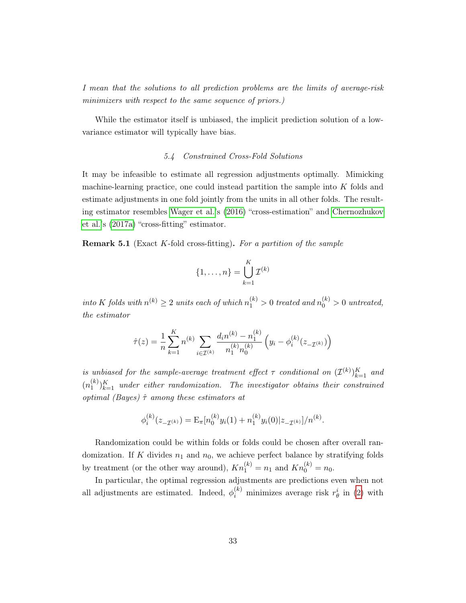I mean that the solutions to all prediction problems are the limits of average-risk minimizers with respect to the same sequence of priors.)

While the estimator itself is unbiased, the implicit prediction solution of a lowvariance estimator will typically have bias.

# 5.4 Constrained Cross-Fold Solutions

It may be infeasible to estimate all regression adjustments optimally. Mimicking machine-learning practice, one could instead partition the sample into K folds and estimate adjustments in one fold jointly from the units in all other folds. The resulting estimator resembles [Wager et al.'](#page-47-4)s [\(2016\)](#page-47-4) "cross-estimation" and [Chernozhukov](#page-44-7) [et al.'](#page-44-7)s [\(2017a\)](#page-44-7) "cross-fitting" estimator.

**Remark 5.1** (Exact K-fold cross-fitting). For a partition of the sample

$$
\{1,\ldots,n\} = \bigcup_{k=1}^K \mathcal{I}^{(k)}
$$

into K folds with  $n^{(k)} \geq 2$  units each of which  $n_1^{(k)} > 0$  treated and  $n_0^{(k)} > 0$  untreated, the estimator

$$
\hat{\tau}(z) = \frac{1}{n} \sum_{k=1}^{K} n^{(k)} \sum_{i \in \mathcal{I}^{(k)}} \frac{d_i n^{(k)} - n_1^{(k)}}{n_1^{(k)} n_0^{(k)}} \left( y_i - \phi_i^{(k)}(z_{\mathcal{I}^{(k)}}) \right)
$$

is unbiased for the sample-average treatment effect  $\tau$  conditional on  $(\mathcal{I}^{(k)})_{k=1}^K$  and  $(n_1^{(k)}$  $\binom{k}{1}\}_{k=1}^K$  under either randomization. The investigator obtains their constrained optimal (Bayes)  $\hat{\tau}$  among these estimators at

$$
\phi_i^{(k)}(z_{-\mathcal{I}^{(k)}}) = \mathcal{E}_{\pi}[n_0^{(k)}y_i(1) + n_1^{(k)}y_i(0)|z_{-\mathcal{I}^{(k)}}]/n^{(k)}.
$$

Randomization could be within folds or folds could be chosen after overall randomization. If K divides  $n_1$  and  $n_0$ , we achieve perfect balance by stratifying folds by treatment (or the other way around),  $Kn_1^{(k)} = n_1$  and  $Kn_0^{(k)} = n_0$ .

In particular, the optimal regression adjustments are predictions even when not all adjustments are estimated. Indeed,  $\phi_i^{(k)}$  minimizes average risk  $r_\theta^i$  in [\(2\)](#page-31-0) with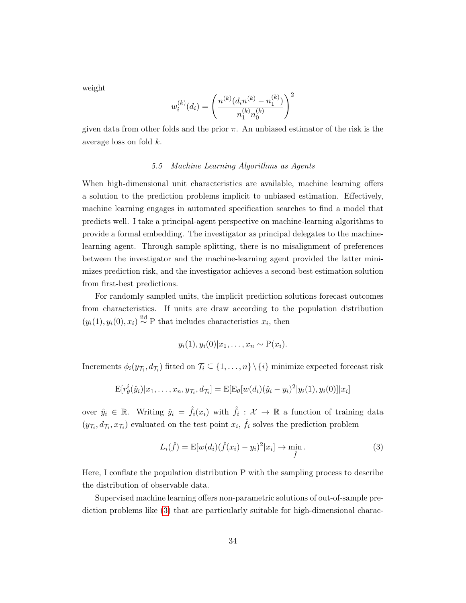weight

$$
w_i^{(k)}(d_i) = \left(\frac{n^{(k)}(d_i n^{(k)} - n_1^{(k)})}{n_1^{(k)} n_0^{(k)}}\right)^2
$$

given data from other folds and the prior  $\pi$ . An unbiased estimator of the risk is the average loss on fold k.

#### 5.5 Machine Learning Algorithms as Agents

When high-dimensional unit characteristics are available, machine learning offers a solution to the prediction problems implicit to unbiased estimation. Effectively, machine learning engages in automated specification searches to find a model that predicts well. I take a principal-agent perspective on machine-learning algorithms to provide a formal embedding. The investigator as principal delegates to the machinelearning agent. Through sample splitting, there is no misalignment of preferences between the investigator and the machine-learning agent provided the latter minimizes prediction risk, and the investigator achieves a second-best estimation solution from first-best predictions.

For randomly sampled units, the implicit prediction solutions forecast outcomes from characteristics. If units are draw according to the population distribution  $(y_i(1), y_i(0), x_i) \stackrel{\text{iid}}{\sim} P$  that includes characteristics  $x_i$ , then

$$
y_i(1), y_i(0)|x_1,\ldots,x_n \sim P(x_i).
$$

Increments  $\phi_i(y_{\mathcal{T}_i}, d_{\mathcal{T}_i})$  fitted on  $\mathcal{T}_i \subseteq \{1, \ldots, n\} \setminus \{i\}$  minimize expected forecast risk

$$
E[r_{\theta}^{i}(\hat{y}_{i})|x_{1},...,x_{n},y_{\mathcal{T}_{i}},d_{\mathcal{T}_{i}}] = E[E_{\theta}[w(d_{i})(\hat{y}_{i}-y_{i})^{2}|y_{i}(1),y_{i}(0)]|x_{i}]
$$

over  $\hat{y}_i \in \mathbb{R}$ . Writing  $\hat{y}_i = \hat{f}_i(x_i)$  with  $\hat{f}_i : \mathcal{X} \to \mathbb{R}$  a function of training data  $(y_{\mathcal{T}_i}, d_{\mathcal{T}_i}, x_{\mathcal{T}_i})$  evaluated on the test point  $x_i$ ,  $\hat{f}_i$  solves the prediction problem

<span id="page-33-0"></span>
$$
L_i(\hat{f}) = \mathbb{E}[w(d_i)(\hat{f}(x_i) - y_i)^2 | x_i] \to \min_{\hat{f}}.
$$
 (3)

Here, I conflate the population distribution P with the sampling process to describe the distribution of observable data.

Supervised machine learning offers non-parametric solutions of out-of-sample prediction problems like [\(3\)](#page-33-0) that are particularly suitable for high-dimensional charac-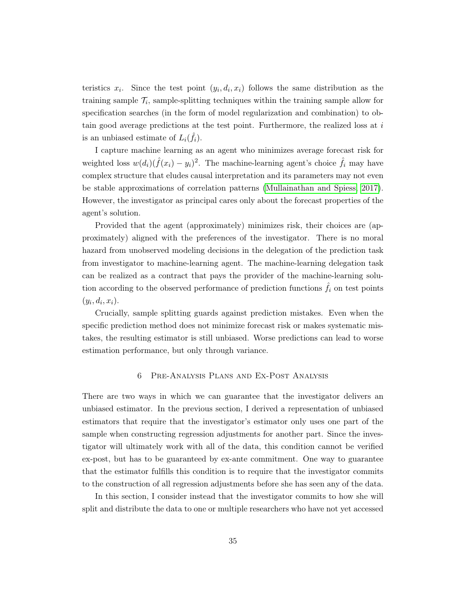teristics  $x_i$ . Since the test point  $(y_i, d_i, x_i)$  follows the same distribution as the training sample  $\mathcal{T}_i$ , sample-splitting techniques within the training sample allow for specification searches (in the form of model regularization and combination) to obtain good average predictions at the test point. Furthermore, the realized loss at  $i$ is an unbiased estimate of  $L_i(\hat{f}_i)$ .

I capture machine learning as an agent who minimizes average forecast risk for weighted loss  $w(d_i)(\hat{f}(x_i) - y_i)^2$ . The machine-learning agent's choice  $\hat{f}_i$  may have complex structure that eludes causal interpretation and its parameters may not even be stable approximations of correlation patterns [\(Mullainathan and Spiess, 2017\)](#page-46-4). However, the investigator as principal cares only about the forecast properties of the agent's solution.

Provided that the agent (approximately) minimizes risk, their choices are (approximately) aligned with the preferences of the investigator. There is no moral hazard from unobserved modeling decisions in the delegation of the prediction task from investigator to machine-learning agent. The machine-learning delegation task can be realized as a contract that pays the provider of the machine-learning solution according to the observed performance of prediction functions  $\hat{f}_i$  on test points  $(y_i, d_i, x_i).$ 

Crucially, sample splitting guards against prediction mistakes. Even when the specific prediction method does not minimize forecast risk or makes systematic mistakes, the resulting estimator is still unbiased. Worse predictions can lead to worse estimation performance, but only through variance.

## 6 Pre-Analysis Plans and Ex-Post Analysis

<span id="page-34-0"></span>There are two ways in which we can guarantee that the investigator delivers an unbiased estimator. In the previous section, I derived a representation of unbiased estimators that require that the investigator's estimator only uses one part of the sample when constructing regression adjustments for another part. Since the investigator will ultimately work with all of the data, this condition cannot be verified ex-post, but has to be guaranteed by ex-ante commitment. One way to guarantee that the estimator fulfills this condition is to require that the investigator commits to the construction of all regression adjustments before she has seen any of the data.

In this section, I consider instead that the investigator commits to how she will split and distribute the data to one or multiple researchers who have not yet accessed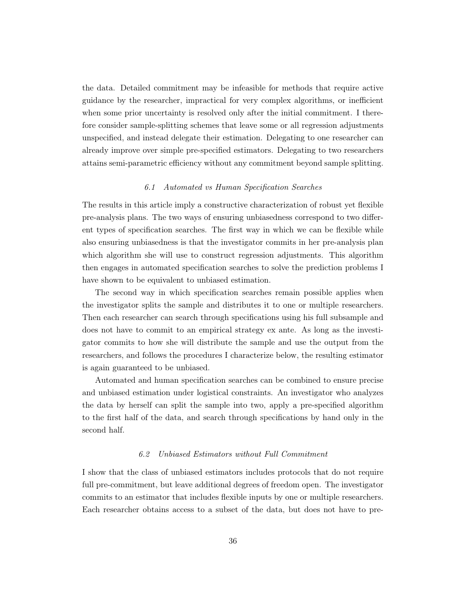the data. Detailed commitment may be infeasible for methods that require active guidance by the researcher, impractical for very complex algorithms, or inefficient when some prior uncertainty is resolved only after the initial commitment. I therefore consider sample-splitting schemes that leave some or all regression adjustments unspecified, and instead delegate their estimation. Delegating to one researcher can already improve over simple pre-specified estimators. Delegating to two researchers attains semi-parametric efficiency without any commitment beyond sample splitting.

#### 6.1 Automated vs Human Specification Searches

The results in this article imply a constructive characterization of robust yet flexible pre-analysis plans. The two ways of ensuring unbiasedness correspond to two different types of specification searches. The first way in which we can be flexible while also ensuring unbiasedness is that the investigator commits in her pre-analysis plan which algorithm she will use to construct regression adjustments. This algorithm then engages in automated specification searches to solve the prediction problems I have shown to be equivalent to unbiased estimation.

The second way in which specification searches remain possible applies when the investigator splits the sample and distributes it to one or multiple researchers. Then each researcher can search through specifications using his full subsample and does not have to commit to an empirical strategy ex ante. As long as the investigator commits to how she will distribute the sample and use the output from the researchers, and follows the procedures I characterize below, the resulting estimator is again guaranteed to be unbiased.

Automated and human specification searches can be combined to ensure precise and unbiased estimation under logistical constraints. An investigator who analyzes the data by herself can split the sample into two, apply a pre-specified algorithm to the first half of the data, and search through specifications by hand only in the second half.

#### 6.2 Unbiased Estimators without Full Commitment

I show that the class of unbiased estimators includes protocols that do not require full pre-commitment, but leave additional degrees of freedom open. The investigator commits to an estimator that includes flexible inputs by one or multiple researchers. Each researcher obtains access to a subset of the data, but does not have to pre-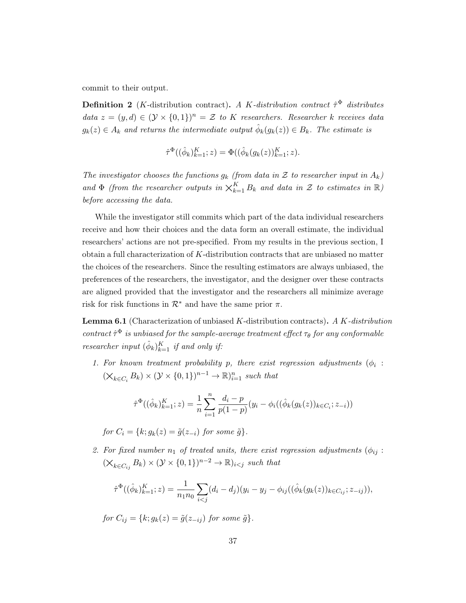commit to their output.

**Definition 2** (*K*-distribution contract). A *K*-distribution contract  $\hat{\tau}^{\Phi}$  distributes data  $z = (y, d) \in (\mathcal{Y} \times \{0, 1\})^n = \mathcal{Z}$  to K researchers. Researcher k receives data  $g_k(z) \in A_k$  and returns the intermediate output  $\hat{\phi}_k(g_k(z)) \in B_k$ . The estimate is

$$
\hat{\tau}^{\Phi}((\hat{\phi}_k)_{k=1}^K; z) = \Phi((\hat{\phi}_k(g_k(z))_{k=1}^K; z).
$$

The investigator chooses the functions  $g_k$  (from data in Z to researcher input in  $A_k$ ) and  $\Phi$  (from the researcher outputs in  $\chi_{k=1}^K B_k$  and data in  $\mathcal Z$  to estimates in  $\mathbb R$ ) before accessing the data.

While the investigator still commits which part of the data individual researchers receive and how their choices and the data form an overall estimate, the individual researchers' actions are not pre-specified. From my results in the previous section, I obtain a full characterization of K-distribution contracts that are unbiased no matter the choices of the researchers. Since the resulting estimators are always unbiased, the preferences of the researchers, the investigator, and the designer over these contracts are aligned provided that the investigator and the researchers all minimize average risk for risk functions in  $\mathcal{R}^*$  and have the same prior  $\pi$ .

**Lemma 6.1** (Characterization of unbiased  $K$ -distribution contracts). A  $K$ -distribution contract  $\hat{\tau}^{\Phi}$  is unbiased for the sample-average treatment effect  $\tau_{\theta}$  for any conformable researcher input  $(\hat{\phi}_k)_{k=1}^K$  if and only if:

1. For known treatment probability p, there exist regression adjustments  $(\phi_i$ :  $(\times_{k \in C_i} B_k) \times (\mathcal{Y} \times \{0,1\})^{n-1} \to \mathbb{R})_{i=1}^n$  such that

$$
\hat{\tau}^{\Phi}((\hat{\phi}_k)_{k=1}^K; z) = \frac{1}{n} \sum_{i=1}^n \frac{d_i - p}{p(1-p)} (y_i - \phi_i((\hat{\phi}_k(g_k(z))_{k \in C_i}; z_{-i}))
$$

for  $C_i = \{k; q_k(z) = \tilde{q}(z_{-i}) \text{ for some } \tilde{q}\}.$ 

2. For fixed number  $n_1$  of treated units, there exist regression adjustments ( $\phi_{ij}$ :  $(\mathsf{X}_{k\in C_{ij}} B_k) \times (\mathcal{Y} \times \{0,1\})^{n-2} \to \mathbb{R})_{i < j}$  such that

$$
\hat{\tau}^{\Phi}((\hat{\phi}_k)_{k=1}^K; z) = \frac{1}{n_1 n_0} \sum_{i < j} (d_i - d_j)(y_i - y_j - \phi_{ij}((\hat{\phi}_k(g_k(z))_{k \in C_{ij}}; z_{-ij})),
$$

for  $C_{ij} = \{k; g_k(z) = \tilde{g}(z_{-ij}) \text{ for some } \tilde{g}\}.$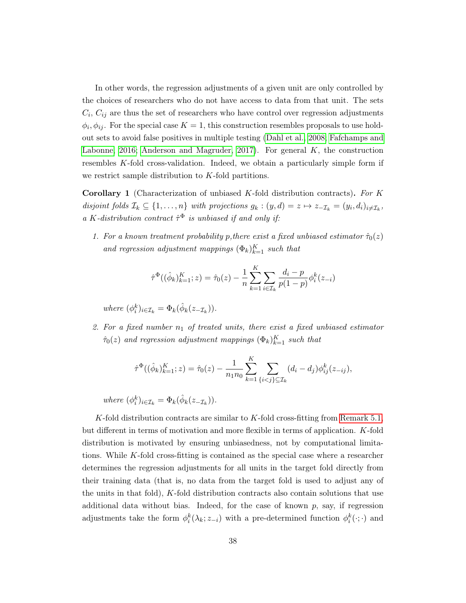In other words, the regression adjustments of a given unit are only controlled by the choices of researchers who do not have access to data from that unit. The sets  $C_i, C_{ij}$  are thus the set of researchers who have control over regression adjustments  $\phi_i, \phi_{ij}$ . For the special case  $K = 1$ , this construction resembles proposals to use holdout sets to avoid false positives in multiple testing [\(Dahl et al., 2008;](#page-44-0) [Fafchamps and](#page-44-1) [Labonne, 2016;](#page-44-1) [Anderson and Magruder, 2017\)](#page-43-0). For general  $K$ , the construction resembles K-fold cross-validation. Indeed, we obtain a particularly simple form if we restrict sample distribution to K-fold partitions.

**Corollary 1** (Characterization of unbiased K-fold distribution contracts). For K disjoint folds  $\mathcal{I}_k \subseteq \{1,\ldots,n\}$  with projections  $g_k : (y,d) = z \mapsto z_{-\mathcal{I}_k} = (y_i, d_i)_{i \neq \mathcal{I}_k}$ , a K-distribution contract  $\hat{\tau}^{\Phi}$  is unbiased if and only if:

1. For a known treatment probability p, there exist a fixed unbiased estimator  $\hat{\tau}_0(z)$ and regression adjustment mappings  $(\Phi_k)_{k=1}^K$  such that

$$
\hat{\tau}^{\Phi}((\hat{\phi}_k)_{k=1}^K; z) = \hat{\tau}_0(z) - \frac{1}{n} \sum_{k=1}^K \sum_{i \in \mathcal{I}_k} \frac{d_i - p}{p(1-p)} \phi_i^k(z_{-i})
$$

where  $(\phi_i^k)_{i \in \mathcal{I}_k} = \Phi_k(\hat{\phi}_k(z_{-\mathcal{I}_k}))$ .

2. For a fixed number  $n_1$  of treated units, there exist a fixed unbiased estimator  $\hat{\tau}_0(z)$  and regression adjustment mappings  $(\Phi_k)_{k=1}^K$  such that

$$
\hat{\tau}^{\Phi}((\hat{\phi}_k)_{k=1}^K; z) = \hat{\tau}_0(z) - \frac{1}{n_1 n_0} \sum_{k=1}^K \sum_{\{i < j\} \subseteq \mathcal{I}_k} (d_i - d_j) \phi_{ij}^k(z_{-ij}),
$$

where  $(\phi_i^k)_{i \in \mathcal{I}_k} = \Phi_k(\hat{\phi}_k(z_{-\mathcal{I}_k}))$ .

K-fold distribution contracts are similar to K-fold cross-fitting from [Remark 5.1,](#page-32-0) but different in terms of motivation and more flexible in terms of application. K-fold distribution is motivated by ensuring unbiasedness, not by computational limitations. While K-fold cross-fitting is contained as the special case where a researcher determines the regression adjustments for all units in the target fold directly from their training data (that is, no data from the target fold is used to adjust any of the units in that fold),  $K$ -fold distribution contracts also contain solutions that use additional data without bias. Indeed, for the case of known  $p$ , say, if regression adjustments take the form  $\phi_i^k(\lambda_k; z_{-i})$  with a pre-determined function  $\phi_i^k(\cdot; \cdot)$  and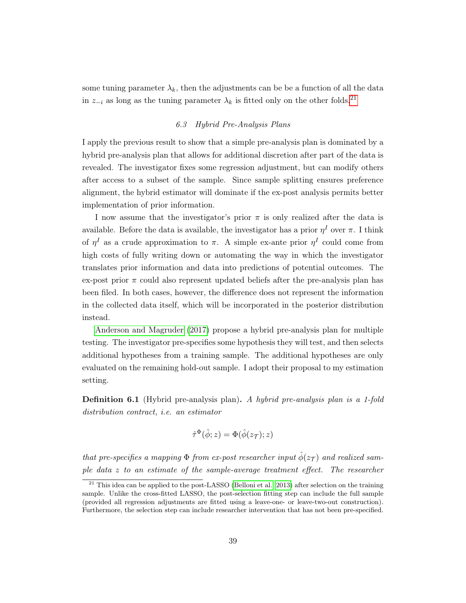some tuning parameter  $\lambda_k$ , then the adjustments can be be a function of all the data in  $z_{-i}$  as long as the tuning parameter  $\lambda_k$  is fitted only on the other folds.<sup>[21](#page-38-0)</sup>

# 6.3 Hybrid Pre-Analysis Plans

I apply the previous result to show that a simple pre-analysis plan is dominated by a hybrid pre-analysis plan that allows for additional discretion after part of the data is revealed. The investigator fixes some regression adjustment, but can modify others after access to a subset of the sample. Since sample splitting ensures preference alignment, the hybrid estimator will dominate if the ex-post analysis permits better implementation of prior information.

I now assume that the investigator's prior  $\pi$  is only realized after the data is available. Before the data is available, the investigator has a prior  $\eta^I$  over  $\pi$ . I think of  $\eta^I$  as a crude approximation to  $\pi$ . A simple ex-ante prior  $\eta^I$  could come from high costs of fully writing down or automating the way in which the investigator translates prior information and data into predictions of potential outcomes. The ex-post prior  $\pi$  could also represent updated beliefs after the pre-analysis plan has been filed. In both cases, however, the difference does not represent the information in the collected data itself, which will be incorporated in the posterior distribution instead.

[Anderson and Magruder](#page-43-0) [\(2017\)](#page-43-0) propose a hybrid pre-analysis plan for multiple testing. The investigator pre-specifies some hypothesis they will test, and then selects additional hypotheses from a training sample. The additional hypotheses are only evaluated on the remaining hold-out sample. I adopt their proposal to my estimation setting.

Definition 6.1 (Hybrid pre-analysis plan). A hybrid pre-analysis plan is a 1-fold distribution contract, i.e. an estimator

$$
\hat{\tau}^{\Phi}(\hat{\phi}; z) = \Phi(\hat{\phi}(z_{\mathcal{T}}); z)
$$

that pre-specifies a mapping  $\Phi$  from ex-post researcher input  $\hat{\phi}(z_{\mathcal{T}})$  and realized sample data z to an estimate of the sample-average treatment effect. The researcher

<span id="page-38-0"></span><sup>&</sup>lt;sup>21</sup> This idea can be applied to the post-LASSO [\(Belloni et al., 2013\)](#page-43-1) after selection on the training sample. Unlike the cross-fitted LASSO, the post-selection fitting step can include the full sample (provided all regression adjustments are fitted using a leave-one- or leave-two-out construction). Furthermore, the selection step can include researcher intervention that has not been pre-specified.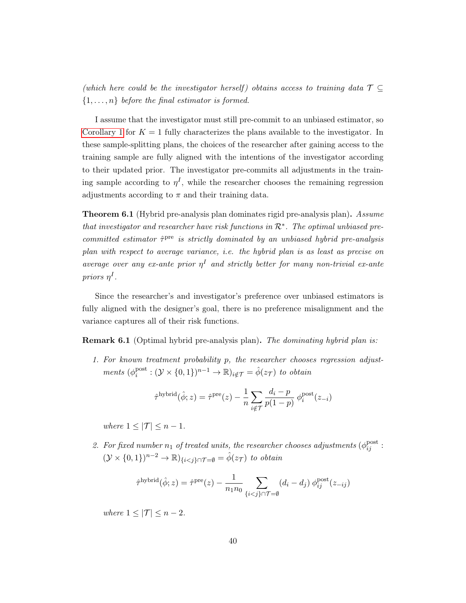(which here could be the investigator herself) obtains access to training data  $\mathcal{T} \subseteq$  $\{1, \ldots, n\}$  before the final estimator is formed.

I assume that the investigator must still pre-commit to an unbiased estimator, so [Corollary 1](#page-21-0) for  $K = 1$  fully characterizes the plans available to the investigator. In these sample-splitting plans, the choices of the researcher after gaining access to the training sample are fully aligned with the intentions of the investigator according to their updated prior. The investigator pre-commits all adjustments in the training sample according to  $\eta^I$ , while the researcher chooses the remaining regression adjustments according to  $\pi$  and their training data.

**Theorem 6.1** (Hybrid pre-analysis plan dominates rigid pre-analysis plan). Assume that investigator and researcher have risk functions in  $\mathcal{R}^*$ . The optimal unbiased precommitted estimator  $\hat{\tau}^{\text{pre}}$  is strictly dominated by an unbiased hybrid pre-analysis plan with respect to average variance, i.e. the hybrid plan is as least as precise on average over any ex-ante prior  $\eta^I$  and strictly better for many non-trivial ex-ante priors  $\eta^I$ .

Since the researcher's and investigator's preference over unbiased estimators is fully aligned with the designer's goal, there is no preference misalignment and the variance captures all of their risk functions.

**Remark 6.1** (Optimal hybrid pre-analysis plan). The dominating hybrid plan is:

1. For known treatment probability p, the researcher chooses regression adjustments  $(\phi_i^{\text{post}})$  $i_i^{\text{post}}: (\mathcal{Y} \times \{0,1\})^{n-1} \to \mathbb{R}$ )<sub>i</sub> $\notin \mathcal{T} = \hat{\phi}(z_{\mathcal{T}})$  to obtain

$$
\hat{\tau}^{\text{hybrid}}(\hat{\phi}; z) = \hat{\tau}^{\text{pre}}(z) - \frac{1}{n} \sum_{i \notin \mathcal{T}} \frac{d_i - p}{p(1 - p)} \phi_i^{\text{post}}(z_{-i})
$$

where  $1 \leq |\mathcal{T}| \leq n-1$ .

2. For fixed number  $n_1$  of treated units, the researcher chooses adjustments  $(\phi_{ij}^{\text{post}})$ :  $(\mathcal{Y} \times \{0,1\})^{n-2} \to \mathbb{R})_{\{i \leq j\} \cap \mathcal{T} = \emptyset} = \hat{\phi}(z_{\mathcal{T}})$  to obtain

$$
\hat{\tau}^{\text{hybrid}}(\hat{\phi}; z) = \hat{\tau}^{\text{pre}}(z) - \frac{1}{n_1 n_0} \sum_{\{i < j\} \cap \mathcal{T} = \emptyset} (d_i - d_j) \phi_{ij}^{\text{post}}(z_{-ij})
$$

where  $1 \leq |\mathcal{T}| \leq n-2$ .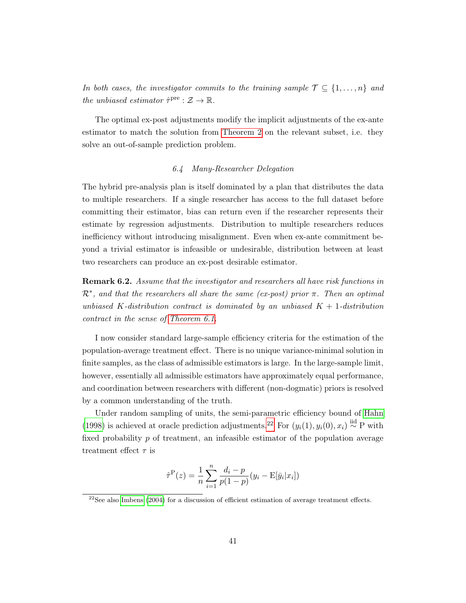In both cases, the investigator commits to the training sample  $\mathcal{T} \subseteq \{1, \ldots, n\}$  and the unbiased estimator  $\hat{\tau}^{\text{pre}} : \mathcal{Z} \to \mathbb{R}$ .

The optimal ex-post adjustments modify the implicit adjustments of the ex-ante estimator to match the solution from [Theorem 2](#page-19-0) on the relevant subset, i.e. they solve an out-of-sample prediction problem.

# 6.4 Many-Researcher Delegation

The hybrid pre-analysis plan is itself dominated by a plan that distributes the data to multiple researchers. If a single researcher has access to the full dataset before committing their estimator, bias can return even if the researcher represents their estimate by regression adjustments. Distribution to multiple researchers reduces inefficiency without introducing misalignment. Even when ex-ante commitment beyond a trivial estimator is infeasible or undesirable, distribution between at least two researchers can produce an ex-post desirable estimator.

**Remark 6.2.** Assume that the investigator and researchers all have risk functions in  $\mathcal{R}^*$ , and that the researchers all share the same (ex-post) prior  $\pi$ . Then an optimal unbiased K-distribution contract is dominated by an unbiased  $K + 1$ -distribution contract in the sense of [Theorem 6.1.](#page-18-0)

I now consider standard large-sample efficiency criteria for the estimation of the population-average treatment effect. There is no unique variance-minimal solution in finite samples, as the class of admissible estimators is large. In the large-sample limit, however, essentially all admissible estimators have approximately equal performance, and coordination between researchers with different (non-dogmatic) priors is resolved by a common understanding of the truth.

Under random sampling of units, the semi-parametric efficiency bound of [Hahn](#page-45-0) [\(1998\)](#page-45-0) is achieved at oracle prediction adjustments.<sup>[22](#page-40-0)</sup> For  $(y_i(1), y_i(0), x_i) \stackrel{\text{iid}}{\sim} P$  with fixed probability  $p$  of treatment, an infeasible estimator of the population average treatment effect  $\tau$  is

$$
\hat{\tau}^{\mathcal{P}}(z) = \frac{1}{n} \sum_{i=1}^{n} \frac{d_i - p}{p(1-p)} (y_i - \mathcal{E}[\bar{y}_i | x_i])
$$

<span id="page-40-0"></span> $22$ See also [Imbens](#page-45-1) [\(2004\)](#page-45-1) for a discussion of efficient estimation of average treatment effects.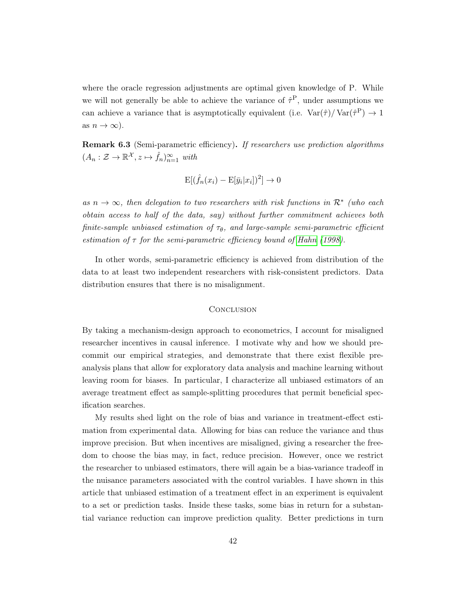where the oracle regression adjustments are optimal given knowledge of P. While we will not generally be able to achieve the variance of  $\hat{\tau}^{\text{P}}$ , under assumptions we can achieve a variance that is asymptotically equivalent (i.e.  $\text{Var}(\hat{\tau})/\text{Var}(\hat{\tau}^{\text{P}}) \to 1$ as  $n \to \infty$ ).

Remark 6.3 (Semi-parametric efficiency). If researchers use prediction algorithms  $(A_n : \mathcal{Z} \to \mathbb{R}^{\mathcal{X}}, z \mapsto \hat{f}_n)_{n=1}^{\infty}$  with

$$
\mathbf{E}[(\hat{f}_n(x_i) - \mathbf{E}[\bar{y}_i|x_i])^2] \to 0
$$

as  $n \to \infty$ , then delegation to two researchers with risk functions in  $\mathcal{R}^*$  (who each obtain access to half of the data, say) without further commitment achieves both finite-sample unbiased estimation of  $\tau_{\theta}$ , and large-sample semi-parametric efficient estimation of  $\tau$  for the semi-parametric efficiency bound of [Hahn](#page-45-0) [\(1998\)](#page-45-0).

In other words, semi-parametric efficiency is achieved from distribution of the data to at least two independent researchers with risk-consistent predictors. Data distribution ensures that there is no misalignment.

# **CONCLUSION**

By taking a mechanism-design approach to econometrics, I account for misaligned researcher incentives in causal inference. I motivate why and how we should precommit our empirical strategies, and demonstrate that there exist flexible preanalysis plans that allow for exploratory data analysis and machine learning without leaving room for biases. In particular, I characterize all unbiased estimators of an average treatment effect as sample-splitting procedures that permit beneficial specification searches.

My results shed light on the role of bias and variance in treatment-effect estimation from experimental data. Allowing for bias can reduce the variance and thus improve precision. But when incentives are misaligned, giving a researcher the freedom to choose the bias may, in fact, reduce precision. However, once we restrict the researcher to unbiased estimators, there will again be a bias-variance tradeoff in the nuisance parameters associated with the control variables. I have shown in this article that unbiased estimation of a treatment effect in an experiment is equivalent to a set or prediction tasks. Inside these tasks, some bias in return for a substantial variance reduction can improve prediction quality. Better predictions in turn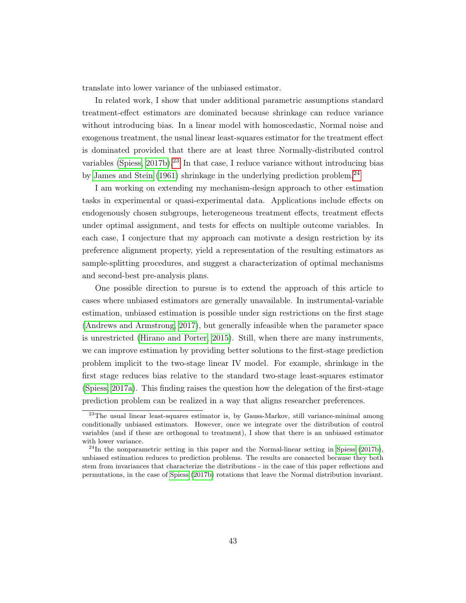translate into lower variance of the unbiased estimator.

In related work, I show that under additional parametric assumptions standard treatment-effect estimators are dominated because shrinkage can reduce variance without introducing bias. In a linear model with homoscedastic, Normal noise and exogenous treatment, the usual linear least-squares estimator for the treatment effect is dominated provided that there are at least three Normally-distributed control variables [\(Spiess, 2017b\)](#page-47-0).<sup>[23](#page-42-0)</sup> In that case, I reduce variance without introducing bias by [James and Stein](#page-46-0)  $(1961)$  shrinkage in the underlying prediction problem.<sup>[24](#page-42-1)</sup>

I am working on extending my mechanism-design approach to other estimation tasks in experimental or quasi-experimental data. Applications include effects on endogenously chosen subgroups, heterogeneous treatment effects, treatment effects under optimal assignment, and tests for effects on multiple outcome variables. In each case, I conjecture that my approach can motivate a design restriction by its preference alignment property, yield a representation of the resulting estimators as sample-splitting procedures, and suggest a characterization of optimal mechanisms and second-best pre-analysis plans.

One possible direction to pursue is to extend the approach of this article to cases where unbiased estimators are generally unavailable. In instrumental-variable estimation, unbiased estimation is possible under sign restrictions on the first stage [\(Andrews and Armstrong, 2017\)](#page-43-2), but generally infeasible when the parameter space is unrestricted [\(Hirano and Porter, 2015\)](#page-45-2). Still, when there are many instruments, we can improve estimation by providing better solutions to the first-stage prediction problem implicit to the two-stage linear IV model. For example, shrinkage in the first stage reduces bias relative to the standard two-stage least-squares estimator [\(Spiess, 2017a\)](#page-47-1). This finding raises the question how the delegation of the first-stage prediction problem can be realized in a way that aligns researcher preferences.

<span id="page-42-0"></span> $^{23}$ The usual linear least-squares estimator is, by Gauss-Markov, still variance-minimal among conditionally unbiased estimators. However, once we integrate over the distribution of control variables (and if these are orthogonal to treatment), I show that there is an unbiased estimator with lower variance.

<span id="page-42-1"></span> $^{24}$ In the nonparametric setting in this paper and the Normal-linear setting in [Spiess](#page-47-0) [\(2017b\)](#page-47-0), unbiased estimation reduces to prediction problems. The results are connected because they both stem from invariances that characterize the distributions - in the case of this paper reflections and permutations, in the case of [Spiess](#page-47-0) [\(2017b\)](#page-47-0) rotations that leave the Normal distribution invariant.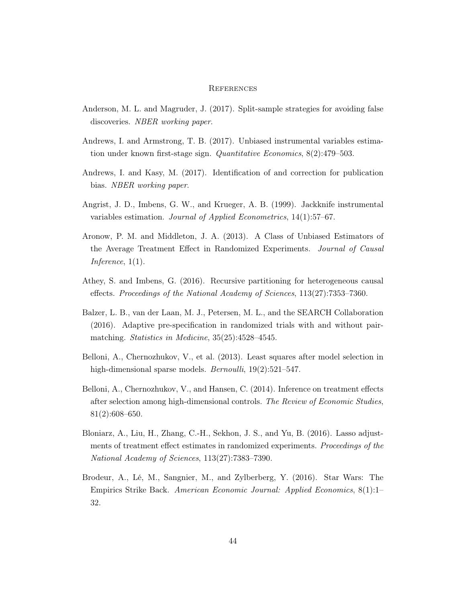#### **REFERENCES**

- <span id="page-43-0"></span>Anderson, M. L. and Magruder, J. (2017). Split-sample strategies for avoiding false discoveries. NBER working paper.
- <span id="page-43-2"></span>Andrews, I. and Armstrong, T. B. (2017). Unbiased instrumental variables estimation under known first-stage sign. Quantitative Economics, 8(2):479–503.
- Andrews, I. and Kasy, M. (2017). Identification of and correction for publication bias. NBER working paper.
- Angrist, J. D., Imbens, G. W., and Krueger, A. B. (1999). Jackknife instrumental variables estimation. Journal of Applied Econometrics, 14(1):57–67.
- Aronow, P. M. and Middleton, J. A. (2013). A Class of Unbiased Estimators of the Average Treatment Effect in Randomized Experiments. Journal of Causal Inference, 1(1).
- Athey, S. and Imbens, G. (2016). Recursive partitioning for heterogeneous causal effects. Proceedings of the National Academy of Sciences, 113(27):7353–7360.
- Balzer, L. B., van der Laan, M. J., Petersen, M. L., and the SEARCH Collaboration (2016). Adaptive pre-specification in randomized trials with and without pairmatching. Statistics in Medicine, 35(25):4528–4545.
- <span id="page-43-1"></span>Belloni, A., Chernozhukov, V., et al. (2013). Least squares after model selection in high-dimensional sparse models. *Bernoulli*, 19(2):521–547.
- Belloni, A., Chernozhukov, V., and Hansen, C. (2014). Inference on treatment effects after selection among high-dimensional controls. The Review of Economic Studies, 81(2):608–650.
- Bloniarz, A., Liu, H., Zhang, C.-H., Sekhon, J. S., and Yu, B. (2016). Lasso adjustments of treatment effect estimates in randomized experiments. Proceedings of the National Academy of Sciences, 113(27):7383–7390.
- Brodeur, A., Lé, M., Sangnier, M., and Zylberberg, Y. (2016). Star Wars: The Empirics Strike Back. American Economic Journal: Applied Economics, 8(1):1– 32.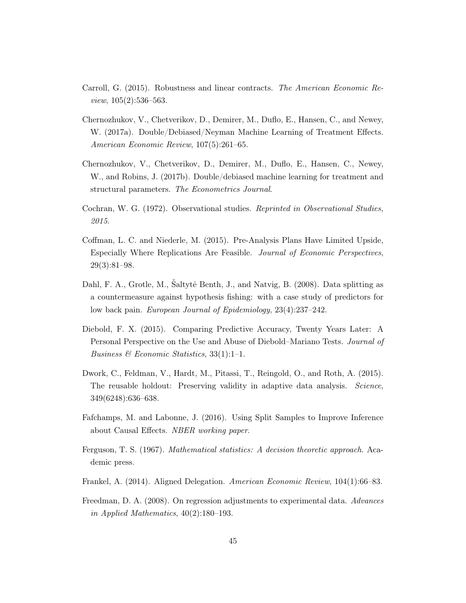- Carroll, G. (2015). Robustness and linear contracts. The American Economic Review, 105(2):536–563.
- Chernozhukov, V., Chetverikov, D., Demirer, M., Duflo, E., Hansen, C., and Newey, W. (2017a). Double/Debiased/Neyman Machine Learning of Treatment Effects. American Economic Review, 107(5):261–65.
- Chernozhukov, V., Chetverikov, D., Demirer, M., Duflo, E., Hansen, C., Newey, W., and Robins, J. (2017b). Double/debiased machine learning for treatment and structural parameters. The Econometrics Journal.
- Cochran, W. G. (1972). Observational studies. Reprinted in Observational Studies, 2015.
- Coffman, L. C. and Niederle, M. (2015). Pre-Analysis Plans Have Limited Upside, Especially Where Replications Are Feasible. Journal of Economic Perspectives, 29(3):81–98.
- <span id="page-44-0"></span>Dahl, F. A., Grotle, M., Šaltytė Benth, J., and Natvig, B. (2008). Data splitting as a countermeasure against hypothesis fishing: with a case study of predictors for low back pain. European Journal of Epidemiology, 23(4):237–242.
- Diebold, F. X. (2015). Comparing Predictive Accuracy, Twenty Years Later: A Personal Perspective on the Use and Abuse of Diebold–Mariano Tests. Journal of Business & Economic Statistics,  $33(1):1-1$ .
- Dwork, C., Feldman, V., Hardt, M., Pitassi, T., Reingold, O., and Roth, A. (2015). The reusable holdout: Preserving validity in adaptive data analysis. Science, 349(6248):636–638.
- <span id="page-44-1"></span>Fafchamps, M. and Labonne, J. (2016). Using Split Samples to Improve Inference about Causal Effects. NBER working paper.
- Ferguson, T. S. (1967). Mathematical statistics: A decision theoretic approach. Academic press.
- <span id="page-44-2"></span>Frankel, A. (2014). Aligned Delegation. American Economic Review, 104(1):66–83.
- Freedman, D. A. (2008). On regression adjustments to experimental data. Advances in Applied Mathematics, 40(2):180–193.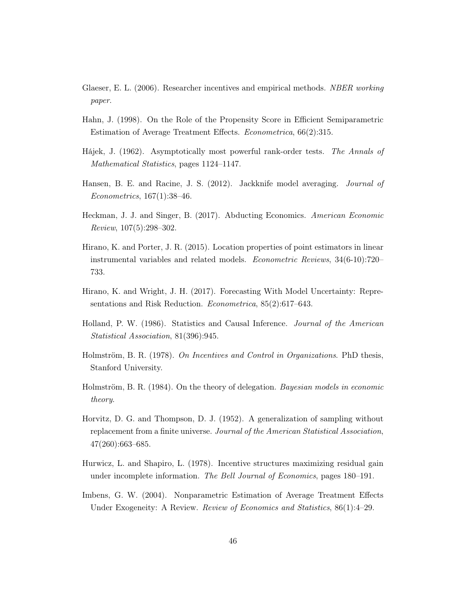- Glaeser, E. L. (2006). Researcher incentives and empirical methods. NBER working paper.
- <span id="page-45-0"></span>Hahn, J. (1998). On the Role of the Propensity Score in Efficient Semiparametric Estimation of Average Treatment Effects. Econometrica, 66(2):315.
- Hájek, J. (1962). Asymptotically most powerful rank-order tests. The Annals of Mathematical Statistics, pages 1124–1147.
- Hansen, B. E. and Racine, J. S. (2012). Jackknife model averaging. Journal of Econometrics, 167(1):38–46.
- Heckman, J. J. and Singer, B. (2017). Abducting Economics. American Economic Review, 107(5):298–302.
- <span id="page-45-2"></span>Hirano, K. and Porter, J. R. (2015). Location properties of point estimators in linear instrumental variables and related models. Econometric Reviews, 34(6-10):720– 733.
- Hirano, K. and Wright, J. H. (2017). Forecasting With Model Uncertainty: Representations and Risk Reduction. Econometrica, 85(2):617–643.
- Holland, P. W. (1986). Statistics and Causal Inference. Journal of the American Statistical Association, 81(396):945.
- Holmström, B. R. (1978). On Incentives and Control in Organizations. PhD thesis, Stanford University.
- Holmström, B. R. (1984). On the theory of delegation. Bayesian models in economic theory.
- Horvitz, D. G. and Thompson, D. J. (1952). A generalization of sampling without replacement from a finite universe. Journal of the American Statistical Association, 47(260):663–685.
- Hurwicz, L. and Shapiro, L. (1978). Incentive structures maximizing residual gain under incomplete information. The Bell Journal of Economics, pages 180–191.
- <span id="page-45-1"></span>Imbens, G. W. (2004). Nonparametric Estimation of Average Treatment Effects Under Exogeneity: A Review. *Review of Economics and Statistics*,  $86(1)$ :4–29.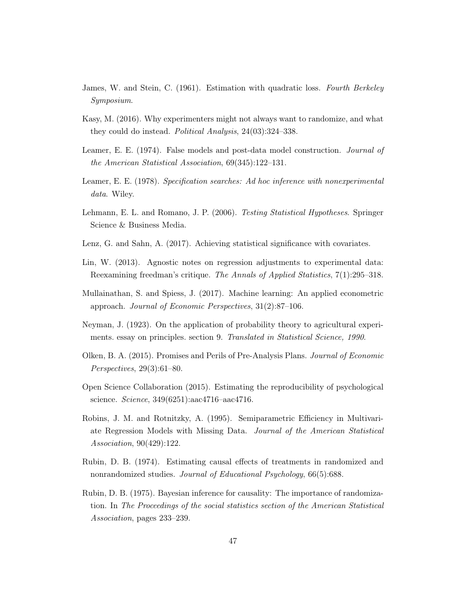- <span id="page-46-0"></span>James, W. and Stein, C. (1961). Estimation with quadratic loss. Fourth Berkeley Symposium.
- Kasy, M. (2016). Why experimenters might not always want to randomize, and what they could do instead. Political Analysis, 24(03):324–338.
- Leamer, E. E. (1974). False models and post-data model construction. *Journal of* the American Statistical Association, 69(345):122–131.
- Leamer, E. E. (1978). Specification searches: Ad hoc inference with nonexperimental data. Wiley.
- Lehmann, E. L. and Romano, J. P. (2006). Testing Statistical Hypotheses. Springer Science & Business Media.
- Lenz, G. and Sahn, A. (2017). Achieving statistical significance with covariates.
- Lin, W. (2013). Agnostic notes on regression adjustments to experimental data: Reexamining freedman's critique. The Annals of Applied Statistics, 7(1):295–318.
- Mullainathan, S. and Spiess, J. (2017). Machine learning: An applied econometric approach. Journal of Economic Perspectives, 31(2):87–106.
- Neyman, J. (1923). On the application of probability theory to agricultural experiments. essay on principles. section 9. Translated in Statistical Science, 1990.
- Olken, B. A. (2015). Promises and Perils of Pre-Analysis Plans. Journal of Economic Perspectives, 29(3):61–80.
- Open Science Collaboration (2015). Estimating the reproducibility of psychological science. Science, 349(6251):aac4716–aac4716.
- Robins, J. M. and Rotnitzky, A. (1995). Semiparametric Efficiency in Multivariate Regression Models with Missing Data. Journal of the American Statistical Association, 90(429):122.
- Rubin, D. B. (1974). Estimating causal effects of treatments in randomized and nonrandomized studies. Journal of Educational Psychology, 66(5):688.
- Rubin, D. B. (1975). Bayesian inference for causality: The importance of randomization. In The Proceedings of the social statistics section of the American Statistical Association, pages 233–239.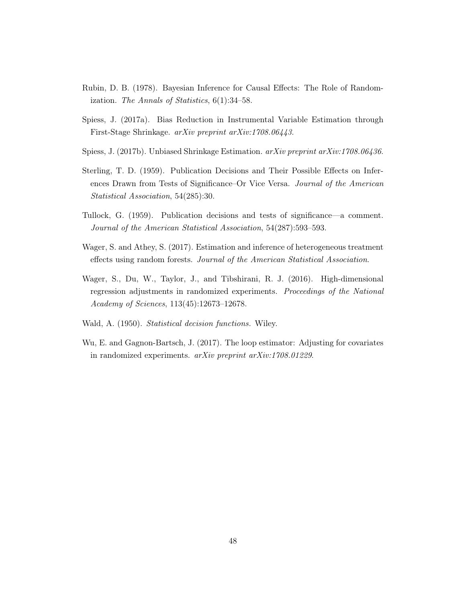- Rubin, D. B. (1978). Bayesian Inference for Causal Effects: The Role of Randomization. The Annals of Statistics, 6(1):34–58.
- <span id="page-47-1"></span>Spiess, J. (2017a). Bias Reduction in Instrumental Variable Estimation through First-Stage Shrinkage. arXiv preprint arXiv:1708.06443.
- <span id="page-47-0"></span>Spiess, J. (2017b). Unbiased Shrinkage Estimation. arXiv preprint arXiv:1708.06436.
- Sterling, T. D. (1959). Publication Decisions and Their Possible Effects on Inferences Drawn from Tests of Significance–Or Vice Versa. Journal of the American Statistical Association, 54(285):30.
- Tullock, G. (1959). Publication decisions and tests of significance—a comment. Journal of the American Statistical Association, 54(287):593–593.
- Wager, S. and Athey, S. (2017). Estimation and inference of heterogeneous treatment effects using random forests. Journal of the American Statistical Association.
- Wager, S., Du, W., Taylor, J., and Tibshirani, R. J. (2016). High-dimensional regression adjustments in randomized experiments. Proceedings of the National Academy of Sciences, 113(45):12673–12678.
- Wald, A. (1950). Statistical decision functions. Wiley.
- Wu, E. and Gagnon-Bartsch, J. (2017). The loop estimator: Adjusting for covariates in randomized experiments. arXiv preprint arXiv:1708.01229.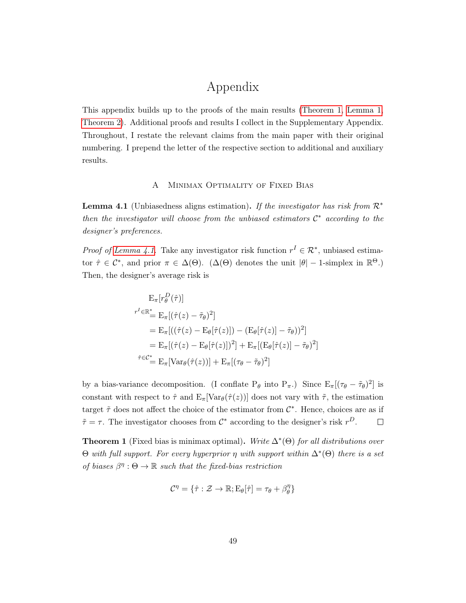# Appendix

This appendix builds up to the proofs of the main results [\(Theorem 1,](#page-18-0) [Lemma 1,](#page-19-1) [Theorem 2\)](#page-19-0). Additional proofs and results I collect in the Supplementary Appendix. Throughout, I restate the relevant claims from the main paper with their original numbering. I prepend the letter of the respective section to additional and auxiliary results.

# A Minimax Optimality of Fixed Bias

**Lemma 4.1** (Unbiasedness aligns estimation). If the investigator has risk from  $\mathcal{R}^*$ then the investigator will choose from the unbiased estimators  $\mathcal{C}^*$  according to the designer's preferences.

*Proof of [Lemma 4.1.](#page-19-1)* Take any investigator risk function  $r^I \in \mathcal{R}^*$ , unbiased estimator  $\hat{\tau} \in C^*$ , and prior  $\pi \in \Delta(\Theta)$ . ( $\Delta(\Theta)$  denotes the unit  $|\theta| - 1$ -simplex in  $\mathbb{R}^{\Theta}$ .) Then, the designer's average risk is

$$
E_{\pi}[r_{\theta}^{D}(\hat{\tau})]
$$
\n
$$
r^{I} \in \mathbb{R}_{+}^{*} = E_{\pi}[(\hat{\tau}(z) - \tilde{\tau}_{\theta})^{2}]
$$
\n
$$
= E_{\pi}[((\hat{\tau}(z) - E_{\theta}[\hat{\tau}(z)]) - (E_{\theta}[\hat{\tau}(z)] - \tilde{\tau}_{\theta}))^{2}]
$$
\n
$$
= E_{\pi}[(\hat{\tau}(z) - E_{\theta}[\hat{\tau}(z)])^{2}] + E_{\pi}[(E_{\theta}[\hat{\tau}(z)] - \tilde{\tau}_{\theta})^{2}]
$$
\n
$$
\hat{\tau} \in \mathcal{C}_{+}^{*} = E_{\pi}[\text{Var}_{\theta}(\hat{\tau}(z))] + E_{\pi}[(\tau_{\theta} - \tilde{\tau}_{\theta})^{2}]
$$

by a bias-variance decomposition. (I conflate  $P_{\theta}$  into  $P_{\pi}$ .) Since  $E_{\pi}[(\tau_{\theta} - \tilde{\tau}_{\theta})^2]$  is constant with respect to  $\hat{\tau}$  and  $E_{\pi}[\text{Var}_{\theta}(\hat{\tau}(z))]$  does not vary with  $\tilde{\tau}$ , the estimation target  $\tilde{\tau}$  does not affect the choice of the estimator from  $\mathcal{C}^*$ . Hence, choices are as if  $\tilde{\tau} = \tau$ . The investigator chooses from  $\mathcal{C}^*$  according to the designer's risk  $r^D$ .  $\Box$ 

**Theorem 1** (Fixed bias is minimax optimal). Write  $\Delta^*(\Theta)$  for all distributions over  $\Theta$  with full support. For every hyperprior  $\eta$  with support within  $\Delta^*(\Theta)$  there is a set of biases  $\beta^{\eta}: \Theta \to \mathbb{R}$  such that the fixed-bias restriction

$$
\mathcal{C}^{\eta} = \{ \hat{\tau} : \mathcal{Z} \to \mathbb{R}; \mathrm{E}_{\theta}[\hat{\tau}] = \tau_{\theta} + \beta^{\eta}_{\theta} \}
$$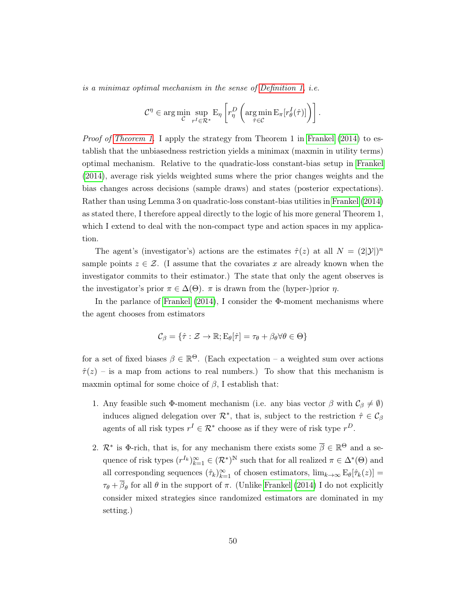is a minimax optimal mechanism in the sense of [Definition 1,](#page-16-0) i.e.

$$
\mathcal{C}^{\eta} \in \arg\min_{\mathcal{C}} \sup_{r^I \in \mathcal{R}^*} \mathcal{E}_{\eta} \left[ r_{\eta}^D \left( \arg\min_{\hat{\tau} \in \mathcal{C}} \mathcal{E}_{\pi} [r_{\theta}^I(\hat{\tau})] \right) \right].
$$

*Proof of [Theorem 1.](#page-18-0)* I apply the strategy from Theorem 1 in [Frankel](#page-44-2) [\(2014\)](#page-44-2) to establish that the unbiasedness restriction yields a minimax (maxmin in utility terms) optimal mechanism. Relative to the quadratic-loss constant-bias setup in [Frankel](#page-44-2) [\(2014\)](#page-44-2), average risk yields weighted sums where the prior changes weights and the bias changes across decisions (sample draws) and states (posterior expectations). Rather than using Lemma 3 on quadratic-loss constant-bias utilities in [Frankel](#page-44-2) [\(2014\)](#page-44-2) as stated there, I therefore appeal directly to the logic of his more general Theorem 1, which I extend to deal with the non-compact type and action spaces in my application.

The agent's (investigator's) actions are the estimates  $\hat{\tau}(z)$  at all  $N = (2|\mathcal{Y}|)^n$ sample points  $z \in \mathcal{Z}$ . (I assume that the covariates x are already known when the investigator commits to their estimator.) The state that only the agent observes is the investigator's prior  $\pi \in \Delta(\Theta)$ .  $\pi$  is drawn from the (hyper-)prior  $\eta$ .

In the parlance of [Frankel](#page-44-2)  $(2014)$ , I consider the  $\Phi$ -moment mechanisms where the agent chooses from estimators

$$
\mathcal{C}_{\beta} = \{ \hat{\tau} : \mathcal{Z} \to \mathbb{R}; E_{\theta}[\hat{\tau}] = \tau_{\theta} + \beta_{\theta} \forall \theta \in \Theta \}
$$

for a set of fixed biases  $\beta \in \mathbb{R}^{\Theta}$ . (Each expectation – a weighted sum over actions  $\hat{\tau}(z)$  – is a map from actions to real numbers.) To show that this mechanism is maxmin optimal for some choice of  $\beta$ , I establish that:

- 1. Any feasible such Φ-moment mechanism (i.e. any bias vector  $\beta$  with  $\mathcal{C}_{\beta} \neq \emptyset$ ) induces aligned delegation over  $\mathcal{R}^*$ , that is, subject to the restriction  $\hat{\tau} \in \mathcal{C}_{\beta}$ agents of all risk types  $r^I \in \mathcal{R}^*$  choose as if they were of risk type  $r^D$ .
- 2.  $\mathcal{R}^*$  is  $\Phi$ -rich, that is, for any mechanism there exists some  $\overline{\beta} \in \mathbb{R}^{\Theta}$  and a sequence of risk types  $(r^{I_k})_{k=1}^{\infty} \in (\mathcal{R}^*)^{\mathbb{N}}$  such that for all realized  $\pi \in \Delta^*(\Theta)$  and all corresponding sequences  $(\hat{\tau}_k)_{k=1}^{\infty}$  of chosen estimators,  $\lim_{k\to\infty} E_{\theta}[\hat{\tau}_k(z)] =$  $\tau_{\theta} + \beta_{\theta}$  for all  $\theta$  in the support of  $\pi$ . (Unlike [Frankel](#page-44-2) [\(2014\)](#page-44-2) I do not explicitly consider mixed strategies since randomized estimators are dominated in my setting.)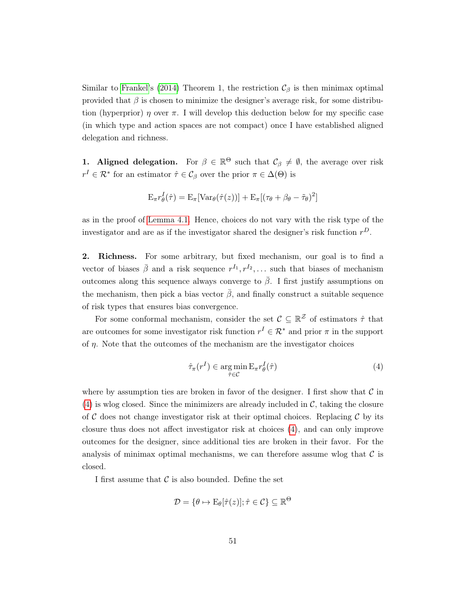Similar to [Frankel'](#page-44-2)s [\(2014\)](#page-44-2) Theorem 1, the restriction  $\mathcal{C}_{\beta}$  is then minimax optimal provided that  $\beta$  is chosen to minimize the designer's average risk, for some distribution (hyperprior)  $\eta$  over  $\pi$ . I will develop this deduction below for my specific case (in which type and action spaces are not compact) once I have established aligned delegation and richness.

**1.** Aligned delegation. For  $\beta \in \mathbb{R}^{\Theta}$  such that  $\mathcal{C}_{\beta} \neq \emptyset$ , the average over risk  $r^I \in \mathcal{R}^*$  for an estimator  $\hat{\tau} \in \mathcal{C}_{\beta}$  over the prior  $\pi \in \Delta(\Theta)$  is

$$
\mathbf{E}_{\pi} r_{\theta}^{I}(\hat{\tau}) = \mathbf{E}_{\pi} [\text{Var}_{\theta}(\hat{\tau}(z))] + \mathbf{E}_{\pi} [(\tau_{\theta} + \beta_{\theta} - \tilde{\tau}_{\theta})^{2}]
$$

as in the proof of [Lemma 4.1.](#page-19-1) Hence, choices do not vary with the risk type of the investigator and are as if the investigator shared the designer's risk function  $r^D$ .

2. Richness. For some arbitrary, but fixed mechanism, our goal is to find a vector of biases  $\bar{\beta}$  and a risk sequence  $r^{I_1}, r^{I_2}, \ldots$  such that biases of mechanism outcomes along this sequence always converge to  $\bar{\beta}$ . I first justify assumptions on the mechanism, then pick a bias vector  $\beta$ , and finally construct a suitable sequence of risk types that ensures bias convergence.

For some conformal mechanism, consider the set  $\mathcal{C} \subseteq \mathbb{R}^{\mathcal{Z}}$  of estimators  $\hat{\tau}$  that are outcomes for some investigator risk function  $r^I \in \mathcal{R}^*$  and prior  $\pi$  in the support of  $\eta$ . Note that the outcomes of the mechanism are the investigator choices

<span id="page-50-0"></span>
$$
\hat{\tau}_{\pi}(r^I) \in \underset{\hat{\tau} \in \mathcal{C}}{\arg \min} \, \mathcal{E}_{\pi} r_{\theta}^I(\hat{\tau}) \tag{4}
$$

where by assumption ties are broken in favor of the designer. I first show that  $\mathcal C$  in  $(4)$  is wlog closed. Since the minimizers are already included in C, taking the closure of C does not change investigator risk at their optimal choices. Replacing C by its closure thus does not affect investigator risk at choices [\(4\)](#page-50-0), and can only improve outcomes for the designer, since additional ties are broken in their favor. For the analysis of minimax optimal mechanisms, we can therefore assume wlog that  $\mathcal C$  is closed.

I first assume that  $\mathcal C$  is also bounded. Define the set

$$
\mathcal{D} = \{ \theta \mapsto \mathrm{E}_{\theta}[\hat{\tau}(z)]; \hat{\tau} \in \mathcal{C} \} \subseteq \mathbb{R}^{\Theta}
$$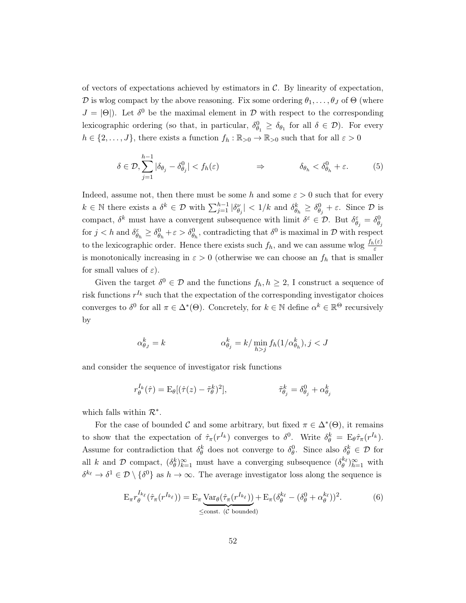of vectors of expectations achieved by estimators in  $C$ . By linearity of expectation, D is wlog compact by the above reasoning. Fix some ordering  $\theta_1, \ldots, \theta_J$  of  $\Theta$  (where  $J = |\Theta|$ ). Let  $\delta^0$  be the maximal element in  $\mathcal D$  with respect to the corresponding lexicographic ordering (so that, in particular,  $\delta_{\theta_1}^0 \ge \delta_{\theta_1}$  for all  $\delta \in \mathcal{D}$ ). For every  $h \in \{2,\ldots,J\}$ , there exists a function  $f_h : \mathbb{R}_{>0} \to \mathbb{R}_{>0}$  such that for all  $\varepsilon > 0$ 

$$
\delta \in \mathcal{D}, \sum_{j=1}^{h-1} |\delta_{\theta_j} - \delta_{\theta_j}^0| < f_h(\varepsilon) \qquad \Rightarrow \qquad \delta_{\theta_h} < \delta_{\theta_h}^0 + \varepsilon. \tag{5}
$$

Indeed, assume not, then there must be some h and some  $\varepsilon > 0$  such that for every  $k \in \mathbb{N}$  there exists a  $\delta^k \in \mathcal{D}$  with  $\sum_{j=1}^{h-1} |\delta_{\theta_j}^{\nu}| < 1/k$  and  $\delta_{\theta_h}^k \ge \delta_{\theta_j}^0 + \varepsilon$ . Since  $\mathcal D$  is compact,  $\delta^k$  must have a convergent subsequence with limit  $\delta^{\varepsilon} \in \mathcal{D}$ . But  $\delta^{\varepsilon}_{\theta_j} = \delta^0_{\theta_j}$ for  $j < h$  and  $\delta_{\theta_h}^{\varepsilon} \geq \delta_{\theta_h}^0 + \varepsilon > \delta_{\theta_h}^0$ , contradicting that  $\delta^0$  is maximal in  $\mathcal D$  with respect to the lexicographic order. Hence there exists such  $f_h$ , and we can assume wlog  $\frac{f_h(\varepsilon)}{\varepsilon}$ is monotonically increasing in  $\varepsilon > 0$  (otherwise we can choose an  $f_h$  that is smaller for small values of  $\varepsilon$ ).

Given the target  $\delta^0 \in \mathcal{D}$  and the functions  $f_h, h \geq 2$ , I construct a sequence of risk functions  $r^{I_k}$  such that the expectation of the corresponding investigator choices converges to  $\delta^0$  for all  $\pi \in \Delta^*(\Theta)$ . Concretely, for  $k \in \mathbb{N}$  define  $\alpha^k \in \mathbb{R}^\Theta$  recursively by

$$
\alpha_{\theta_J}^k = k \qquad \qquad \alpha_{\theta_j}^k = k / \min_{h > j} f_h(1/\alpha_{\theta_h}^k), j < J
$$

and consider the sequence of investigator risk functions

$$
r_{\theta}^{I_k}(\hat{\tau}) = \mathcal{E}_{\theta}[(\hat{\tau}(z) - \tilde{\tau}_{\theta}^k)^2], \qquad \tilde{\tau}_{\theta_j}^k = \delta_{\theta_j}^0 + \alpha_{\theta_j}^k
$$

which falls within  $\mathcal{R}^*$ .

For the case of bounded C and some arbitrary, but fixed  $\pi \in \Delta^*(\Theta)$ , it remains to show that the expectation of  $\hat{\tau}_{\pi}(r^{I_k})$  converges to  $\delta^0$ . Write  $\delta^k_{\theta} = \mathcal{E}_{\theta} \hat{\tau}_{\pi}(r^{I_k})$ . Assume for contradiction that  $\delta_{\theta}^k$  does not converge to  $\delta_{\theta}^0$ . Since also  $\delta_{\theta}^k \in \mathcal{D}$  for all k and D compact,  $(\delta_{\theta}^k)_{k=1}^{\infty}$  must have a converging subsequence  $(\delta_{\theta}^{k_{\ell}})_{h=1}^{\infty}$  with  $\delta^{k_{\ell}} \to \delta^1 \in \mathcal{D} \setminus \{\delta^0\}$  as  $h \to \infty$ . The average investigator loss along the sequence is

<span id="page-51-0"></span>
$$
\mathcal{E}_{\pi} r_{\theta}^{I_{k_{\ell}}}(\hat{\tau}_{\pi}(r^{I_{k_{\ell}}})) = \mathcal{E}_{\pi} \underbrace{\text{Var}_{\theta}(\hat{\tau}_{\pi}(r^{I_{k_{\ell}}}))}_{\text{ 1}} + \mathcal{E}_{\pi}(\delta_{\theta}^{k_{\ell}} - (\delta_{\theta}^{0} + \alpha_{\theta}^{k_{\ell}}))^{2}.
$$
 (6)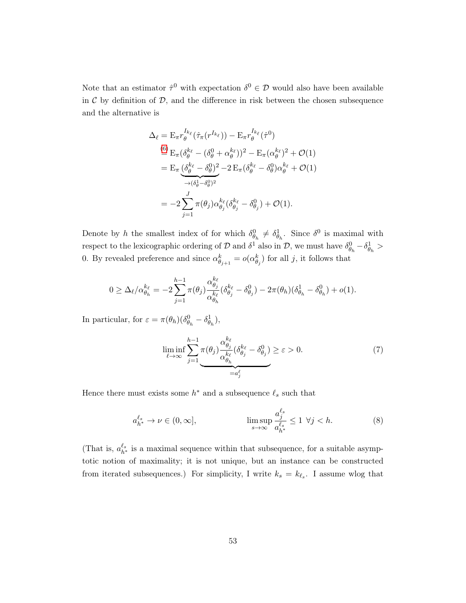Note that an estimator  $\hat{\tau}^0$  with expectation  $\delta^0 \in \mathcal{D}$  would also have been available in  $C$  by definition of  $D$ , and the difference in risk between the chosen subsequence and the alternative is

$$
\Delta_{\ell} = \mathbf{E}_{\pi} r_{\theta}^{I_{k_{\ell}}}(\hat{\tau}_{\pi}(r^{I_{k_{\ell}}})) - \mathbf{E}_{\pi} r_{\theta}^{I_{k_{\ell}}}(\hat{\tau}^{0})
$$
\n
$$
\stackrel{(6)}{=} \mathbf{E}_{\pi} (\delta_{\theta}^{k_{\ell}} - (\delta_{\theta}^{0} + \alpha_{\theta}^{k_{\ell}}))^{2} - \mathbf{E}_{\pi} (\alpha_{\theta}^{k_{\ell}})^{2} + \mathcal{O}(1)
$$
\n
$$
= \mathbf{E}_{\pi} \underbrace{(\delta_{\theta}^{k_{\ell}} - \delta_{\theta}^{0})^{2}}_{\rightarrow (\delta_{\theta}^{1} - \delta_{\theta}^{0})^{2}} - 2 \mathbf{E}_{\pi} (\delta_{\theta}^{k_{\ell}} - \delta_{\theta}^{0}) \alpha_{\theta}^{k_{\ell}} + \mathcal{O}(1)
$$
\n
$$
= -2 \sum_{j=1}^{J} \pi(\theta_{j}) \alpha_{\theta_{j}}^{k_{\ell}} (\delta_{\theta_{j}}^{k_{\ell}} - \delta_{\theta_{j}}^{0}) + \mathcal{O}(1).
$$

Denote by h the smallest index of for which  $\delta_{\theta_h}^0 \neq \delta_{\theta_h}^1$ . Since  $\delta^0$  is maximal with respect to the lexicographic ordering of  $D$  and  $\delta^1$  also in  $D$ , we must have  $\delta_{\theta_h}^0 - \delta_{\theta_h}^1 >$ 0. By revealed preference and since  $\alpha_{\theta_{j+1}}^k = o(\alpha_{\theta_j}^k)$  for all j, it follows that

$$
0 \geq \Delta_{\ell}/\alpha_{\theta_h}^{k_{\ell}} = -2\sum_{j=1}^{h-1}\pi(\theta_j)\frac{\alpha_{\theta_j}^{k_{\ell}}}{\alpha_{\theta_h}^{k_{\ell}}}(\delta_{\theta_j}^{k_{\ell}} - \delta_{\theta_j}^0) - 2\pi(\theta_h)(\delta_{\theta_h}^1 - \delta_{\theta_h}^0) + o(1).
$$

In particular, for  $\varepsilon = \pi(\theta_h)(\delta_{\theta_h}^0 - \delta_{\theta_h}^1)$ ,

<span id="page-52-1"></span><span id="page-52-0"></span>
$$
\liminf_{\ell \to \infty} \sum_{j=1}^{h-1} \pi(\theta_j) \frac{\alpha_{\theta_j}^{k_\ell}}{\alpha_{\theta_h}^{k_\ell}} (\delta_{\theta_j}^{k_\ell} - \delta_{\theta_j}^0) \ge \varepsilon > 0.
$$
\n
$$
(7)
$$

Hence there must exists some  $h^*$  and a subsequence  $\ell_s$  such that

$$
a_{h^*}^{\ell_s} \to \nu \in (0, \infty], \qquad \limsup_{s \to \infty} \frac{a_j^{\ell_s}}{a_{h^*}^{\ell_s}} \le 1 \ \forall j < h. \tag{8}
$$

(That is,  $a_{h^*}^{\ell_s}$  is a maximal sequence within that subsequence, for a suitable asymptotic notion of maximality; it is not unique, but an instance can be constructed from iterated subsequences.) For simplicity, I write  $k_s = k_{\ell_s}$ . I assume wlog that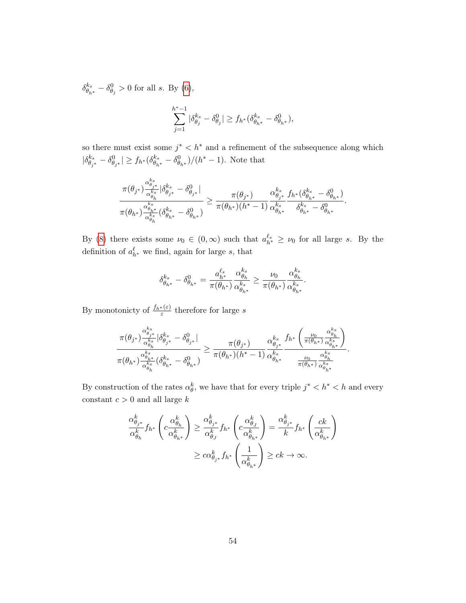$$
\begin{aligned} \delta^{k_s}_{\theta_{h^*}}-\delta^0_{\theta_j}>0 \text{ for all }s. \text{ By (6)},\\ \sum_{j=1}^{h^*-1}|\delta^{k_s}_{\theta_j}-\delta^0_{\theta_j}|\geq f_{h^*}(\delta^{k_s}_{\theta_{h^*}}-\delta^0_{\theta_{h^*}}), \end{aligned}
$$

so there must exist some  $j^* < h^*$  and a refinement of the subsequence along which  $|\delta^{k_s}_{\theta_{j^*}} - \delta^0_{\theta_{j^*}}| \ge f_{h^*}(\delta^{k_s}_{\theta_{h^*}} - \delta^0_{\theta_{h^*}})/(h^* - 1)$ . Note that

$$
\frac{\pi(\theta_{j^*})\frac{\alpha_{\theta_{j^*}}^{k_s}}{\alpha_{\theta_h}^{k_s}}|\delta_{\theta_{j^*}}^{k_s}-\delta_{\theta_{j^*}}^0|}{\pi(\theta_{h^*})\frac{\alpha_{\theta_{h^*}}^{k_s}}{\alpha_{\theta_h}^{k_s}}(\delta_{\theta_{h^*}}^{k_s}-\delta_{\theta_{h^*}}^0)}\geq \frac{\pi(\theta_{j^*})}{\pi(\theta_{h^*})(h^*-1)}\frac{\alpha_{\theta_{j^*}}^{k_s}}{\alpha_{\theta_{h^*}}^{k_s}}\frac{f_{h^*}(\delta_{\theta_{h^*}}^{k_s}-\delta_{\theta_{h^*}}^0)}{\delta_{\theta_{h^*}}^{k_s}-\delta_{\theta_{h^*}}^0}.
$$

By [\(8\)](#page-52-0) there exists some  $\nu_0 \in (0,\infty)$  such that  $a_{h^*}^{\ell_s} \geq \nu_0$  for all large s. By the definition of  $a_{h^*}^{\ell}$  we find, again for large s, that

$$
\delta_{\theta_{h^*}}^{k_s}-\delta_{\theta_{h^*}}^0=\frac{a_{h^*}^{\ell_s}}{\pi(\theta_{h^*})}\frac{\alpha_{\theta_h}^{k_s}}{\alpha_{\theta_{h^*}}^{k_s}}\geq \frac{\nu_0}{\pi(\theta_{h^*})}\frac{\alpha_{\theta_h}^{k_s}}{\alpha_{\theta_{h^*}}^{k_s}}.
$$

By monotonicty of  $\frac{f_{h^*}(\varepsilon)}{\varepsilon}$  therefore for large s

$$
\frac{\pi(\theta_{j^*})\frac{\alpha_{\theta_{j^*}}^{k_s}}{\alpha_{\theta_h}^{k_s}}|\delta_{\theta_{j^*}}^{k_s}-\delta_{\theta_{j^*}}^0|}{\pi(\theta_{h^*})\frac{\alpha_{\theta_{h^*}}^{k_s}}{\alpha_{\theta_h}^{k_s}}(\delta_{\theta_{h^*}}^{k_s}-\delta_{\theta_{h^*}}^0)}\geq \frac{\pi(\theta_{j^*})}{\pi(\theta_{h^*})(h^*-1)}\frac{\alpha_{\theta_{j^*}}^{k_s}}{\alpha_{\theta_{h^*}}^{k_s}}\frac{f_{h^*}\left(\frac{\nu_0}{\pi(\theta_{h^*})}\frac{\alpha_{\theta_{h}^*}^{k_s}}{\alpha_{\theta_{h}^*}^{\theta_{h^*}}}\right)}{\frac{\nu_0}{\pi(\theta_{h^*})}\frac{\alpha_{\theta_{h}^*}^{k_s}}{\alpha_{\theta_{h^*}}^{\theta_{h^*}}}}.
$$

By construction of the rates  $\alpha_{\theta}^k$ , we have that for every triple  $j^* < h^* < h$  and every constant  $c > 0$  and all large  $k$ 

$$
\frac{\alpha_{\theta_{j^*}}^k}{\alpha_{\theta_h}^k} f_{h^*} \left( c \frac{\alpha_{\theta_h}^k}{\alpha_{\theta_{h^*}}^k} \right) \ge \frac{\alpha_{\theta_{j^*}}^k}{\alpha_{\theta_j}^k} f_{h^*} \left( c \frac{\alpha_{\theta_{j}}^k}{\alpha_{\theta_{h^*}}^k} \right) = \frac{\alpha_{\theta_{j^*}}^k}{k} f_{h^*} \left( \frac{ck}{\alpha_{\theta_{h^*}}^k} \right)
$$

$$
\ge c \alpha_{\theta_{j^*}}^k f_{h^*} \left( \frac{1}{\alpha_{\theta_{h^*}}^k} \right) \ge ck \to \infty.
$$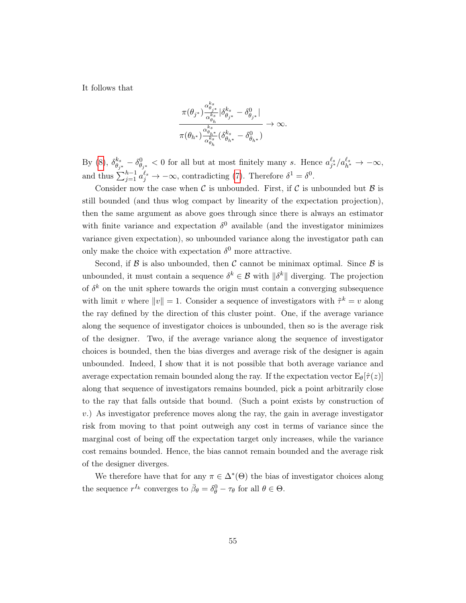It follows that

$$
\frac{\pi(\theta_{j^*})\frac{\alpha_{\theta_{j^*}}^{\dot{k}_s}}{\alpha_{\theta_h}^{\dot{k}_s}}|\delta^{k_s}_{\theta_{j^*}}-\delta^{0}_{\theta_{j^*}}|}{\pi(\theta_{h^*})\frac{\alpha_{\theta_{h^*}}^{\dot{k}_s}}{\alpha_{\theta_h}^{\dot{k}_s}}(\delta^{k_s}_{\theta_{h^*}}-\delta^{0}_{\theta_{h^*}})}\to\infty.
$$

By [\(8\)](#page-52-0),  $\delta_{\theta_{j^*}}^{k_s} - \delta_{\theta_{j^*}}^0 < 0$  for all but at most finitely many s. Hence  $a_{j^*}^{\ell_s}/a_{h^*}^{\ell_s} \to -\infty$ , and thus  $\sum_{j=1}^{h-1} a_j^{\ell_s} \to -\infty$ , contradicting [\(7\)](#page-52-1). Therefore  $\delta^1 = \delta^0$ .

Consider now the case when C is unbounded. First, if C is unbounded but  $\beta$  is still bounded (and thus wlog compact by linearity of the expectation projection), then the same argument as above goes through since there is always an estimator with finite variance and expectation  $\delta^0$  available (and the investigator minimizes variance given expectation), so unbounded variance along the investigator path can only make the choice with expectation  $\delta^0$  more attractive.

Second, if  $\beta$  is also unbounded, then  $\mathcal C$  cannot be minimax optimal. Since  $\beta$  is unbounded, it must contain a sequence  $\delta^k \in \mathcal{B}$  with  $\|\delta^k\|$  diverging. The projection of  $\delta^k$  on the unit sphere towards the origin must contain a converging subsequence with limit v where  $||v|| = 1$ . Consider a sequence of investigators with  $\tilde{\tau}^k = v$  along the ray defined by the direction of this cluster point. One, if the average variance along the sequence of investigator choices is unbounded, then so is the average risk of the designer. Two, if the average variance along the sequence of investigator choices is bounded, then the bias diverges and average risk of the designer is again unbounded. Indeed, I show that it is not possible that both average variance and average expectation remain bounded along the ray. If the expectation vector  $E_{\theta}[\hat{\tau}(z)]$ along that sequence of investigators remains bounded, pick a point arbitrarily close to the ray that falls outside that bound. (Such a point exists by construction of  $v.$ ) As investigator preference moves along the ray, the gain in average investigator risk from moving to that point outweigh any cost in terms of variance since the marginal cost of being off the expectation target only increases, while the variance cost remains bounded. Hence, the bias cannot remain bounded and the average risk of the designer diverges.

We therefore have that for any  $\pi \in \Delta^*(\Theta)$  the bias of investigator choices along the sequence  $r^{I_k}$  converges to  $\bar{\beta}_{\theta} = \delta_{\theta}^0 - \tau_{\theta}$  for all  $\theta \in \Theta$ .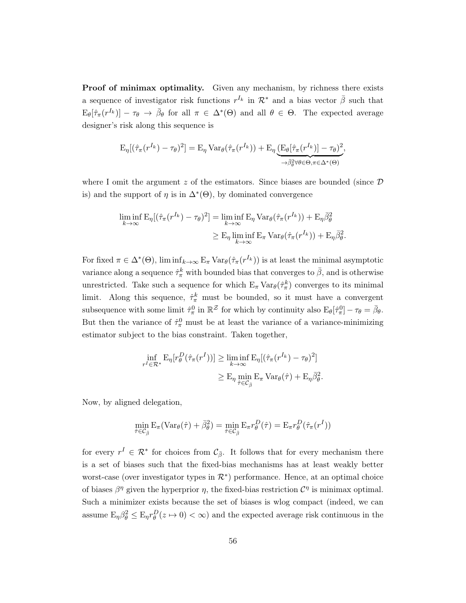Proof of minimax optimality. Given any mechanism, by richness there exists a sequence of investigator risk functions  $r^{I_k}$  in  $\mathcal{R}^*$  and a bias vector  $\bar{\beta}$  such that  $E_{\theta}[\hat{\tau}_{\pi}(r^{I_k})] - \tau_{\theta} \to \bar{\beta}_{\theta}$  for all  $\pi \in \Delta^*(\Theta)$  and all  $\theta \in \Theta$ . The expected average designer's risk along this sequence is

$$
E_{\eta}[(\hat{\tau}_{\pi}(r^{I_k}) - \tau_{\theta})^2] = E_{\eta} \operatorname{Var}_{\theta}(\hat{\tau}_{\pi}(r^{I_k})) + E_{\eta} \underbrace{(E_{\theta}[\hat{\tau}_{\pi}(r^{I_k})] - \tau_{\theta})^2}_{\to \bar{\beta}_{\theta}^2 \forall \theta \in \Theta, \pi \in \Delta^*(\Theta)},
$$

where I omit the argument  $z$  of the estimators. Since biases are bounded (since  $D$ is) and the support of  $\eta$  is in  $\Delta^*(\Theta)$ , by dominated convergence

$$
\liminf_{k \to \infty} \mathcal{E}_{\eta}[(\hat{\tau}_{\pi}(r^{I_k}) - \tau_{\theta})^2] = \liminf_{k \to \infty} \mathcal{E}_{\eta} \operatorname{Var}_{\theta}(\hat{\tau}_{\pi}(r^{I_k})) + \mathcal{E}_{\eta} \bar{\beta}_{\theta}^2
$$

$$
\geq \mathcal{E}_{\eta} \liminf_{k \to \infty} \mathcal{E}_{\pi} \operatorname{Var}_{\theta}(\hat{\tau}_{\pi}(r^{I_k})) + \mathcal{E}_{\eta} \bar{\beta}_{\theta}^2.
$$

For fixed  $\pi \in \Delta^*(\Theta)$ ,  $\liminf_{k \to \infty} E_{\pi} \text{Var}_{\theta}(\hat{\tau}_{\pi}(r^{I_k}))$  is at least the minimal asymptotic variance along a sequence  $\hat{\tau}_{\pi}^{k}$  with bounded bias that converges to  $\bar{\beta}$ , and is otherwise unrestricted. Take such a sequence for which  $E_{\pi} Var_{\theta}(\hat{\tau}_{\pi}^{k})$  converges to its minimal limit. Along this sequence,  $\hat{\tau}_{\pi}^{k}$  must be bounded, so it must have a convergent subsequence with some limit  $\hat{\tau}_{\pi}^0$  in  $\mathbb{R}^{\mathcal{Z}}$  for which by continuity also  $E_{\theta}[\hat{\tau}_{\pi}^0] - \tau_{\theta} = \bar{\beta}_{\theta}$ . But then the variance of  $\hat{\tau}_{\pi}^0$  must be at least the variance of a variance-minimizing estimator subject to the bias constraint. Taken together,

$$
\inf_{r^I \in \mathcal{R}^*} \mathcal{E}_{\eta}[r_{\theta}^D(\hat{\tau}_{\pi}(r^I))] \ge \liminf_{k \to \infty} \mathcal{E}_{\eta}[(\hat{\tau}_{\pi}(r^{I_k}) - \tau_{\theta})^2]
$$
  

$$
\ge \mathcal{E}_{\eta} \min_{\hat{\tau} \in \mathcal{C}_{\bar{\beta}}} \mathcal{E}_{\pi} \operatorname{Var}_{\theta}(\hat{\tau}) + \mathcal{E}_{\eta} \bar{\beta}_{\theta}^2.
$$

Now, by aligned delegation,

$$
\min_{\hat{\tau}\in\mathcal{C}_{\bar{\beta}}} \mathbf{E}_{\pi}(\text{Var}_{\theta}(\hat{\tau}) + \bar{\beta}_{\theta}^2) = \min_{\hat{\tau}\in\mathcal{C}_{\bar{\beta}}} \mathbf{E}_{\pi}r_{\theta}^D(\hat{\tau}) = \mathbf{E}_{\pi}r_{\theta}^D(\hat{\tau}_{\pi}(r^I))
$$

for every  $r^I \in \mathcal{R}^*$  for choices from  $\mathcal{C}_{\bar{\beta}}$ . It follows that for every mechanism there is a set of biases such that the fixed-bias mechanisms has at least weakly better worst-case (over investigator types in  $\mathcal{R}^*$ ) performance. Hence, at an optimal choice of biases  $\beta^{\eta}$  given the hyperprior  $\eta$ , the fixed-bias restriction  $\mathcal{C}^{\eta}$  is minimax optimal. Such a minimizer exists because the set of biases is wlog compact (indeed, we can assume  $E_{\eta}\beta_{\theta}^2 \le E_{\eta}r_{\theta}^D(z \to 0) < \infty$ ) and the expected average risk continuous in the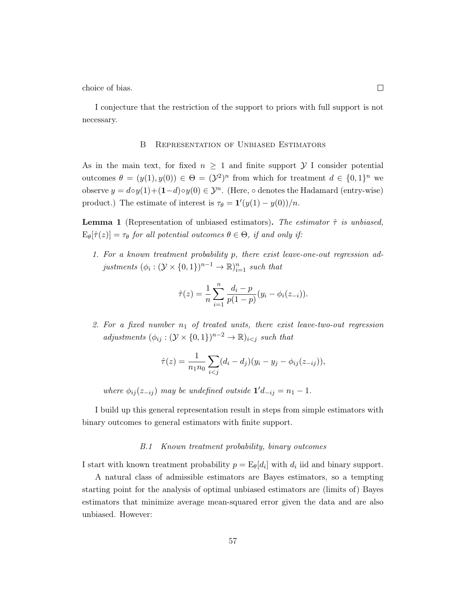choice of bias.

I conjecture that the restriction of the support to priors with full support is not necessary.

## B Representation of Unbiased Estimators

As in the main text, for fixed  $n \geq 1$  and finite support Y I consider potential outcomes  $\theta = (y(1), y(0)) \in \Theta = (\mathcal{Y}^2)^n$  from which for treatment  $d \in \{0,1\}^n$  we observe  $y = d \circ y(1) + (1-d) \circ y(0) \in \mathcal{Y}^n$ . (Here,  $\circ$  denotes the Hadamard (entry-wise) product.) The estimate of interest is  $\tau_{\theta} = \mathbf{1}'(y(1) - y(0))/n$ .

**Lemma 1** (Representation of unbiased estimators). The estimator  $\hat{\tau}$  is unbiased,  $E_{\theta}[\hat{\tau}(z)] = \tau_{\theta}$  for all potential outcomes  $\theta \in \Theta$ , if and only if:

1. For a known treatment probability p, there exist leave-one-out regression adjustments  $(\phi_i : (\mathcal{Y} \times \{0,1\})^{n-1} \to \mathbb{R})_{i=1}^n$  such that

$$
\hat{\tau}(z) = \frac{1}{n} \sum_{i=1}^{n} \frac{d_i - p}{p(1-p)} (y_i - \phi_i(z_{-i})).
$$

2. For a fixed number  $n_1$  of treated units, there exist leave-two-out regression adjustments  $(\phi_{ij} : (\mathcal{Y} \times \{0,1\})^{n-2} \to \mathbb{R})_{i < j}$  such that

$$
\hat{\tau}(z) = \frac{1}{n_1 n_0} \sum_{i < j} (d_i - d_j)(y_i - y_j - \phi_{ij}(z_{-ij})),
$$

where  $\phi_{ij}(z_{-ij})$  may be undefined outside  $\mathbf{1}'d_{-ij} = n_1 - 1$ .

I build up this general representation result in steps from simple estimators with binary outcomes to general estimators with finite support.

#### B.1 Known treatment probability, binary outcomes

I start with known treatment probability  $p = \mathbb{E}_{\theta}[d_i]$  with  $d_i$  iid and binary support.

A natural class of admissible estimators are Bayes estimators, so a tempting starting point for the analysis of optimal unbiased estimators are (limits of) Bayes estimators that minimize average mean-squared error given the data and are also unbiased. However:

57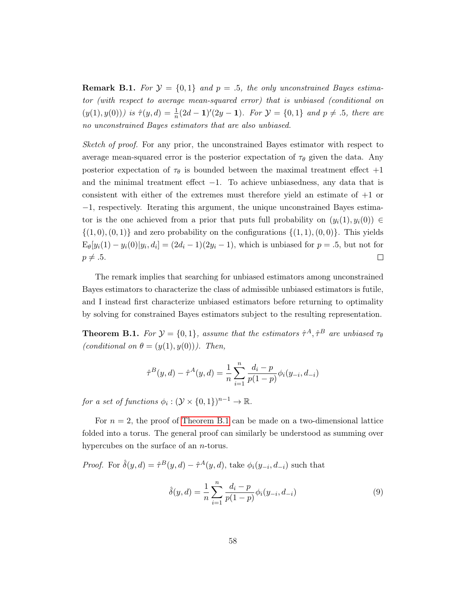**Remark B.1.** For  $\mathcal{Y} = \{0, 1\}$  and  $p = .5$ , the only unconstrained Bayes estimator (with respect to average mean-squared error) that is unbiased (conditional on  $(y(1), y(0))$ ) is  $\hat{\tau}(y, d) = \frac{1}{n}(2d - 1)'(2y - 1)$ . For  $\mathcal{Y} = \{0, 1\}$  and  $p \neq .5$ , there are no unconstrained Bayes estimators that are also unbiased.

Sketch of proof. For any prior, the unconstrained Bayes estimator with respect to average mean-squared error is the posterior expectation of  $\tau_{\theta}$  given the data. Any posterior expectation of  $\tau_{\theta}$  is bounded between the maximal treatment effect  $+1$ and the minimal treatment effect  $-1$ . To achieve unbiasedness, any data that is consistent with either of the extremes must therefore yield an estimate of +1 or −1, respectively. Iterating this argument, the unique unconstrained Bayes estimator is the one achieved from a prior that puts full probability on  $(y_i(1), y_i(0)) \in$  $\{(1,0),(0,1)\}\$  and zero probability on the configurations  $\{(1,1),(0,0)\}\$ . This yields  $E_{\theta}[y_i(1) - y_i(0)|y_i, d_i] = (2d_i - 1)(2y_i - 1)$ , which is unbiased for  $p = .5$ , but not for  $p \neq .5.$  $\Box$ 

The remark implies that searching for unbiased estimators among unconstrained Bayes estimators to characterize the class of admissible unbiased estimators is futile, and I instead first characterize unbiased estimators before returning to optimality by solving for constrained Bayes estimators subject to the resulting representation.

**Theorem B.1.** For  $\mathcal{Y} = \{0, 1\}$ , assume that the estimators  $\hat{\tau}^A$ ,  $\hat{\tau}^B$  are unbiased  $\tau_{\theta}$ (conditional on  $\theta = (y(1), y(0))$ ). Then,

$$
\hat{\tau}^{B}(y,d) - \hat{\tau}^{A}(y,d) = \frac{1}{n} \sum_{i=1}^{n} \frac{d_i - p}{p(1-p)} \phi_i(y_{-i}, d_{-i})
$$

for a set of functions  $\phi_i : (\mathcal{Y} \times \{0,1\})^{n-1} \to \mathbb{R}$ .

For  $n = 2$ , the proof of [Theorem B.1](#page-18-0) can be made on a two-dimensional lattice folded into a torus. The general proof can similarly be understood as summing over hypercubes on the surface of an *n*-torus.

*Proof.* For  $\hat{\delta}(y, d) = \hat{\tau}^B(y, d) - \hat{\tau}^A(y, d)$ , take  $\phi_i(y_{-i}, d_{-i})$  such that

<span id="page-57-0"></span>
$$
\hat{\delta}(y, d) = \frac{1}{n} \sum_{i=1}^{n} \frac{d_i - p}{p(1-p)} \phi_i(y_{-i}, d_{-i})
$$
\n(9)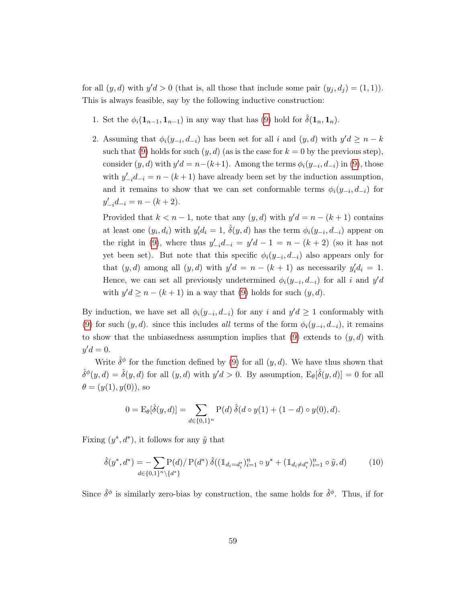for all  $(y, d)$  with  $y'd > 0$  (that is, all those that include some pair  $(y_j, d_j) = (1, 1)$ ). This is always feasible, say by the following inductive construction:

- 1. Set the  $\phi_i(\mathbf{1}_{n-1}, \mathbf{1}_{n-1})$  in any way that has [\(9\)](#page-57-0) hold for  $\hat{\delta}(\mathbf{1}_n, \mathbf{1}_n)$ .
- 2. Assuming that  $\phi_i(y_{-i}, d_{-i})$  has been set for all i and  $(y, d)$  with  $y'd \geq n k$ such that [\(9\)](#page-57-0) holds for such  $(y, d)$  (as is the case for  $k = 0$  by the previous step), consider  $(y, d)$  with  $y'd = n-(k+1)$ . Among the terms  $\phi_i(y_{-i}, d_{-i})$  in [\(9\)](#page-57-0), those with  $y'_{-i}d_{-i} = n - (k+1)$  have already been set by the induction assumption, and it remains to show that we can set conformable terms  $\phi_i(y_{-i}, d_{-i})$  for  $y'_{-i}d_{-i} = n - (k+2).$

Provided that  $k < n - 1$ , note that any  $(y, d)$  with  $y'd = n - (k + 1)$  contains at least one  $(y_i, d_i)$  with  $y'_i d_i = 1$ ,  $\hat{\delta}(y, d)$  has the term  $\phi_i(y_{-i}, d_{-i})$  appear on the right in [\(9\)](#page-57-0), where thus  $y'_{-i}d_{-i} = y'd - 1 = n - (k + 2)$  (so it has not yet been set). But note that this specific  $\phi_i(y_{-i}, d_{-i})$  also appears only for that  $(y, d)$  among all  $(y, d)$  with  $y'd = n - (k + 1)$  as necessarily  $y'_i d_i = 1$ . Hence, we can set all previously undetermined  $\phi_i(y_{-i}, d_{-i})$  for all i and  $y'd$ with  $y'd \ge n - (k+1)$  in a way that [\(9\)](#page-57-0) holds for such  $(y, d)$ .

By induction, we have set all  $\phi_i(y_{-i}, d_{-i})$  for any i and  $y'd \geq 1$  conformably with [\(9\)](#page-57-0) for such  $(y, d)$ . since this includes all terms of the form  $\phi_i(y_{-i}, d_{-i})$ , it remains to show that the unbiasedness assumption implies that  $(9)$  extends to  $(y, d)$  with  $y'd=0.$ 

Write  $\hat{\delta}^{\phi}$  for the function defined by [\(9\)](#page-57-0) for all  $(y, d)$ . We have thus shown that  $\hat{\delta}^{\phi}(y, d) = \hat{\delta}(y, d)$  for all  $(y, d)$  with  $y'd > 0$ . By assumption,  $E_{\theta}[\hat{\delta}(y, d)] = 0$  for all  $\theta = (y(1), y(0)),$  so

<span id="page-58-0"></span>
$$
0 = \mathcal{E}_{\theta}[\hat{\delta}(y, d)] = \sum_{d \in \{0, 1\}^n} \mathcal{P}(d) \,\hat{\delta}(d \circ y(1) + (1 - d) \circ y(0), d).
$$

Fixing  $(y^*, d^*)$ , it follows for any  $\tilde{y}$  that

$$
\hat{\delta}(y^*, d^*) = \sum_{d \in \{0, 1\}^n \setminus \{d^*\}} \mathcal{P}(d) / \mathcal{P}(d^*) \, \hat{\delta}((\mathbb{1}_{d_i = d_i^*})_{i=1}^n \circ y^* + (\mathbb{1}_{d_i \neq d_i^*})_{i=1}^n \circ \tilde{y}, d)
$$
\n(10)

Since  $\hat{\delta}^{\phi}$  is similarly zero-bias by construction, the same holds for  $\hat{\delta}^{\phi}$ . Thus, if for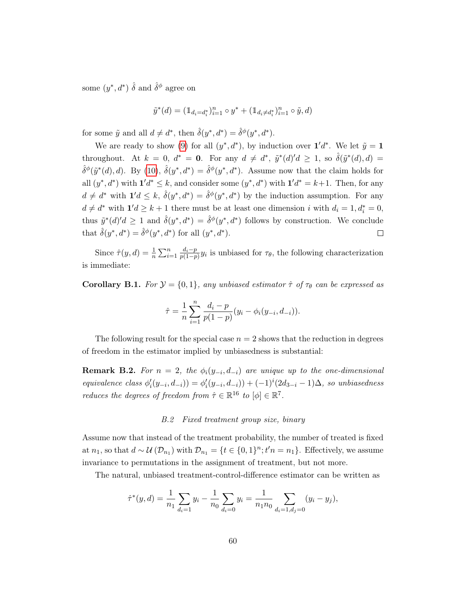some  $(y^*, d^*)$   $\hat{\delta}$  and  $\hat{\delta}^{\phi}$  agree on

$$
\tilde{y}^*(d) = (\mathbb{1}_{d_i = d_i^*})_{i=1}^n \circ y^* + (\mathbb{1}_{d_i \neq d_i^*})_{i=1}^n \circ \tilde{y}, d)
$$

for some  $\tilde{y}$  and all  $d \neq d^*$ , then  $\hat{\delta}(y^*, d^*) = \hat{\delta}^{\phi}(y^*, d^*).$ 

We are ready to show [\(9\)](#page-57-0) for all  $(y^*, d^*)$ , by induction over  $\mathbf{1}' d^*$ . We let  $\tilde{y} = \mathbf{1}$ throughout. At  $k = 0$ ,  $d^* = 0$ . For any  $d \neq d^*$ ,  $\tilde{y}^*(d)'d \geq 1$ , so  $\hat{\delta}(\tilde{y}^*(d), d) =$  $\hat{\delta}^{\phi}(\tilde{y}^*(d), d)$ . By [\(10\)](#page-58-0),  $\hat{\delta}(y^*, d^*) = \hat{\delta}^{\phi}(y^*, d^*)$ . Assume now that the claim holds for all  $(y^*, d^*)$  with  $\mathbf{1}' d^* \leq k$ , and consider some  $(y^*, d^*)$  with  $\mathbf{1}' d^* = k+1$ . Then, for any  $d \neq d^*$  with  $\mathbf{1}'d \leq k$ ,  $\hat{\delta}(y^*, d^*) = \hat{\delta}^{\phi}(y^*, d^*)$  by the induction assumption. For any  $d \neq d^*$  with  $\mathbf{1}'d \geq k+1$  there must be at least one dimension i with  $d_i = 1, d_i^* = 0$ , thus  $\tilde{y}^*(d)'d \geq 1$  and  $\hat{\delta}(y^*, d^*) = \hat{\delta}^{\phi}(y^*, d^*)$  follows by construction. We conclude that  $\hat{\delta}(y^*, d^*) = \hat{\delta}^{\phi}(y^*, d^*)$  for all  $(y^*, d^*)$ .  $\Box$ 

Since  $\hat{\tau}(y, d) = \frac{1}{n} \sum_{i=1}^n \frac{d_i - p}{p(1-p)}$  $\frac{a_i-p}{p(1-p)}y_i$  is unbiased for  $\tau_\theta$ , the following characterization is immediate:

Corollary B.1. For  $\mathcal{Y} = \{0, 1\}$ , any unbiased estimator  $\hat{\tau}$  of  $\tau_{\theta}$  can be expressed as

$$
\hat{\tau} = \frac{1}{n} \sum_{i=1}^{n} \frac{d_i - p}{p(1-p)} (y_i - \phi_i(y_{-i}, d_{-i})).
$$

The following result for the special case  $n = 2$  shows that the reduction in degrees of freedom in the estimator implied by unbiasedness is substantial:

**Remark B.2.** For  $n = 2$ , the  $\phi_i(y_{-i}, d_{-i})$  are unique up to the one-dimensional equivalence class  $\phi'_i(y_{-i}, d_{-i}) = \phi'_i(y_{-i}, d_{-i}) + (-1)^i (2d_{3-i} - 1)\Delta$ , so unbiasedness reduces the degrees of freedom from  $\hat{\tau} \in \mathbb{R}^{16}$  to  $[\phi] \in \mathbb{R}^7$ .

## B.2 Fixed treatment group size, binary

Assume now that instead of the treatment probability, the number of treated is fixed at  $n_1$ , so that  $d \sim \mathcal{U}(\mathcal{D}_{n_1})$  with  $\mathcal{D}_{n_1} = \{t \in \{0,1\}^n; t'n = n_1\}$ . Effectively, we assume invariance to permutations in the assignment of treatment, but not more.

The natural, unbiased treatment-control-difference estimator can be written as

$$
\hat{\tau}^*(y, d) = \frac{1}{n_1} \sum_{d_i=1} y_i - \frac{1}{n_0} \sum_{d_i=0} y_i = \frac{1}{n_1 n_0} \sum_{d_i=1, d_j=0} (y_i - y_j),
$$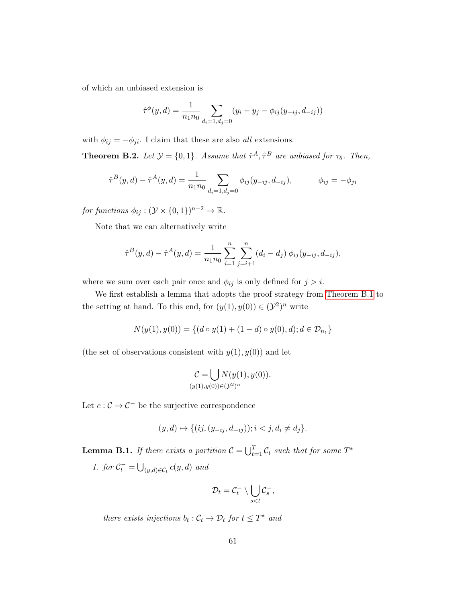of which an unbiased extension is

$$
\hat{\tau}^{\phi}(y, d) = \frac{1}{n_1 n_0} \sum_{d_i = 1, d_j = 0} (y_i - y_j - \phi_{ij}(y_{-ij}, d_{-ij}))
$$

with  $\phi_{ij} = -\phi_{ji}$ . I claim that these are also *all* extensions.

**Theorem B.2.** Let  $\mathcal{Y} = \{0, 1\}$ . Assume that  $\hat{\tau}^A$ ,  $\hat{\tau}^B$  are unbiased for  $\tau_{\theta}$ . Then,

$$
\hat{\tau}^{B}(y,d) - \hat{\tau}^{A}(y,d) = \frac{1}{n_{1}n_{0}} \sum_{d_{i}=1, d_{j}=0} \phi_{ij}(y_{-ij}, d_{-ij}), \qquad \phi_{ij} = -\phi_{ji}
$$

for functions  $\phi_{ij} : (\mathcal{Y} \times \{0,1\})^{n-2} \to \mathbb{R}$ .

Note that we can alternatively write

$$
\hat{\tau}^{B}(y,d) - \hat{\tau}^{A}(y,d) = \frac{1}{n_1 n_0} \sum_{i=1}^{n} \sum_{j=i+1}^{n} (d_i - d_j) \phi_{ij}(y_{-ij}, d_{-ij}),
$$

where we sum over each pair once and  $\phi_{ij}$  is only defined for  $j > i$ .

We first establish a lemma that adopts the proof strategy from [Theorem B.1](#page-18-0) to the setting at hand. To this end, for  $(y(1), y(0)) \in (\mathcal{Y}^2)^n$  write

$$
N(y(1), y(0)) = \{(d \circ y(1) + (1 - d) \circ y(0), d); d \in \mathcal{D}_{n_1}\}\
$$

(the set of observations consistent with  $y(1), y(0)$ ) and let

$$
\mathcal{C} = \bigcup_{(y(1), y(0)) \in (\mathcal{Y}^2)^n} N(y(1), y(0)).
$$

Let  $c : \mathcal{C} \to \mathcal{C}^-$  be the surjective correspondence

$$
(y,d) \mapsto \{ (ij, (y_{-ij}, d_{-ij})); i < j, d_i \neq d_j \}.
$$

**Lemma B.1.** If there exists a partition  $\mathcal{C} = \bigcup_{t=1}^{T} \mathcal{C}_t$  such that for some  $T^*$ 

1. for  $\mathcal{C}_t^- = \bigcup_{(y,d)\in\mathcal{C}_t} c(y,d)$  and

$$
\mathcal{D}_t = \mathcal{C}_t^- \setminus \bigcup_{s < t} \mathcal{C}_s^-,
$$

there exists injections  $b_t : C_t \to \mathcal{D}_t$  for  $t \leq T^*$  and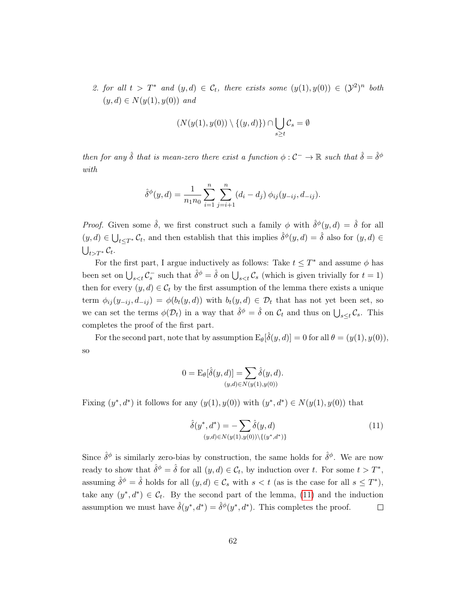2. for all  $t > T^*$  and  $(y,d) \in C_t$ , there exists some  $(y(1), y(0)) \in (\mathcal{Y}^2)^n$  both  $(y, d) \in N(y(1), y(0))$  and

$$
(N(y(1),y(0)) \setminus \{(y,d)\}) \cap \bigcup_{s \ge t} C_s = \emptyset
$$

then for any  $\hat{\delta}$  that is mean-zero there exist a function  $\phi: \mathcal{C}^- \to \mathbb{R}$  such that  $\hat{\delta} = \hat{\delta}^{\phi}$ with

$$
\hat{\delta}^{\phi}(y, d) = \frac{1}{n_1 n_0} \sum_{i=1}^n \sum_{j=i+1}^n (d_i - d_j) \phi_{ij}(y_{-ij}, d_{-ij}).
$$

*Proof.* Given some  $\hat{\delta}$ , we first construct such a family  $\phi$  with  $\hat{\delta}^{\phi}(y, d) = \hat{\delta}$  for all  $(y, d) \in \bigcup_{t \leq T^*} C_t$ , and then establish that this implies  $\hat{\delta}^{\phi}(y, d) = \hat{\delta}$  also for  $(y, d) \in$  $\bigcup_{t>T^*} \mathcal{C}_t.$ 

For the first part, I argue inductively as follows: Take  $t \leq T^*$  and assume  $\phi$  has been set on  $\bigcup_{s such that  $\hat{\delta}^{\phi} = \hat{\delta}$  on  $\bigcup_{s (which is given trivially for  $t = 1$ )$$ then for every  $(y, d) \in C_t$  by the first assumption of the lemma there exists a unique term  $\phi_{ij}(y_{-ij}, d_{-ij}) = \phi(b_t(y, d))$  with  $b_t(y, d) \in \mathcal{D}_t$  that has not yet been set, so we can set the terms  $\phi(\mathcal{D}_t)$  in a way that  $\hat{\delta}^{\phi} = \hat{\delta}$  on  $\mathcal{C}_t$  and thus on  $\bigcup_{s \leq t} \mathcal{C}_s$ . This completes the proof of the first part.

For the second part, note that by assumption  $E_{\theta}[\hat{\delta}(y, d)] = 0$  for all  $\theta = (y(1), y(0)),$ so

$$
0 = \mathcal{E}_{\theta}[\hat{\delta}(y, d)] = \sum_{(y,d) \in N(y(1), y(0))} \hat{\delta}(y, d).
$$

Fixing  $(y^*, d^*)$  it follows for any  $(y(1), y(0))$  with  $(y^*, d^*) \in N(y(1), y(0))$  that

<span id="page-61-0"></span>
$$
\hat{\delta}(y^*, d^*) = -\sum_{(y,d)\in N(y(1),y(0))\setminus\{(y^*, d^*)\}} \hat{\delta}(y, d)
$$
\n(11)

Since  $\hat{\delta}^{\phi}$  is similarly zero-bias by construction, the same holds for  $\hat{\delta}^{\phi}$ . We are now ready to show that  $\hat{\delta}^{\phi} = \hat{\delta}$  for all  $(y, d) \in C_t$ , by induction over t. For some  $t > T^*$ , assuming  $\hat{\delta}^{\phi} = \hat{\delta}$  holds for all  $(y, d) \in \mathcal{C}_s$  with  $s < t$  (as is the case for all  $s \leq T^*$ ), take any  $(y^*, d^*) \in \mathcal{C}_t$ . By the second part of the lemma, [\(11\)](#page-61-0) and the induction assumption we must have  $\hat{\delta}(y^*, d^*) = \hat{\delta}^{\phi}(y^*, d^*)$ . This completes the proof.  $\Box$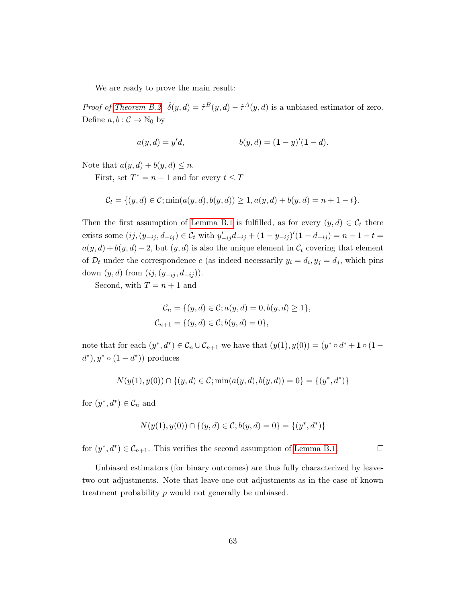We are ready to prove the main result:

*Proof of [Theorem B.2.](#page-19-0)*  $\hat{\delta}(y, d) = \hat{\tau}^B(y, d) - \hat{\tau}^A(y, d)$  is a unbiased estimator of zero. Define  $a, b : C \to \mathbb{N}_0$  by

$$
a(y, d) = y'd, \t b(y, d) = (1 - y)'(1 - d).
$$

Note that  $a(y, d) + b(y, d) \leq n$ .

First, set  $T^* = n - 1$  and for every  $t \leq T$ 

$$
\mathcal{C}_t = \{ (y, d) \in \mathcal{C}; \min(a(y, d), b(y, d)) \ge 1, a(y, d) + b(y, d) = n + 1 - t \}.
$$

Then the first assumption of [Lemma B.1](#page-19-1) is fulfilled, as for every  $(y, d) \in C_t$  there exists some  $(ij, (y_{-ij}, d_{-ij}) \in C_t$  with  $y'_{-ij}d_{-ij} + (1 - y_{-ij})'(1 - d_{-ij}) = n - 1 - t =$  $a(y, d) + b(y, d) - 2$ , but  $(y, d)$  is also the unique element in  $\mathcal{C}_t$  covering that element of  $\mathcal{D}_t$  under the correspondence c (as indeed necessarily  $y_i = d_i, y_j = d_j$ , which pins down  $(y, d)$  from  $(ij, (y_{-ij}, d_{-ij}))$ .

Second, with  $T = n + 1$  and

$$
C_n = \{(y, d) \in C; a(y, d) = 0, b(y, d) \ge 1\},\
$$
  

$$
C_{n+1} = \{(y, d) \in C; b(y, d) = 0\},\
$$

note that for each  $(y^*, d^*) \in C_n \cup C_{n+1}$  we have that  $(y(1), y(0)) = (y^* \circ d^* + 1 \circ (1 (d^*), y^* \circ (1 - d^*))$  produces

$$
N(y(1), y(0)) \cap \{(y, d) \in \mathcal{C}; \min(a(y, d), b(y, d)) = 0\} = \{(y^*, d^*)\}
$$

for  $(y^*, d^*) \in \mathcal{C}_n$  and

$$
N(y(1), y(0)) \cap \{(y, d) \in \mathcal{C}; b(y, d) = 0\} = \{(y^*, d^*)\}
$$

for  $(y^*, d^*) \in \mathcal{C}_{n+1}$ . This verifies the second assumption of [Lemma B.1.](#page-19-1)

 $\Box$ 

Unbiased estimators (for binary outcomes) are thus fully characterized by leavetwo-out adjustments. Note that leave-one-out adjustments as in the case of known treatment probability p would not generally be unbiased.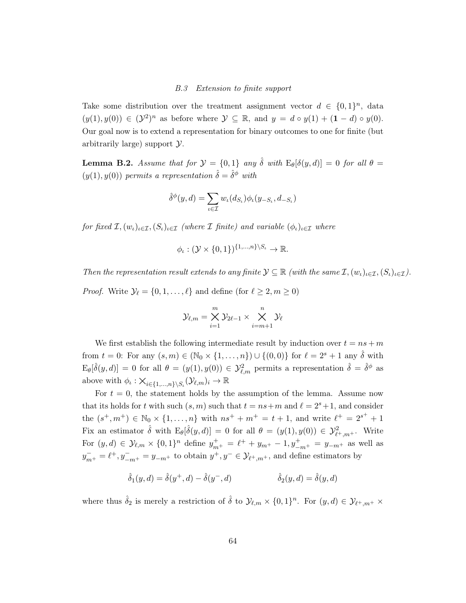# B.3 Extension to finite support

Take some distribution over the treatment assignment vector  $d \in \{0,1\}^n$ , data  $(y(1), y(0)) \in (\mathcal{Y}^2)^n$  as before where  $\mathcal{Y} \subseteq \mathbb{R}$ , and  $y = d \circ y(1) + (1 - d) \circ y(0)$ . Our goal now is to extend a representation for binary outcomes to one for finite (but arbitrarily large) support Y.

<span id="page-63-0"></span>**Lemma B.2.** Assume that for  $\mathcal{Y} = \{0, 1\}$  any  $\hat{\delta}$  with  $E_{\theta}[\delta(y, d)] = 0$  for all  $\theta =$  $(y(1), y(0))$  permits a representation  $\hat{\delta} = \hat{\delta}^{\phi}$  with

$$
\hat{\delta}^{\phi}(y,d) = \sum_{\iota \in \mathcal{I}} w_{\iota}(d_{S_{\iota}}) \phi_{\iota}(y_{-S_{\iota}}, d_{-S_{\iota}})
$$

for fixed  $\mathcal{I}, (w_{\iota})_{\iota \in \mathcal{I}}, (S_{\iota})_{\iota \in \mathcal{I}}$  (where  $\mathcal{I}$  finite) and variable  $(\phi_{\iota})_{\iota \in \mathcal{I}}$  where

$$
\phi_{\iota} : (\mathcal{Y} \times \{0,1\})^{\{1,\ldots,n\} \setminus S_{\iota}} \to \mathbb{R}.
$$

Then the representation result extends to any finite  $\mathcal{Y} \subseteq \mathbb{R}$  (with the same  $\mathcal{I}, (w_{\iota})_{\iota \in \mathcal{I}}, (S_{\iota})_{\iota \in \mathcal{I}})$ . *Proof.* Write  $\mathcal{Y}_\ell = \{0, 1, \ldots, \ell\}$  and define (for  $\ell \geq 2, m \geq 0$ )

$$
\mathcal{Y}_{\ell,m} = \bigtimes_{i=1}^m \mathcal{Y}_{2\ell-1} \times \bigtimes_{i=m+1}^n \mathcal{Y}_\ell
$$

We first establish the following intermediate result by induction over  $t = ns + m$ from  $t = 0$ : For any  $(s, m) \in (\mathbb{N}_0 \times \{1, ..., n\}) \cup \{(0, 0)\}\)$  for  $\ell = 2^s + 1$  any  $\hat{\delta}$  with  $E_{\theta}[\hat{\delta}(y, d)] = 0$  for all  $\theta = (y(1), y(0)) \in \mathcal{Y}_{\ell,m}^2$  permits a representation  $\hat{\delta} = \hat{\delta}^{\phi}$  as above with  $\phi_{\iota}: \mathsf{X}_{i \in \{1,\dots,n\} \setminus S_{\iota}}(\mathcal{Y}_{\ell,m})_i \to \mathbb{R}$ 

For  $t = 0$ , the statement holds by the assumption of the lemma. Assume now that its holds for t with such  $(s, m)$  such that  $t = ns+m$  and  $\ell = 2<sup>s</sup>+1$ , and consider the  $(s^+, m^+) \in \mathbb{N}_0 \times \{1, ..., n\}$  with  $ns^+ + m^+ = t + 1$ , and write  $\ell^+ = 2^{s^+} + 1$ Fix an estimator  $\hat{\delta}$  with  $E_{\theta}[\hat{\delta}(y, d)] = 0$  for all  $\theta = (y(1), y(0)) \in \mathcal{Y}_{\ell^+, m^+}^2$ . Write For  $(y, d) \in \mathcal{Y}_{\ell,m} \times \{0, 1\}^n$  define  $y_{m^+}^+ = \ell^+ + y_{m^+} - 1$ ,  $y_{-m^+}^+ = y_{-m^+}$  as well as  $y_{m^+}^- = \ell^+, y_{-m^+}^- = y_{-m^+}$  to obtain  $y^+, y^- \in \mathcal{Y}_{\ell^+, m^+}$ , and define estimators by

$$
\hat{\delta}_1(y, d) = \hat{\delta}(y^+, d) - \hat{\delta}(y^-, d) \qquad \hat{\delta}_2(y, d) = \hat{\delta}(y, d)
$$

where thus  $\hat{\delta}_2$  is merely a restriction of  $\hat{\delta}$  to  $\mathcal{Y}_{\ell,m} \times \{0,1\}^n$ . For  $(y,d) \in \mathcal{Y}_{\ell^+,m^+} \times$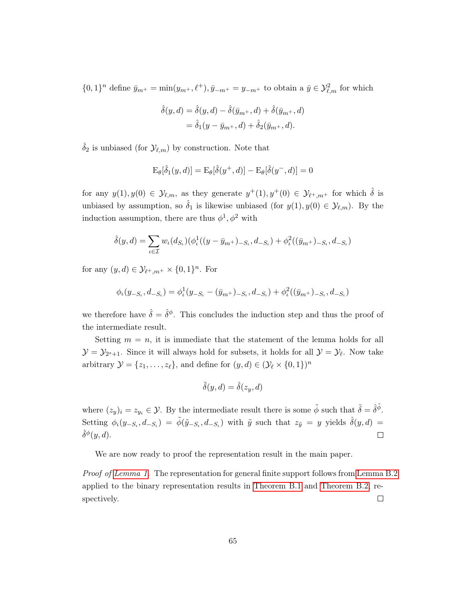$\{0,1\}^n$  define  $\bar{y}_{m^+} = \min(y_{m^+}, \ell^+), \bar{y}_{-m^+} = y_{-m^+}$  to obtain a  $\bar{y} \in \mathcal{Y}_{\ell,m}^2$  for which

$$
\hat{\delta}(y, d) = \hat{\delta}(y, d) - \hat{\delta}(\bar{y}_{m^+}, d) + \hat{\delta}(\bar{y}_{m^+}, d)
$$

$$
= \hat{\delta}_1(y - \bar{y}_{m^+}, d) + \hat{\delta}_2(\bar{y}_{m^+}, d).
$$

 $\delta_2$  is unbiased (for  $\mathcal{Y}_{\ell,m}$ ) by construction. Note that

$$
E_{\theta}[\hat{\delta}_1(y, d)] = E_{\theta}[\hat{\delta}(y^+, d)] - E_{\theta}[\hat{\delta}(y^-, d)] = 0
$$

for any  $y(1), y(0) \in \mathcal{Y}_{\ell,m}$ , as they generate  $y^+(1), y^+(0) \in \mathcal{Y}_{\ell^+,m^+}$  for which  $\hat{\delta}$  is unbiased by assumption, so  $\hat{\delta}_1$  is likewise unbiased (for  $y(1), y(0) \in \mathcal{Y}_{\ell,m}$ ). By the induction assumption, there are thus  $\phi^1, \phi^2$  with

$$
\hat{\delta}(y,d) = \sum_{\iota \in \mathcal{I}} w_{\iota}(d_{S_{\iota}})(\phi_{\iota}^{1}((y - \bar{y}_{m^{+}})_{-S_{\iota}}, d_{-S_{\iota}}) + \phi_{\iota}^{2}((\bar{y}_{m^{+}})_{-S_{\iota}}, d_{-S_{\iota}})
$$

for any  $(y, d) \in \mathcal{Y}_{\ell^+, m^+} \times \{0, 1\}^n$ . For

$$
\phi_{\iota}(y_{-S_{\iota}}, d_{-S_{\iota}}) = \phi_{\iota}^{1}(y_{-S_{\iota}} - (\bar{y}_{m^{+}})_{-S_{\iota}}, d_{-S_{\iota}}) + \phi_{\iota}^{2}((\bar{y}_{m^{+}})_{-S_{\iota}}, d_{-S_{\iota}})
$$

we therefore have  $\hat{\delta} = \hat{\delta}^{\phi}$ . This concludes the induction step and thus the proof of the intermediate result.

Setting  $m = n$ , it is immediate that the statement of the lemma holds for all  $\mathcal{Y} = \mathcal{Y}_{2^s+1}$ . Since it will always hold for subsets, it holds for all  $\mathcal{Y} = \mathcal{Y}_{\ell}$ . Now take arbitrary  $\mathcal{Y} = \{z_1, \ldots, z_\ell\}$ , and define for  $(y, d) \in (\mathcal{Y}_\ell \times \{0, 1\})^n$ 

$$
\tilde{\delta}(y, d) = \hat{\delta}(z_y, d)
$$

where  $(z_y)_i = z_{y_i} \in \mathcal{Y}$ . By the intermediate result there is some  $\tilde{\phi}$  such that  $\tilde{\delta} = \hat{\delta}^{\tilde{\phi}}$ . Setting  $\phi_{\iota}(y_{-S_{\iota}}, d_{-S_{\iota}}) = \tilde{\phi}(\tilde{y}_{-S_{\iota}}, d_{-S_{\iota}})$  with  $\tilde{y}$  such that  $z_{\tilde{y}} = y$  yields  $\hat{\delta}(y, d) =$  $\hat{\delta}^{\phi}(y,d)$ .  $\Box$ 

We are now ready to proof the representation result in the main paper.

Proof of [Lemma 1.](#page-19-1) The representation for general finite support follows from [Lemma B.2](#page-63-0) applied to the binary representation results in [Theorem B.1](#page-18-0) and [Theorem B.2,](#page-19-0) respectively.  $\Box$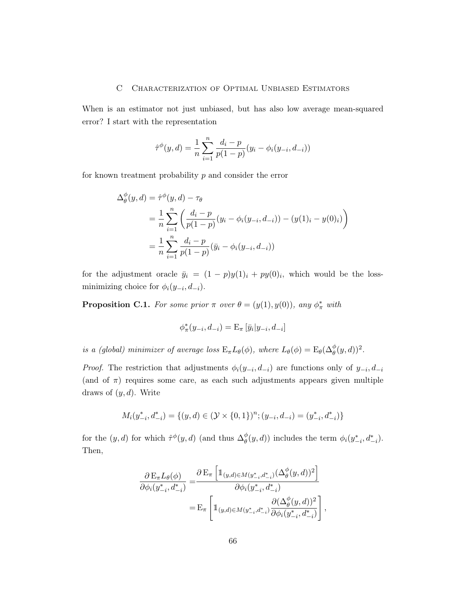## C Characterization of Optimal Unbiased Estimators

When is an estimator not just unbiased, but has also low average mean-squared error? I start with the representation

$$
\hat{\tau}^{\phi}(y, d) = \frac{1}{n} \sum_{i=1}^{n} \frac{d_i - p}{p(1-p)} (y_i - \phi_i(y_{-i}, d_{-i}))
$$

for known treatment probability  $p$  and consider the error

$$
\Delta_{\theta}^{\phi}(y, d) = \hat{\tau}^{\phi}(y, d) - \tau_{\theta}
$$
\n
$$
= \frac{1}{n} \sum_{i=1}^{n} \left( \frac{d_i - p}{p(1-p)} (y_i - \phi_i(y_{-i}, d_{-i})) - (y(1)_i - y(0)_i) \right)
$$
\n
$$
= \frac{1}{n} \sum_{i=1}^{n} \frac{d_i - p}{p(1-p)} (\bar{y}_i - \phi_i(y_{-i}, d_{-i}))
$$

for the adjustment oracle  $\bar{y}_i = (1-p)y(1)_i + py(0)_i$ , which would be the lossminimizing choice for  $\phi_i(y_{-i}, d_{-i})$ .

<span id="page-65-0"></span>**Proposition C.1.** For some prior  $\pi$  over  $\theta = (y(1), y(0))$ , any  $\phi_{\pi}^*$  with

$$
\phi_{\pi}^*(y_{-i}, d_{-i}) = \mathcal{E}_{\pi} \left[ \bar{y}_i | y_{-i}, d_{-i} \right]
$$

is a (global) minimizer of average loss  $E_{\pi}L_{\theta}(\phi)$ , where  $L_{\theta}(\phi) = E_{\theta}(\Delta_{\theta}^{\phi}(y, d))^2$ .

*Proof.* The restriction that adjustments  $\phi_i(y_{-i}, d_{-i})$  are functions only of  $y_{-i}, d_{-i}$ (and of  $\pi$ ) requires some care, as each such adjustments appears given multiple draws of  $(y, d)$ . Write

$$
M_i(y^*_{-i}, d^*_{-i}) = \{(y,d) \in (\mathcal{Y} \times \{0,1\})^n; (y_{-i}, d_{-i}) = (y^*_{-i}, d^*_{-i})\}
$$

for the  $(y, d)$  for which  $\hat{\tau}^{\phi}(y, d)$  (and thus  $\Delta_{\theta}^{\phi}$  $\phi_{\theta}(y, d)$  includes the term  $\phi_i(y_{-i}^*, d_{-i}^*)$ . Then,

$$
\frac{\partial E_{\pi}L_{\theta}(\phi)}{\partial \phi_{i}(y_{-i}^{*}, d_{-i}^{*})} = \frac{\partial E_{\pi}\left[\mathbb{1}_{(y,d)\in M(y_{-i}^{*}, d_{-i}^{*})}(\Delta_{\theta}^{\phi}(y,d))^{2}\right]}{\partial \phi_{i}(y_{-i}^{*}, d_{-i}^{*})}
$$
\n
$$
= E_{\pi}\left[\mathbb{1}_{(y,d)\in M(y_{-i}^{*}, d_{-i}^{*})} \frac{\partial (\Delta_{\theta}^{\phi}(y,d))^{2}}{\partial \phi_{i}(y_{-i}^{*}, d_{-i}^{*})}\right],
$$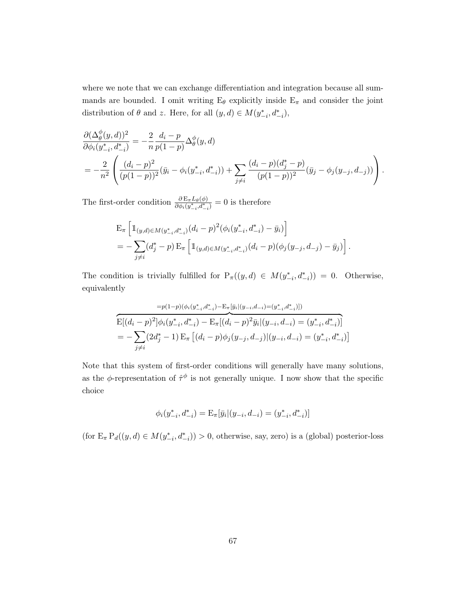where we note that we can exchange differentiation and integration because all summands are bounded. I omit writing  $E_{\theta}$  explicitly inside  $E_{\pi}$  and consider the joint distribution of  $\theta$  and z. Here, for all  $(y, d) \in M(y^*_{-i}, d^*_{-i}),$ 

$$
\frac{\partial (\Delta_{\theta}^{\phi}(y, d))^{2}}{\partial \phi_{i}(y_{-i}^{*}, d_{-i}^{*})} = -\frac{2}{n} \frac{d_{i} - p}{p(1-p)} \Delta_{\theta}^{\phi}(y, d)
$$
\n
$$
= -\frac{2}{n^{2}} \left( \frac{(d_{i} - p)^{2}}{(p(1-p))^{2}} (\bar{y}_{i} - \phi_{i}(y_{-i}^{*}, d_{-i}^{*})) + \sum_{j \neq i} \frac{(d_{i} - p)(d_{j}^{*} - p)}{(p(1-p))^{2}} (\bar{y}_{j} - \phi_{j}(y_{-j}, d_{-j})) \right).
$$

The first-order condition  $\frac{\partial E_{\pi}L_{\theta}(\phi)}{\partial \phi_i(y^*_{-i},d^*_{-i})}=0$  is therefore

$$
\begin{split} & \mathcal{E}_{\pi} \left[ \mathbb{1}_{(y,d) \in M(y^*_{-i}, d^*_{-i})} (d_i - p)^2 (\phi_i(y^*_{-i}, d^*_{-i}) - \bar{y}_i) \right] \\ & = - \sum_{j \neq i} (d^*_j - p) \, \mathcal{E}_{\pi} \left[ \mathbb{1}_{(y,d) \in M(y^*_{-i}, d^*_{-i})} (d_i - p) (\phi_j(y_{-j}, d_{-j}) - \bar{y}_j) \right]. \end{split}
$$

The condition is trivially fulfilled for  $P_{\pi}((y, d) \in M(y_{-i}^*, d_{-i}^*)) = 0$ . Otherwise, equivalently

$$
=p(1-p)(\phi_i(y_{-i}^*,d_{-i}^*)-\mathbf{E}_{\pi}[\bar{y}_i|(y_{-i},d_{-i})=(y_{-i}^*,d_{-i}^*)])
$$
  
\n
$$
\mathbf{E}[(d_i-p)^2]\phi_i(y_{-i}^*,d_{-i}^*)-\mathbf{E}_{\pi}[(d_i-p)^2\bar{y}_i|(y_{-i},d_{-i})=(y_{-i}^*,d_{-i}^*)]
$$
  
\n
$$
=-\sum_{j\neq i}(2d_j^*-1)\mathbf{E}_{\pi}\left[(d_i-p)\phi_j(y_{-j},d_{-j})|(y_{-i},d_{-i})=(y_{-i}^*,d_{-i}^*)\right]
$$

Note that this system of first-order conditions will generally have many solutions, as the  $\phi$ -representation of  $\hat{\tau}^{\phi}$  is not generally unique. I now show that the specific choice

$$
\phi_i(y_{-i}^*, d_{-i}^*) = \mathbf{E}_{\pi}[\bar{y}_i|(y_{-i}, d_{-i}) = (y_{-i}^*, d_{-i}^*)]
$$

(for  $E_{\pi} P_d((y, d) \in M(y_{-i}^*, d_{-i}^*)) > 0$ , otherwise, say, zero) is a (global) posterior-loss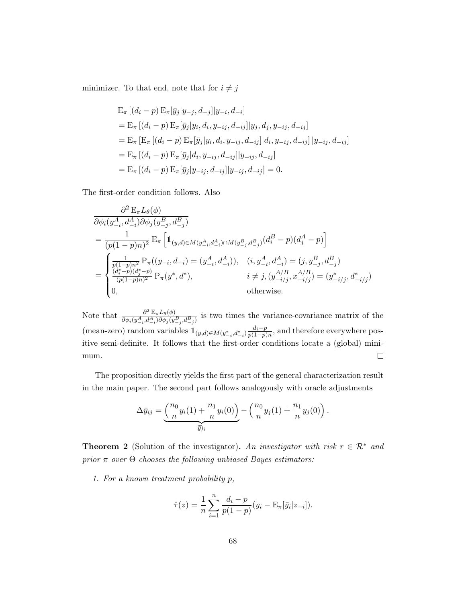minimizer. To that end, note that for  $i\neq j$ 

$$
E_{\pi} [(d_i - p) E_{\pi} [\bar{y}_j | y_{-j}, d_{-j}] | y_{-i}, d_{-i}]
$$
  
\n
$$
= E_{\pi} [(d_i - p) E_{\pi} [\bar{y}_j | y_i, d_i, y_{-ij}, d_{-ij}] | y_j, d_j, y_{-ij}, d_{-ij}]
$$
  
\n
$$
= E_{\pi} [E_{\pi} [(d_i - p) E_{\pi} [\bar{y}_j | y_i, d_i, y_{-ij}, d_{-ij}] | d_i, y_{-ij}, d_{-ij}] | y_{-ij}, d_{-ij}]
$$
  
\n
$$
= E_{\pi} [(d_i - p) E_{\pi} [\bar{y}_j | d_i, y_{-ij}, d_{-ij}] | y_{-ij}, d_{-ij}]
$$
  
\n
$$
= E_{\pi} [(d_i - p) E_{\pi} [\bar{y}_j | y_{-ij}, d_{-ij}] | y_{-ij}, d_{-ij}] = 0.
$$

The first-order condition follows. Also

$$
\frac{\partial^2 E_{\pi} L_{\theta}(\phi)}{\partial \phi_i(y_{-i}^A, d_{-i}^A)\partial \phi_j(y_{-j}^B, d_{-j}^B)}
$$
\n
$$
= \frac{1}{(p(1-p)n)^2} E_{\pi} \left[ 1_{(y,d) \in M(y_{-i}^A, d_{-i}^A) \cap M(y_{-j}^B, d_{-j}^B)} (d_i^B - p)(d_j^A - p) \right]
$$
\n
$$
= \begin{cases}\n\frac{1}{p(1-p)n^2} P_{\pi}((y_{-i}, d_{-i}) = (y_{-i}^A, d_{-i}^A)), & (i, y_{-i}^A, d_{-i}^A) = (j, y_{-j}^B, d_{-j}^B) \\
\frac{(d_i^* - p)(d_j^* - p)}{(p(1-p)n)^2} P_{\pi}(y^*, d^*), & i \neq j, (y_{-i/j}^{A/B}, x_{-i/j}^{A/B}) = (y_{-i/j}^*, d_{-i/j}^*) \\
0, & \text{otherwise.} \n\end{cases}
$$

Note that  $\frac{\partial^2 E_{\pi}L_{\theta}(\phi)}{\partial \phi_{\theta}(\phi^A, d^A, \partial \phi_{\theta}(\phi))}$  $\frac{\partial^2 E_{\pi} L_{\theta}(\varphi)}{\partial \phi_i(y_{-i}^A, d_{-i}^A) \partial \phi_j(y_{-j}^B, d_{-j}^B)}$  is two times the variance-covariance matrix of the (mean-zero) random variables  $\mathbb{1}_{(y,d)\in M(y^*_{-i},d^*_{-i})} \frac{d_i-p}{p(1-p)}$  $\frac{a_i-p}{p(1-p)n}$ , and therefore everywhere positive semi-definite. It follows that the first-order conditions locate a (global) minimum.  $\Box$ 

The proposition directly yields the first part of the general characterization result in the main paper. The second part follows analogously with oracle adjustments

$$
\Delta \bar{y}_{ij} = \underbrace{\left(\frac{n_0}{n} y_i(1) + \frac{n_1}{n} y_i(0)\right)}_{\bar{y}_{ji}} - \left(\frac{n_0}{n} y_j(1) + \frac{n_1}{n} y_j(0)\right).
$$

**Theorem 2** (Solution of the investigator). An investigator with risk  $r \in \mathbb{R}^*$  and  $prior \pi$  over  $Θ$  chooses the following unbiased Bayes estimators:

1. For a known treatment probability p,

$$
\hat{\tau}(z) = \frac{1}{n} \sum_{i=1}^{n} \frac{d_i - p}{p(1-p)} (y_i - \mathbf{E}_{\pi}[\bar{y}_i | z_{-i}]).
$$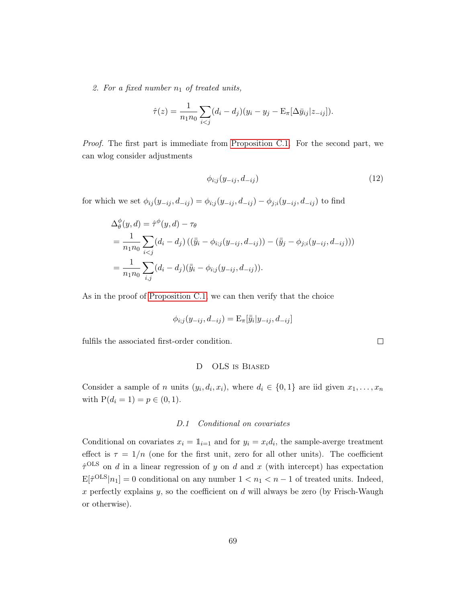2. For a fixed number  $n_1$  of treated units,

$$
\hat{\tau}(z) = \frac{1}{n_1 n_0} \sum_{i < j} (d_i - d_j)(y_i - y_j - \mathbf{E}_{\pi}[\Delta \bar{y}_{ij} | z_{-ij}]).
$$

Proof. The first part is immediate from [Proposition C.1.](#page-65-0) For the second part, we can wlog consider adjustments

$$
\phi_{i,j}(y_{-ij}, d_{-ij})\tag{12}
$$

 $\Box$ 

for which we set  $\phi_{ij}(y_{-ij}, d_{-ij}) = \phi_{i;j}(y_{-ij}, d_{-ij}) - \phi_{j;i}(y_{-ij}, d_{-ij})$  to find

$$
\Delta_{\theta}^{\phi}(y, d) = \hat{\tau}^{\phi}(y, d) - \tau_{\theta}
$$
\n
$$
= \frac{1}{n_1 n_0} \sum_{i < j} (d_i - d_j) \left( (\bar{\bar{y}}_i - \phi_{i; j}(y_{-ij}, d_{-ij})) - (\bar{\bar{y}}_j - \phi_{j; i}(y_{-ij}, d_{-ij})) \right)
$$
\n
$$
= \frac{1}{n_1 n_0} \sum_{i, j} (d_i - d_j) (\bar{\bar{y}}_i - \phi_{i; j}(y_{-ij}, d_{-ij})).
$$

As in the proof of [Proposition C.1,](#page-65-0) we can then verify that the choice

$$
\phi_{i;j}(y_{-ij},d_{-ij})=\mathrm{E}_{\pi}[\bar{\bar{y}}_i|y_{-ij},d_{-ij}]
$$

fulfils the associated first-order condition.

## D OLS is Biased

Consider a sample of *n* units  $(y_i, d_i, x_i)$ , where  $d_i \in \{0, 1\}$  are iid given  $x_1, \ldots, x_n$ with  $P(d_i = 1) = p \in (0, 1)$ .

## D.1 Conditional on covariates

Conditional on covariates  $x_i = \mathbb{1}_{i=1}$  and for  $y_i = x_i d_i$ , the sample-averge treatment effect is  $\tau = 1/n$  (one for the first unit, zero for all other units). The coefficient  $\hat{\tau}^{\text{OLS}}$  on d in a linear regression of y on d and x (with intercept) has expectation  $\mathbb{E}[\hat{\tau}^{\text{OLS}}|n_1] = 0$  conditional on any number  $1 < n_1 < n - 1$  of treated units. Indeed, x perfectly explains  $y$ , so the coefficient on  $d$  will always be zero (by Frisch-Waugh or otherwise).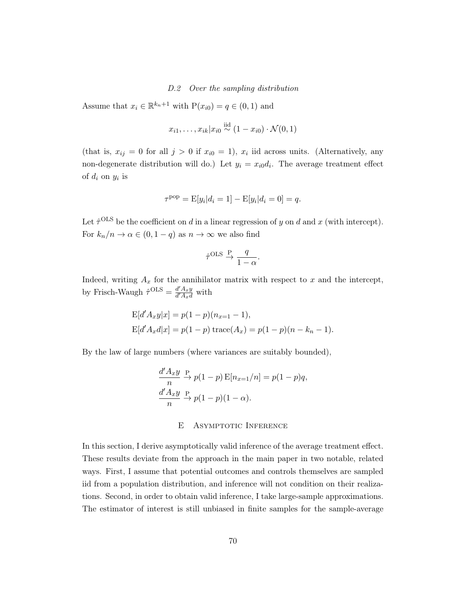D.2 Over the sampling distribution

Assume that  $x_i \in \mathbb{R}^{k_n+1}$  with  $P(x_{i0}) = q \in (0,1)$  and

$$
x_{i1},\ldots,x_{ik}|x_{i0}\overset{\text{iid}}{\sim}(1-x_{i0})\cdot\mathcal{N}(0,1)
$$

(that is,  $x_{ij} = 0$  for all  $j > 0$  if  $x_{i0} = 1$ ),  $x_i$  iid across units. (Alternatively, any non-degenerate distribution will do.) Let  $y_i = x_{i0}d_i$ . The average treatment effect of  $d_i$  on  $y_i$  is

$$
\tau^{\rm pop} = \mathbb{E}[y_i | d_i = 1] - \mathbb{E}[y_i | d_i = 0] = q.
$$

Let  $\hat{\tau}^{\text{OLS}}$  be the coefficient on d in a linear regression of y on d and x (with intercept). For  $k_n/n \to \alpha \in (0, 1-q)$  as  $n \to \infty$  we also find

$$
\hat{\tau}^{\text{OLS}} \xrightarrow{P} \frac{q}{1-\alpha}.
$$

Indeed, writing  $A_x$  for the annihilator matrix with respect to x and the intercept, by Frisch-Waugh  $\hat{\tau}^{\text{OLS}} = \frac{d' A_x y}{d' A}$  $\frac{d^r A_x y}{d^r A_x d}$  with

$$
E[d'A_xy|x] = p(1-p)(n_{x=1}-1),
$$
  
\n
$$
E[d'A_xd|x] = p(1-p) \operatorname{trace}(A_x) = p(1-p)(n - k_n - 1).
$$

By the law of large numbers (where variances are suitably bounded),

$$
\frac{d'A_x y}{n} \overset{\text{P}}{\to} p(1-p) \mathbf{E}[n_{x=1}/n] = p(1-p)q,
$$
  

$$
\frac{d'A_x y}{n} \overset{\text{P}}{\to} p(1-p)(1-\alpha).
$$

## E Asymptotic Inference

In this section, I derive asymptotically valid inference of the average treatment effect. These results deviate from the approach in the main paper in two notable, related ways. First, I assume that potential outcomes and controls themselves are sampled iid from a population distribution, and inference will not condition on their realizations. Second, in order to obtain valid inference, I take large-sample approximations. The estimator of interest is still unbiased in finite samples for the sample-average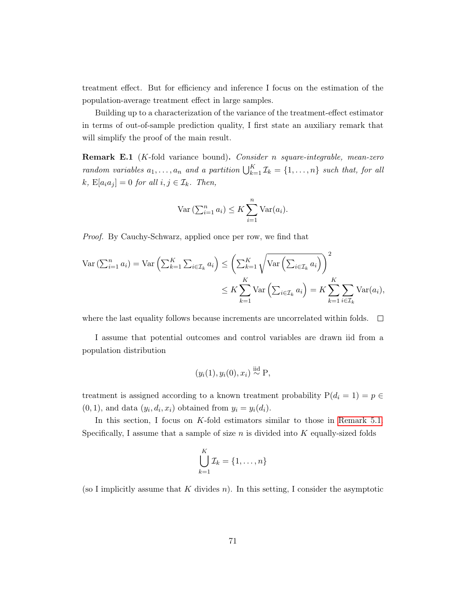treatment effect. But for efficiency and inference I focus on the estimation of the population-average treatment effect in large samples.

Building up to a characterization of the variance of the treatment-effect estimator in terms of out-of-sample prediction quality, I first state an auxiliary remark that will simplify the proof of the main result.

Remark E.1 (K-fold variance bound). Consider n square-integrable, mean-zero random variables  $a_1, \ldots, a_n$  and a partition  $\bigcup_{k=1}^K \mathcal{I}_k = \{1, \ldots, n\}$  such that, for all k,  $E[a_i a_j] = 0$  for all  $i, j \in \mathcal{I}_k$ . Then,

$$
\text{Var}\left(\sum_{i=1}^{n} a_i\right) \leq K \sum_{i=1}^{n} \text{Var}(a_i).
$$

Proof. By Cauchy-Schwarz, applied once per row, we find that

$$
\operatorname{Var}\left(\sum_{i=1}^{n} a_i\right) = \operatorname{Var}\left(\sum_{k=1}^{K} \sum_{i \in \mathcal{I}_k} a_i\right) \le \left(\sum_{k=1}^{K} \sqrt{\operatorname{Var}\left(\sum_{i \in \mathcal{I}_k} a_i\right)}\right)^2
$$

$$
\le K \sum_{k=1}^{K} \operatorname{Var}\left(\sum_{i \in \mathcal{I}_k} a_i\right) = K \sum_{k=1}^{K} \sum_{i \in \mathcal{I}_k} \operatorname{Var}(a_i),
$$

where the last equality follows because increments are uncorrelated within folds.  $\Box$ 

I assume that potential outcomes and control variables are drawn iid from a population distribution

$$
(y_i(1), y_i(0), x_i) \stackrel{\text{iid}}{\sim} P,
$$

treatment is assigned according to a known treatment probability  $P(d_i = 1) = p \in$  $(0, 1)$ , and data  $(y_i, d_i, x_i)$  obtained from  $y_i = y_i(d_i)$ .

In this section, I focus on  $K$ -fold estimators similar to those in [Remark 5.1.](#page-32-0) Specifically, I assume that a sample of size  $n$  is divided into  $K$  equally-sized folds

$$
\bigcup_{k=1}^K \mathcal{I}_k = \{1, \ldots, n\}
$$

(so I implicitly assume that  $K$  divides  $n$ ). In this setting, I consider the asymptotic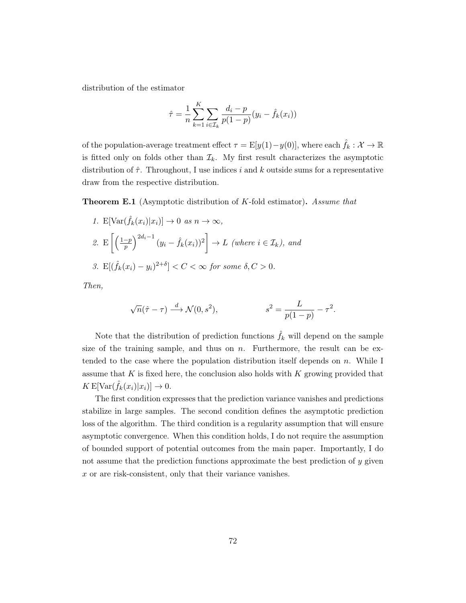distribution of the estimator

$$
\hat{\tau} = \frac{1}{n} \sum_{k=1}^{K} \sum_{i \in \mathcal{I}_k} \frac{d_i - p}{p(1-p)} (y_i - \hat{f}_k(x_i))
$$

of the population-average treatment effect  $\tau = \mathbb{E}[y(1)-y(0)]$ , where each  $\hat{f}_k : \mathcal{X} \to \mathbb{R}$ is fitted only on folds other than  $\mathcal{I}_k$ . My first result characterizes the asymptotic distribution of  $\hat{\tau}$ . Throughout, I use indices i and k outside sums for a representative draw from the respective distribution.

Theorem E.1 (Asymptotic distribution of K-fold estimator). Assume that

\n- 1. 
$$
E[\text{Var}(\hat{f}_k(x_i)|x_i)] \to 0 \text{ as } n \to \infty,
$$
\n- 2.  $E\left[\left(\frac{1-p}{p}\right)^{2d_i-1}(y_i - \hat{f}_k(x_i))^2\right] \to L \text{ (where } i \in \mathcal{I}_k), \text{ and}$
\n- 3.  $E[(\hat{f}_k(x_i) - y_i)^{2+\delta}] < C < \infty \text{ for some } \delta, C > 0.$
\n

Then,

$$
\sqrt{n}(\hat{\tau} - \tau) \xrightarrow{d} \mathcal{N}(0, s^2), \qquad s^2 = \frac{L}{p(1-p)} - \tau^2.
$$

Note that the distribution of prediction functions  $\hat{f}_k$  will depend on the sample size of the training sample, and thus on  $n$ . Furthermore, the result can be extended to the case where the population distribution itself depends on  $n$ . While I assume that  $K$  is fixed here, the conclusion also holds with  $K$  growing provided that  $K \mathbb{E}[\text{Var}(\hat{f}_k(x_i)|x_i)] \to 0.$ 

The first condition expresses that the prediction variance vanishes and predictions stabilize in large samples. The second condition defines the asymptotic prediction loss of the algorithm. The third condition is a regularity assumption that will ensure asymptotic convergence. When this condition holds, I do not require the assumption of bounded support of potential outcomes from the main paper. Importantly, I do not assume that the prediction functions approximate the best prediction of y given x or are risk-consistent, only that their variance vanishes.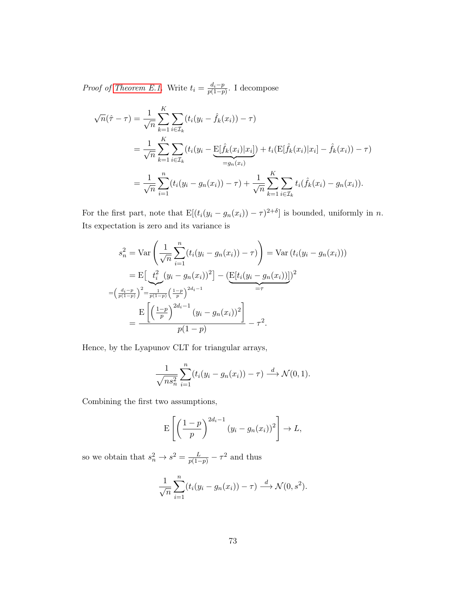*Proof of [Theorem E.1.](#page-18-0)* Write  $t_i = \frac{d_i - p_i}{p(1 - n_i)}$  $\frac{a_i-p}{p(1-p)}$ . I decompose

$$
\sqrt{n}(\hat{\tau} - \tau) = \frac{1}{\sqrt{n}} \sum_{k=1}^{K} \sum_{i \in \mathcal{I}_k} (t_i(y_i - \hat{f}_k(x_i)) - \tau)
$$
  
= 
$$
\frac{1}{\sqrt{n}} \sum_{k=1}^{K} \sum_{i \in \mathcal{I}_k} (t_i(y_i - \underline{\mathrm{E}}[\hat{f}_k(x_i)|x_i]) + t_i(\underline{\mathrm{E}}[\hat{f}_k(x_i)|x_i] - \hat{f}_k(x_i)) - \tau)
$$
  
= 
$$
\frac{1}{\sqrt{n}} \sum_{i=1}^{n} (t_i(y_i - g_n(x_i)) - \tau) + \frac{1}{\sqrt{n}} \sum_{k=1}^{K} \sum_{i \in \mathcal{I}_k} t_i(\hat{f}_k(x_i) - g_n(x_i)).
$$

For the first part, note that  $E[(t_i(y_i - g_n(x_i)) - \tau)^{2+\delta}]$  is bounded, uniformly in *n*. Its expectation is zero and its variance is

$$
s_n^2 = \text{Var}\left(\frac{1}{\sqrt{n}} \sum_{i=1}^n (t_i(y_i - g_n(x_i)) - \tau)\right) = \text{Var}\left(t_i(y_i - g_n(x_i))\right)
$$
  
= 
$$
E\left[\underbrace{t_i^2}{\nu(i-p)} (y_i - g_n(x_i))^2\right] - \underbrace{\left(E[t_i(y_i - g_n(x_i))]\right)}_{= \tau^2}
$$
  
= 
$$
\frac{E\left[\left(\frac{1-p}{p}\right)^{2d_i-1}(y_i - g_n(x_i))^2\right]}{p(1-p)} - \tau^2.
$$

Hence, by the Lyapunov CLT for triangular arrays,

$$
\frac{1}{\sqrt{ns_n^2}}\sum_{i=1}^n (t_i(y_i-g_n(x_i))-\tau) \stackrel{d}{\longrightarrow} \mathcal{N}(0,1).
$$

Combining the first two assumptions,

$$
\mathbf{E}\left[\left(\frac{1-p}{p}\right)^{2d_i-1}(y_i-g_n(x_i))^2\right]\to L,
$$

so we obtain that  $s_n^2 \to s^2 = \frac{L}{p(1-p)} - \tau^2$  and thus

$$
\frac{1}{\sqrt{n}}\sum_{i=1}^n (t_i(y_i - g_n(x_i)) - \tau) \xrightarrow{d} \mathcal{N}(0, s^2).
$$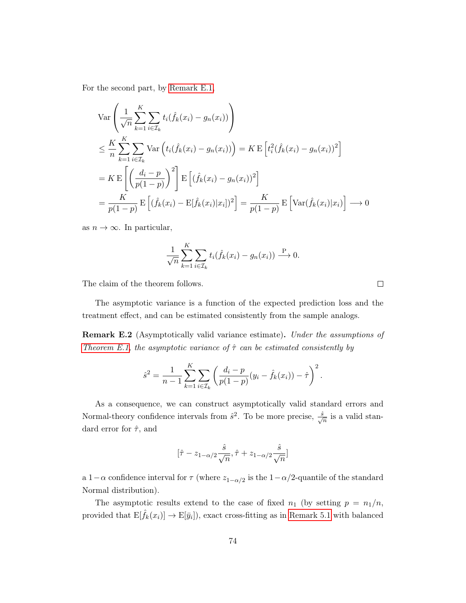For the second part, by [Remark E.1,](#page-32-0)

$$
\operatorname{Var}\left(\frac{1}{\sqrt{n}}\sum_{k=1}^{K}\sum_{i\in\mathcal{I}_{k}}t_{i}(\hat{f}_{k}(x_{i})-g_{n}(x_{i}))\right)
$$
\n
$$
\leq \frac{K}{n}\sum_{k=1}^{K}\sum_{i\in\mathcal{I}_{k}}\operatorname{Var}\left(t_{i}(\hat{f}_{k}(x_{i})-g_{n}(x_{i}))\right) = K \operatorname{E}\left[t_{i}^{2}(\hat{f}_{k}(x_{i})-g_{n}(x_{i}))^{2}\right]
$$
\n
$$
= K \operatorname{E}\left[\left(\frac{d_{i}-p}{p(1-p)}\right)^{2}\right] \operatorname{E}\left[(\hat{f}_{k}(x_{i})-g_{n}(x_{i}))^{2}\right]
$$
\n
$$
= \frac{K}{p(1-p)} \operatorname{E}\left[(\hat{f}_{k}(x_{i})-\operatorname{E}[\hat{f}_{k}(x_{i})|x_{i}])^{2}\right] = \frac{K}{p(1-p)} \operatorname{E}\left[\operatorname{Var}(\hat{f}_{k}(x_{i})|x_{i})\right] \longrightarrow 0
$$

as  $n \to \infty$ . In particular,

$$
\frac{1}{\sqrt{n}}\sum_{k=1}^K\sum_{i\in\mathcal{I}_k}t_i(\hat{f}_k(x_i)-g_n(x_i))\stackrel{\text{P}}{\longrightarrow}0.
$$

The claim of the theorem follows.

The asymptotic variance is a function of the expected prediction loss and the treatment effect, and can be estimated consistently from the sample analogs.

Remark E.2 (Asymptotically valid variance estimate). Under the assumptions of [Theorem E.1,](#page-18-0) the asymptotic variance of  $\hat{\tau}$  can be estimated consistently by

$$
\hat{s}^2 = \frac{1}{n-1} \sum_{k=1}^K \sum_{i \in \mathcal{I}_k} \left( \frac{d_i - p}{p(1-p)} (y_i - \hat{f}_k(x_i)) - \hat{\tau} \right)^2.
$$

As a consequence, we can construct asymptotically valid standard errors and Normal-theory confidence intervals from  $\hat{s}^2$ . To be more precise,  $\frac{\hat{s}}{\sqrt{n}}$  is a valid standard error for  $\hat{\tau}$ , and

$$
[\hat{\tau} - z_{1-\alpha/2} \frac{\hat{s}}{\sqrt{n}}, \hat{\tau} + z_{1-\alpha/2} \frac{\hat{s}}{\sqrt{n}}]
$$

a 1 –  $\alpha$  confidence interval for  $\tau$  (where  $z_{1-\alpha/2}$  is the 1 –  $\alpha/2$ -quantile of the standard Normal distribution).

The asymptotic results extend to the case of fixed  $n_1$  (by setting  $p = n_1/n$ , provided that  $\mathbb{E}[\hat{f}_k(x_i)] \to \mathbb{E}[\bar{y}_i]$ , exact cross-fitting as in [Remark 5.1](#page-32-0) with balanced

 $\Box$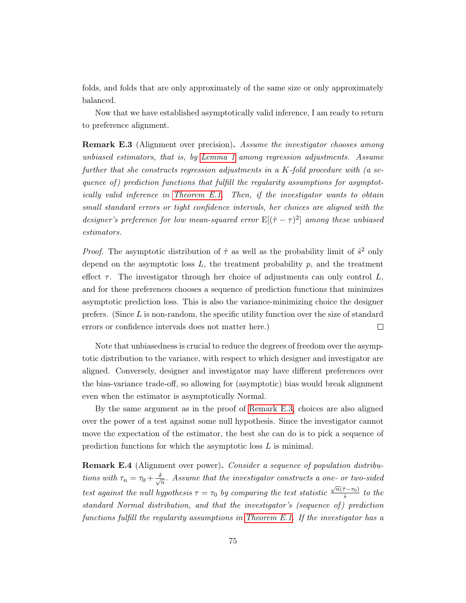folds, and folds that are only approximately of the same size or only approximately balanced.

Now that we have established asymptotically valid inference, I am ready to return to preference alignment.

**Remark E.3** (Alignment over precision). Assume the investigator chooses among unbiased estimators, that is, by [Lemma 1](#page-19-0) among regression adjustments. Assume further that she constructs regression adjustments in a K-fold procedure with (a sequence of) prediction functions that fulfill the regularity assumptions for asymptotically valid inference in [Theorem E.1.](#page-18-0) Then, if the investigator wants to obtain small standard errors or tight confidence intervals, her choices are aligned with the designer's preference for low mean-squared error  $E[(\hat{\tau} - \tau)^2]$  among these unbiased estimators.

*Proof.* The asymptotic distribution of  $\hat{\tau}$  as well as the probability limit of  $\hat{s}^2$  only depend on the asymptotic loss  $L$ , the treatment probability  $p$ , and the treatment effect  $\tau$ . The investigator through her choice of adjustments can only control L, and for these preferences chooses a sequence of prediction functions that minimizes asymptotic prediction loss. This is also the variance-minimizing choice the designer prefers. (Since  $L$  is non-random, the specific utility function over the size of standard errors or confidence intervals does not matter here.)  $\Box$ 

Note that unbiasedness is crucial to reduce the degrees of freedom over the asymptotic distribution to the variance, with respect to which designer and investigator are aligned. Conversely, designer and investigator may have different preferences over the bias-variance trade-off, so allowing for (asymptotic) bias would break alignment even when the estimator is asymptotically Normal.

By the same argument as in the proof of [Remark E.3,](#page-41-0) choices are also aligned over the power of a test against some null hypothesis. Since the investigator cannot move the expectation of the estimator, the best she can do is to pick a sequence of prediction functions for which the asymptotic loss L is minimal.

Remark E.4 (Alignment over power). Consider a sequence of population distributions with  $\tau_n = \tau_0 + \frac{\delta}{\sqrt{n}}$  $\frac{1}{n}$ . Assume that the investigator constructs a one- or two-sided test against the null hypothesis  $\tau = \tau_0$  by comparing the test statistic  $\sqrt{n}(\hat{\tau}-\tau_0)$  $\frac{f(-\tau_0)}{\hat{s}}$  to the standard Normal distribution, and that the investigator's (sequence of) prediction functions fulfill the regularity assumptions in [Theorem E.1.](#page-18-0) If the investigator has a